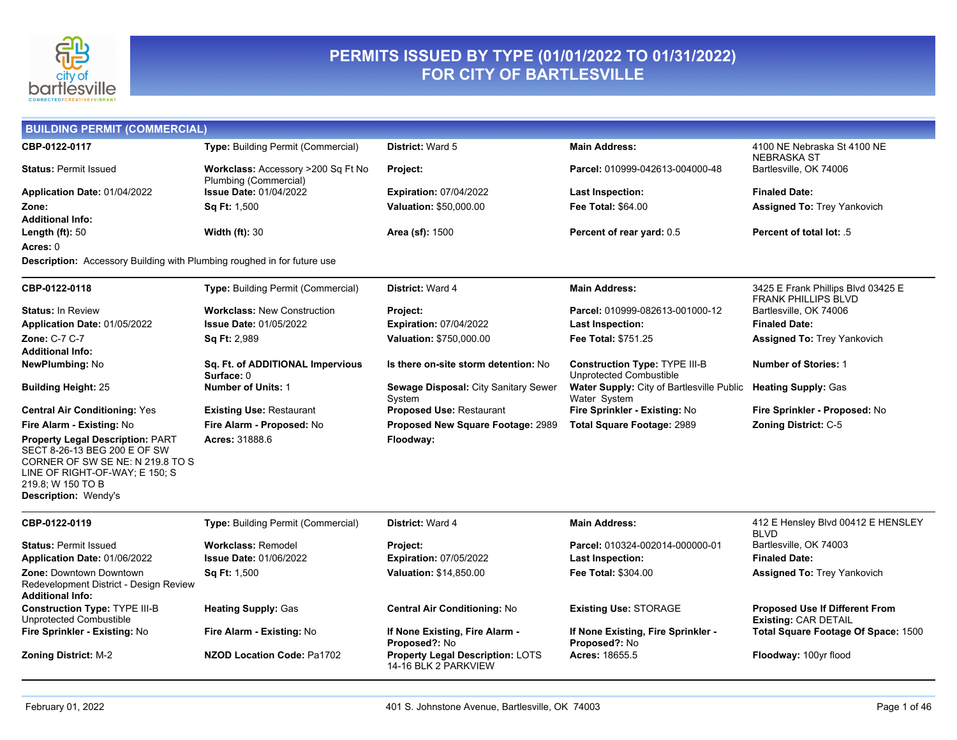

#### **PERMITS ISSUED BY TYPE (01/01/2022 TO 01/31/2022) FOR CITY OF BARTLESVILLE**

| <b>BUILDING PERMIT (COMMERCIAL)</b>                                                                                                                                                        |                                                                       |                                                          |                                                           |                                                                      |
|--------------------------------------------------------------------------------------------------------------------------------------------------------------------------------------------|-----------------------------------------------------------------------|----------------------------------------------------------|-----------------------------------------------------------|----------------------------------------------------------------------|
| CBP-0122-0117                                                                                                                                                                              | Type: Building Permit (Commercial)                                    | <b>District: Ward 5</b>                                  | <b>Main Address:</b>                                      | 4100 NE Nebraska St 4100 NE<br><b>NEBRASKA ST</b>                    |
| <b>Status: Permit Issued</b>                                                                                                                                                               | <b>Workclass: Accessory &gt;200 Sq Ft No</b><br>Plumbing (Commercial) | <b>Project:</b>                                          | Parcel: 010999-042613-004000-48                           | Bartlesville, OK 74006                                               |
| Application Date: 01/04/2022                                                                                                                                                               | <b>Issue Date: 01/04/2022</b>                                         | <b>Expiration: 07/04/2022</b>                            | Last Inspection:                                          | <b>Finaled Date:</b>                                                 |
| Zone:                                                                                                                                                                                      | <b>Sq Ft: 1,500</b>                                                   | Valuation: \$50,000.00                                   | <b>Fee Total: \$64.00</b>                                 | <b>Assigned To: Trey Yankovich</b>                                   |
| Additional Info:                                                                                                                                                                           |                                                                       |                                                          |                                                           |                                                                      |
| Length $(ft)$ : 50                                                                                                                                                                         | Width $(ft)$ : 30                                                     | Area (sf): 1500                                          | Percent of rear yard: 0.5                                 | <b>Percent of total lot: .5</b>                                      |
| Acres: 0                                                                                                                                                                                   |                                                                       |                                                          |                                                           |                                                                      |
| Description: Accessory Building with Plumbing roughed in for future use                                                                                                                    |                                                                       |                                                          |                                                           |                                                                      |
| CBP-0122-0118                                                                                                                                                                              | Type: Building Permit (Commercial)                                    | District: Ward 4                                         | <b>Main Address:</b>                                      | 3425 E Frank Phillips Blvd 03425 E<br><b>FRANK PHILLIPS BLVD</b>     |
| <b>Status: In Review</b>                                                                                                                                                                   | <b>Workclass: New Construction</b>                                    | Project:                                                 | Parcel: 010999-082613-001000-12                           | Bartlesville, OK 74006                                               |
| Application Date: 01/05/2022                                                                                                                                                               | <b>Issue Date: 01/05/2022</b>                                         | <b>Expiration: 07/04/2022</b>                            | <b>Last Inspection:</b>                                   | <b>Finaled Date:</b>                                                 |
| <b>Zone: C-7 C-7</b>                                                                                                                                                                       | Sq Ft: 2,989                                                          | Valuation: \$750,000.00                                  | <b>Fee Total: \$751.25</b>                                | <b>Assigned To: Trey Yankovich</b>                                   |
| Additional Info:<br><b>NewPlumbing: No</b>                                                                                                                                                 | Sq. Ft. of ADDITIONAL Impervious                                      | Is there on-site storm detention: No                     | <b>Construction Type: TYPE III-B</b>                      | <b>Number of Stories: 1</b>                                          |
|                                                                                                                                                                                            | Surface: 0                                                            |                                                          | Unprotected Combustible                                   |                                                                      |
| <b>Building Height: 25</b>                                                                                                                                                                 | <b>Number of Units: 1</b>                                             | Sewage Disposal: City Sanitary Sewer<br>System           | Water Supply: City of Bartlesville Public<br>Water System | <b>Heating Supply: Gas</b>                                           |
| <b>Central Air Conditioning: Yes</b>                                                                                                                                                       | <b>Existing Use: Restaurant</b>                                       | <b>Proposed Use: Restaurant</b>                          | Fire Sprinkler - Existing: No                             | Fire Sprinkler - Proposed: No                                        |
| Fire Alarm - Existing: No                                                                                                                                                                  | Fire Alarm - Proposed: No                                             | Proposed New Square Footage: 2989                        | Total Square Footage: 2989                                | Zoning District: C-5                                                 |
| <b>Property Legal Description: PART</b><br>SECT 8-26-13 BEG 200 E OF SW<br>CORNER OF SW SE NE: N 219.8 TO S<br>LINE OF RIGHT-OF-WAY; E 150; S<br>219.8; W 150 TO B<br>Description: Wendy's | Acres: 31888.6                                                        | Floodway:                                                |                                                           |                                                                      |
| CBP-0122-0119                                                                                                                                                                              | Type: Building Permit (Commercial)                                    | <b>District: Ward 4</b>                                  | <b>Main Address:</b>                                      | 412 E Hensley Blvd 00412 E HENSLEY<br><b>BLVD</b>                    |
| <b>Status: Permit Issued</b>                                                                                                                                                               | <b>Workclass: Remodel</b>                                             | Project:                                                 | Parcel: 010324-002014-000000-01                           | Bartlesville, OK 74003                                               |
| Application Date: 01/06/2022                                                                                                                                                               | <b>Issue Date: 01/06/2022</b>                                         | <b>Expiration: 07/05/2022</b>                            | Last Inspection:                                          | <b>Finaled Date:</b>                                                 |
| <b>Zone: Downtown Downtown</b><br>Redevelopment District - Design Review<br>Additional Info:                                                                                               | Sq Ft: 1,500                                                          | Valuation: \$14,850.00                                   | <b>Fee Total: \$304.00</b>                                | <b>Assigned To: Trey Yankovich</b>                                   |
| <b>Construction Type: TYPE III-B</b><br>Unprotected Combustible                                                                                                                            | <b>Heating Supply: Gas</b>                                            | <b>Central Air Conditioning: No</b>                      | <b>Existing Use: STORAGE</b>                              | <b>Proposed Use If Different From</b><br><b>Existing: CAR DETAIL</b> |
| Fire Sprinkler - Existing: No                                                                                                                                                              | Fire Alarm - Existing: No                                             | If None Existing, Fire Alarm -<br>Proposed?: No          | If None Existing, Fire Sprinkler -<br>Proposed?: No       | Total Square Footage Of Space: 1500                                  |
| <b>Zoning District: M-2</b>                                                                                                                                                                | <b>NZOD Location Code: Pa1702</b>                                     | Property Legal Description: LOTS<br>14-16 BLK 2 PARKVIEW | Acres: 18655.5                                            | Floodway: 100yr flood                                                |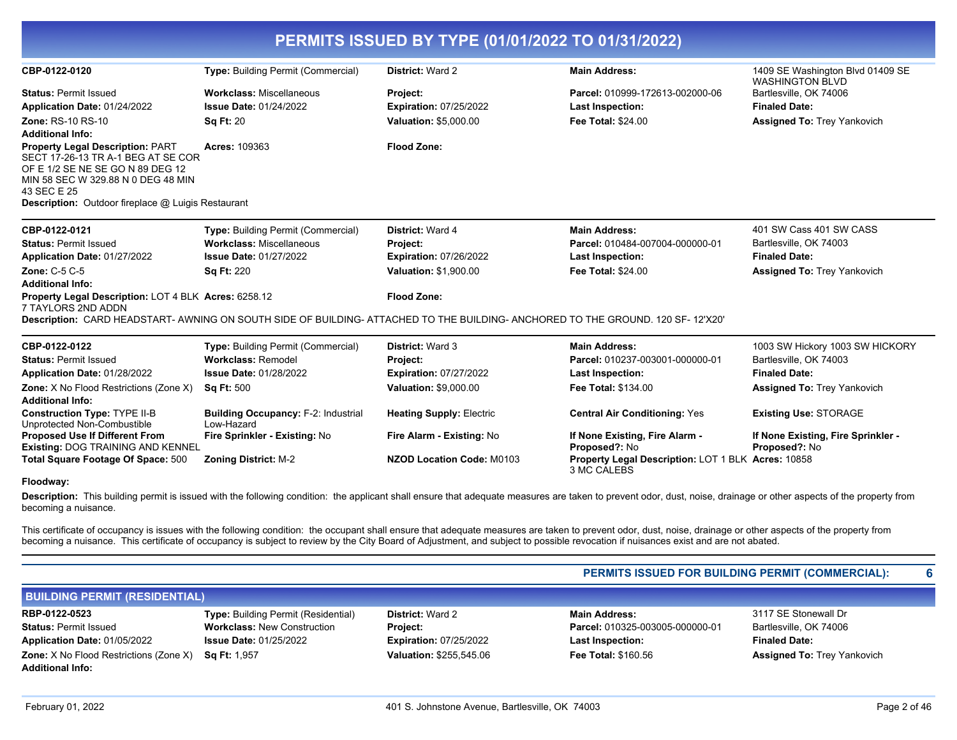|                                                                                                                                                                                                                                     |                                                          | PERMITS ISSUED BY TYPE (01/01/2022 TO 01/31/2022) |                                                                                                                              |                                                            |
|-------------------------------------------------------------------------------------------------------------------------------------------------------------------------------------------------------------------------------------|----------------------------------------------------------|---------------------------------------------------|------------------------------------------------------------------------------------------------------------------------------|------------------------------------------------------------|
| CBP-0122-0120                                                                                                                                                                                                                       | <b>Type: Building Permit (Commercial)</b>                | <b>District: Ward 2</b>                           | <b>Main Address:</b>                                                                                                         | 1409 SE Washington Blvd 01409 SE<br><b>WASHINGTON BLVD</b> |
| <b>Status: Permit Issued</b>                                                                                                                                                                                                        | <b>Workclass: Miscellaneous</b>                          | Project:                                          | Parcel: 010999-172613-002000-06                                                                                              | Bartlesville, OK 74006                                     |
| Application Date: 01/24/2022                                                                                                                                                                                                        | <b>Issue Date: 01/24/2022</b>                            | <b>Expiration: 07/25/2022</b>                     | <b>Last Inspection:</b>                                                                                                      | <b>Finaled Date:</b>                                       |
| <b>Zone: RS-10 RS-10</b><br><b>Additional Info:</b>                                                                                                                                                                                 | <b>Sq Ft: 20</b>                                         | Valuation: \$5,000.00                             | <b>Fee Total: \$24.00</b>                                                                                                    | <b>Assigned To: Trey Yankovich</b>                         |
| <b>Property Legal Description: PART</b><br>SECT 17-26-13 TR A-1 BEG AT SE COR<br>OF E 1/2 SE NE SE GO N 89 DEG 12<br>MIN 58 SEC W 329.88 N 0 DEG 48 MIN<br>43 SEC E 25<br><b>Description:</b> Outdoor fireplace @ Luigis Restaurant | Acres: 109363                                            | <b>Flood Zone:</b>                                |                                                                                                                              |                                                            |
| CBP-0122-0121                                                                                                                                                                                                                       | <b>Type:</b> Building Permit (Commercial)                | District: Ward 4                                  | <b>Main Address:</b>                                                                                                         | 401 SW Cass 401 SW CASS                                    |
| <b>Status: Permit Issued</b>                                                                                                                                                                                                        | <b>Workclass: Miscellaneous</b>                          | <b>Project:</b>                                   | Parcel: 010484-007004-000000-01                                                                                              | Bartlesville, OK 74003                                     |
| Application Date: 01/27/2022                                                                                                                                                                                                        | <b>Issue Date: 01/27/2022</b>                            | <b>Expiration: 07/26/2022</b>                     | <b>Last Inspection:</b>                                                                                                      | <b>Finaled Date:</b>                                       |
| <b>Zone: C-5 C-5</b><br><b>Additional Info:</b>                                                                                                                                                                                     | <b>Sq Ft: 220</b>                                        | Valuation: \$1,900.00                             | <b>Fee Total: \$24.00</b>                                                                                                    | <b>Assigned To: Trey Yankovich</b>                         |
| Property Legal Description: LOT 4 BLK Acres: 6258.12<br>7 TAYLORS 2ND ADDN                                                                                                                                                          |                                                          | <b>Flood Zone:</b>                                |                                                                                                                              |                                                            |
|                                                                                                                                                                                                                                     |                                                          |                                                   | Description: CARD HEADSTART-AWNING ON SOUTH SIDE OF BUILDING-ATTACHED TO THE BUILDING-ANCHORED TO THE GROUND. 120 SF-12'X20' |                                                            |
| CBP-0122-0122                                                                                                                                                                                                                       | Type: Building Permit (Commercial)                       | <b>District: Ward 3</b>                           | <b>Main Address:</b>                                                                                                         | 1003 SW Hickory 1003 SW HICKORY                            |
| <b>Status: Permit Issued</b>                                                                                                                                                                                                        | <b>Workclass: Remodel</b>                                | Project:                                          | Parcel: 010237-003001-000000-01                                                                                              | Bartlesville, OK 74003                                     |
| Application Date: 01/28/2022                                                                                                                                                                                                        | <b>Issue Date: 01/28/2022</b>                            | <b>Expiration: 07/27/2022</b>                     | <b>Last Inspection:</b>                                                                                                      | <b>Finaled Date:</b>                                       |
| Zone: X No Flood Restrictions (Zone X)<br><b>Additional Info:</b>                                                                                                                                                                   | <b>Sq Ft: 500</b>                                        | Valuation: \$9,000.00                             | Fee Total: \$134.00                                                                                                          | <b>Assigned To: Trey Yankovich</b>                         |
| <b>Construction Type: TYPE II-B</b><br>Unprotected Non-Combustible                                                                                                                                                                  | <b>Building Occupancy: F-2: Industrial</b><br>Low-Hazard | <b>Heating Supply: Electric</b>                   | <b>Central Air Conditioning: Yes</b>                                                                                         | <b>Existing Use: STORAGE</b>                               |
| <b>Proposed Use If Different From</b><br><b>Existing: DOG TRAINING AND KENNEL</b>                                                                                                                                                   | Fire Sprinkler - Existing: No                            | Fire Alarm - Existing: No                         | If None Existing, Fire Alarm -<br>Proposed?: No                                                                              | If None Existing, Fire Sprinkler -<br>Proposed?: No        |

#### **Floodway:**

Description: This building permit is issued with the following condition: the applicant shall ensure that adequate measures are taken to prevent odor, dust, noise, drainage or other aspects of the property from becoming a nuisance.

3 MC CALEBS

This certificate of occupancy is issues with the following condition: the occupant shall ensure that adequate measures are taken to prevent odor, dust, noise, drainage or other aspects of the property from becoming a nuisance. This certificate of occupancy is subject to review by the City Board of Adjustment, and subject to possible revocation if nuisances exist and are not abated.

**Total Square Footage Of Space: 500 Zoning District: M-2 <b>NZOD Location Code: M0103 Property Legal Description:** 

#### **PERMITS ISSUED FOR BUILDING PERMIT (COMMERCIAL): 6**

**Property Legal Description: LOT 1 BLK Acres: 10858** 

| <b>BUILDING PERMIT (RESIDENTIAL)</b>          |                                            |                                |                                 |                                    |
|-----------------------------------------------|--------------------------------------------|--------------------------------|---------------------------------|------------------------------------|
| RBP-0122-0523                                 | <b>Type:</b> Building Permit (Residential) | <b>District: Ward 2</b>        | <b>Main Address:</b>            | 3117 SE Stonewall Dr               |
| <b>Status: Permit Issued</b>                  | <b>Workclass: New Construction</b>         | <b>Project:</b>                | Parcel: 010325-003005-000000-01 | Bartlesville, OK 74006             |
| Application Date: 01/05/2022                  | <b>Issue Date: 01/25/2022</b>              | <b>Expiration: 07/25/2022</b>  | Last Inspection:                | <b>Finaled Date:</b>               |
| <b>Zone:</b> X No Flood Restrictions (Zone X) | <b>Sa Ft:</b> 1.957                        | <b>Valuation: \$255.545.06</b> | <b>Fee Total: \$160.56</b>      | <b>Assigned To: Trey Yankovich</b> |
| <b>Additional Info:</b>                       |                                            |                                |                                 |                                    |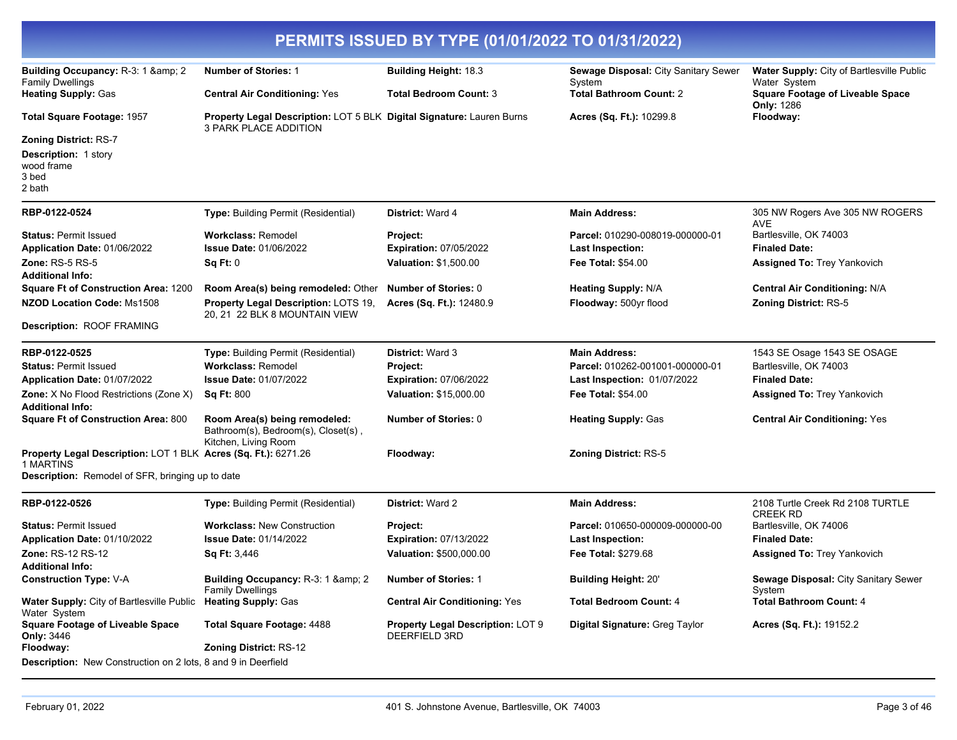|                                                                                              |                                                                                                | PERMITS ISSUED BY TYPE (01/01/2022 TO 01/31/2022)  |                                                |                                                              |
|----------------------------------------------------------------------------------------------|------------------------------------------------------------------------------------------------|----------------------------------------------------|------------------------------------------------|--------------------------------------------------------------|
| Building Occupancy: R-3: 1 & 2<br><b>Family Dwellings</b>                                    | <b>Number of Stories: 1</b>                                                                    | <b>Building Height: 18.3</b>                       | Sewage Disposal: City Sanitary Sewer<br>System | Water Supply: City of Bartlesville Public<br>Water System    |
| <b>Heating Supply: Gas</b>                                                                   | <b>Central Air Conditioning: Yes</b>                                                           | <b>Total Bedroom Count: 3</b>                      | <b>Total Bathroom Count: 2</b>                 | <b>Square Footage of Liveable Space</b><br><b>Only: 1286</b> |
| <b>Total Square Footage: 1957</b>                                                            | Property Legal Description: LOT 5 BLK Digital Signature: Lauren Burns<br>3 PARK PLACE ADDITION |                                                    | Acres (Sq. Ft.): 10299.8                       | Floodway:                                                    |
| <b>Zoning District: RS-7</b><br><b>Description: 1 story</b><br>wood frame<br>3 bed<br>2 bath |                                                                                                |                                                    |                                                |                                                              |
| RBP-0122-0524                                                                                | Type: Building Permit (Residential)                                                            | District: Ward 4                                   | <b>Main Address:</b>                           | 305 NW Rogers Ave 305 NW ROGERS<br>AVE                       |
| <b>Status: Permit Issued</b>                                                                 | <b>Workclass: Remodel</b>                                                                      | Project:                                           | Parcel: 010290-008019-000000-01                | Bartlesville, OK 74003                                       |
| Application Date: 01/06/2022                                                                 | <b>Issue Date: 01/06/2022</b>                                                                  | <b>Expiration: 07/05/2022</b>                      | <b>Last Inspection:</b>                        | <b>Finaled Date:</b>                                         |
| Zone: $RS-5RS-5$<br><b>Additional Info:</b>                                                  | Sq Ft: 0                                                                                       | <b>Valuation: \$1,500.00</b>                       | <b>Fee Total: \$54.00</b>                      | <b>Assigned To: Trey Yankovich</b>                           |
| <b>Square Ft of Construction Area: 1200</b>                                                  | Room Area(s) being remodeled: Other                                                            | <b>Number of Stories: 0</b>                        | <b>Heating Supply: N/A</b>                     | <b>Central Air Conditioning: N/A</b>                         |
| NZOD Location Code: Ms1508                                                                   | Property Legal Description: LOTS 19,<br>20, 21 22 BLK 8 MOUNTAIN VIEW                          | Acres (Sq. Ft.): 12480.9                           | Floodway: 500yr flood                          | <b>Zoning District: RS-5</b>                                 |
| Description: ROOF FRAMING                                                                    |                                                                                                |                                                    |                                                |                                                              |
| RBP-0122-0525                                                                                | Type: Building Permit (Residential)                                                            | <b>District: Ward 3</b>                            | <b>Main Address:</b>                           | 1543 SE Osage 1543 SE OSAGE                                  |
| <b>Status: Permit Issued</b>                                                                 | <b>Workclass: Remodel</b>                                                                      | Project:                                           | Parcel: 010262-001001-000000-01                | Bartlesville, OK 74003                                       |
| Application Date: 01/07/2022                                                                 | <b>Issue Date: 01/07/2022</b>                                                                  | <b>Expiration: 07/06/2022</b>                      | Last Inspection: 01/07/2022                    | <b>Finaled Date:</b>                                         |
| <b>Zone:</b> X No Flood Restrictions (Zone X)<br><b>Additional Info:</b>                     | <b>Sq Ft: 800</b>                                                                              | <b>Valuation: \$15,000.00</b>                      | <b>Fee Total: \$54.00</b>                      | Assigned To: Trey Yankovich                                  |
| <b>Square Ft of Construction Area: 800</b>                                                   | Room Area(s) being remodeled:<br>Bathroom(s), Bedroom(s), Closet(s),<br>Kitchen, Living Room   | <b>Number of Stories: 0</b>                        | <b>Heating Supply: Gas</b>                     | <b>Central Air Conditioning: Yes</b>                         |
| Property Legal Description: LOT 1 BLK Acres (Sq. Ft.): 6271.26<br>1 MARTINS                  |                                                                                                | Floodway:                                          | <b>Zoning District: RS-5</b>                   |                                                              |
| Description: Remodel of SFR, bringing up to date                                             |                                                                                                |                                                    |                                                |                                                              |
| RBP-0122-0526                                                                                | Type: Building Permit (Residential)                                                            | <b>District: Ward 2</b>                            | <b>Main Address:</b>                           | 2108 Turtle Creek Rd 2108 TURTLE<br><b>CREEK RD</b>          |
| <b>Status: Permit Issued</b>                                                                 | <b>Workclass: New Construction</b>                                                             | Project:                                           | Parcel: 010650-000009-000000-00                | Bartlesville, OK 74006                                       |
| Application Date: 01/10/2022                                                                 | <b>Issue Date: 01/14/2022</b>                                                                  | <b>Expiration: 07/13/2022</b>                      | <b>Last Inspection:</b>                        | <b>Finaled Date:</b>                                         |
| Zone: RS-12 RS-12<br><b>Additional Info:</b>                                                 | Sq Ft: 3,446                                                                                   | Valuation: \$500,000.00                            | Fee Total: \$279.68                            | <b>Assigned To: Trey Yankovich</b>                           |
| <b>Construction Type: V-A</b>                                                                | Building Occupancy: R-3: 1 & 2<br><b>Family Dwellings</b>                                      | Number of Stories: 1                               | <b>Building Height: 20'</b>                    | Sewage Disposal: City Sanitary Sewer<br>System               |
| <b>Water Supply: City of Bartlesville Public</b><br>Water System                             | <b>Heating Supply: Gas</b>                                                                     | <b>Central Air Conditioning: Yes</b>               | <b>Total Bedroom Count: 4</b>                  | <b>Total Bathroom Count: 4</b>                               |
| <b>Square Footage of Liveable Space</b><br><b>Only: 3446</b>                                 | <b>Total Square Footage: 4488</b>                                                              | Property Legal Description: LOT 9<br>DEERFIELD 3RD | Digital Signature: Greg Taylor                 | Acres (Sq. Ft.): 19152.2                                     |
| Floodway:                                                                                    | Zoning District: RS-12                                                                         |                                                    |                                                |                                                              |
| <b>Description:</b> New Construction on 2 lots, 8 and 9 in Deerfield                         |                                                                                                |                                                    |                                                |                                                              |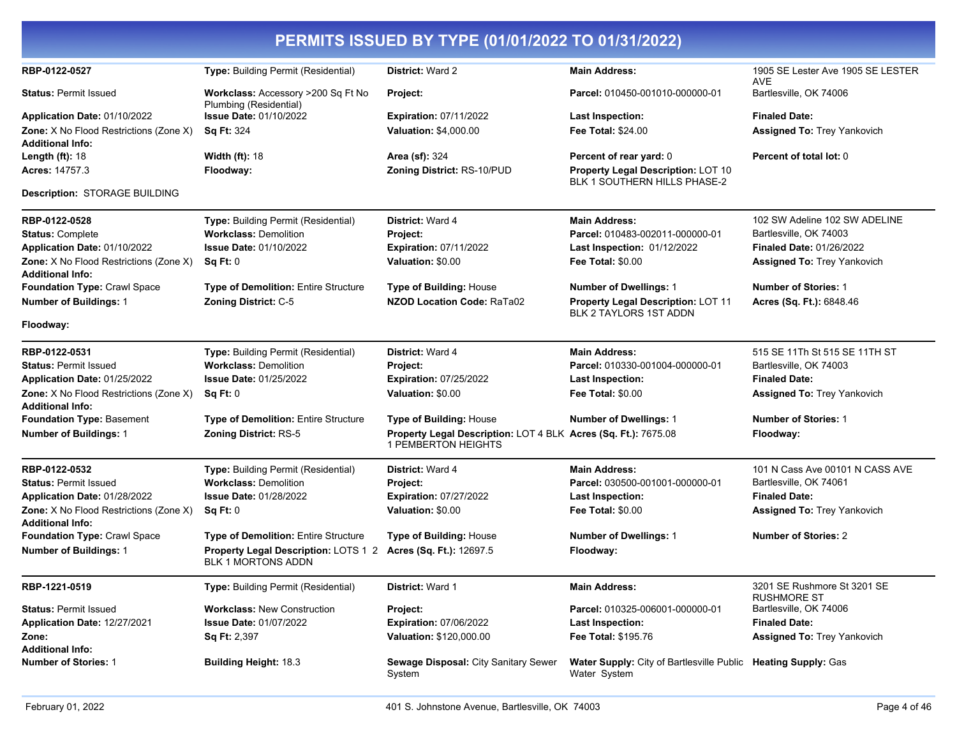| PERMITS ISSUED BY TYPE (01/01/2022 TO 01/31/2022)                        |                                                                   |                                                                                              |                                                                               |                                                   |  |
|--------------------------------------------------------------------------|-------------------------------------------------------------------|----------------------------------------------------------------------------------------------|-------------------------------------------------------------------------------|---------------------------------------------------|--|
| RBP-0122-0527                                                            | Type: Building Permit (Residential)                               | <b>District: Ward 2</b>                                                                      | <b>Main Address:</b>                                                          | 1905 SE Lester Ave 1905 SE LESTER<br>AVE          |  |
| <b>Status: Permit Issued</b>                                             | Workclass: Accessory >200 Sq Ft No<br>Plumbing (Residential)      | <b>Project:</b>                                                                              | Parcel: 010450-001010-000000-01                                               | Bartlesville, OK 74006                            |  |
| Application Date: 01/10/2022                                             | <b>Issue Date: 01/10/2022</b>                                     | <b>Expiration: 07/11/2022</b>                                                                | <b>Last Inspection:</b>                                                       | <b>Finaled Date:</b>                              |  |
| <b>Zone:</b> X No Flood Restrictions (Zone X)<br><b>Additional Info:</b> | <b>Sq Ft: 324</b>                                                 | <b>Valuation: \$4,000.00</b>                                                                 | <b>Fee Total: \$24.00</b>                                                     | <b>Assigned To: Trey Yankovich</b>                |  |
| Length $(ft)$ : 18                                                       | <b>Width (ft): 18</b>                                             | <b>Area (sf): 324</b>                                                                        | Percent of rear yard: 0                                                       | Percent of total lot: 0                           |  |
| <b>Acres: 14757.3</b>                                                    | Floodway:                                                         | Zoning District: RS-10/PUD                                                                   | Property Legal Description: LOT 10<br>BLK 1 SOUTHERN HILLS PHASE-2            |                                                   |  |
| <b>Description: STORAGE BUILDING</b>                                     |                                                                   |                                                                                              |                                                                               |                                                   |  |
| RBP-0122-0528                                                            | Type: Building Permit (Residential)                               | <b>District: Ward 4</b>                                                                      | <b>Main Address:</b>                                                          | 102 SW Adeline 102 SW ADELINE                     |  |
| <b>Status: Complete</b>                                                  | <b>Workclass: Demolition</b>                                      | Project:                                                                                     | Parcel: 010483-002011-000000-01                                               | Bartlesville, OK 74003                            |  |
| Application Date: 01/10/2022                                             | <b>Issue Date: 01/10/2022</b>                                     | <b>Expiration: 07/11/2022</b>                                                                | Last Inspection: 01/12/2022                                                   | <b>Finaled Date: 01/26/2022</b>                   |  |
| <b>Zone:</b> X No Flood Restrictions (Zone X)<br><b>Additional Info:</b> | Sq Ft: 0                                                          | Valuation: \$0.00                                                                            | <b>Fee Total: \$0.00</b>                                                      | <b>Assigned To: Trey Yankovich</b>                |  |
| Foundation Type: Crawl Space                                             | <b>Type of Demolition: Entire Structure</b>                       | Type of Building: House                                                                      | <b>Number of Dwellings: 1</b>                                                 | <b>Number of Stories: 1</b>                       |  |
| <b>Number of Buildings: 1</b>                                            | Zoning District: C-5                                              | <b>NZOD Location Code: RaTa02</b>                                                            | Property Legal Description: LOT 11<br><b>BLK 2 TAYLORS 1ST ADDN</b>           | Acres (Sq. Ft.): 6848.46                          |  |
| Floodway:                                                                |                                                                   |                                                                                              |                                                                               |                                                   |  |
| RBP-0122-0531                                                            | Type: Building Permit (Residential)                               | <b>District: Ward 4</b>                                                                      | <b>Main Address:</b>                                                          | 515 SE 11Th St 515 SE 11TH ST                     |  |
| <b>Status: Permit Issued</b>                                             | <b>Workclass: Demolition</b>                                      | Project:                                                                                     | Parcel: 010330-001004-000000-01                                               | Bartlesville, OK 74003                            |  |
| Application Date: 01/25/2022                                             | <b>Issue Date: 01/25/2022</b>                                     | <b>Expiration: 07/25/2022</b>                                                                | <b>Last Inspection:</b>                                                       | <b>Finaled Date:</b>                              |  |
| <b>Zone:</b> X No Flood Restrictions (Zone X)<br><b>Additional Info:</b> | Sq Ft: 0                                                          | Valuation: \$0.00                                                                            | <b>Fee Total: \$0.00</b>                                                      | <b>Assigned To: Trey Yankovich</b>                |  |
| Foundation Type: Basement                                                | <b>Type of Demolition: Entire Structure</b>                       | <b>Type of Building: House</b>                                                               | <b>Number of Dwellings: 1</b>                                                 | <b>Number of Stories: 1</b>                       |  |
| <b>Number of Buildings: 1</b>                                            | Zoning District: RS-5                                             | Property Legal Description: LOT 4 BLK Acres (Sq. Ft.): 7675.08<br><b>1 PEMBERTON HEIGHTS</b> |                                                                               | Floodway:                                         |  |
| RBP-0122-0532                                                            | Type: Building Permit (Residential)                               | <b>District: Ward 4</b>                                                                      | <b>Main Address:</b>                                                          | 101 N Cass Ave 00101 N CASS AVE                   |  |
| <b>Status: Permit Issued</b>                                             | <b>Workclass: Demolition</b>                                      | <b>Project:</b>                                                                              | Parcel: 030500-001001-000000-01                                               | Bartlesville, OK 74061                            |  |
| Application Date: 01/28/2022                                             | <b>Issue Date: 01/28/2022</b>                                     | <b>Expiration: 07/27/2022</b>                                                                | <b>Last Inspection:</b>                                                       | <b>Finaled Date:</b>                              |  |
| <b>Zone:</b> X No Flood Restrictions (Zone X)<br><b>Additional Info:</b> | Sq Ft: 0                                                          | Valuation: \$0.00                                                                            | Fee Total: \$0.00                                                             | <b>Assigned To: Trey Yankovich</b>                |  |
| Foundation Type: Crawl Space                                             | <b>Type of Demolition: Entire Structure</b>                       | <b>Type of Building: House</b>                                                               | <b>Number of Dwellings: 1</b>                                                 | <b>Number of Stories: 2</b>                       |  |
| <b>Number of Buildings: 1</b>                                            | Property Legal Description: LOTS 1 2<br><b>BLK 1 MORTONS ADDN</b> | Acres (Sq. Ft.): 12697.5                                                                     | Floodway:                                                                     |                                                   |  |
| RBP-1221-0519                                                            | <b>Type: Building Permit (Residential)</b>                        | District: Ward 1                                                                             | <b>Main Address:</b>                                                          | 3201 SE Rushmore St 3201 SE<br><b>RUSHMORE ST</b> |  |
| <b>Status: Permit Issued</b>                                             | <b>Workclass: New Construction</b>                                | Project:                                                                                     | Parcel: 010325-006001-000000-01                                               | Bartlesville, OK 74006                            |  |
| Application Date: 12/27/2021                                             | <b>Issue Date: 01/07/2022</b>                                     | <b>Expiration: 07/06/2022</b>                                                                | <b>Last Inspection:</b>                                                       | <b>Finaled Date:</b>                              |  |
| Zone:<br><b>Additional Info:</b>                                         | Sq Ft: 2,397                                                      | Valuation: \$120,000.00                                                                      | Fee Total: \$195.76                                                           | Assigned To: Trey Yankovich                       |  |
| <b>Number of Stories: 1</b>                                              | <b>Building Height: 18.3</b>                                      | Sewage Disposal: City Sanitary Sewer<br>System                                               | Water Supply: City of Bartlesville Public Heating Supply: Gas<br>Water System |                                                   |  |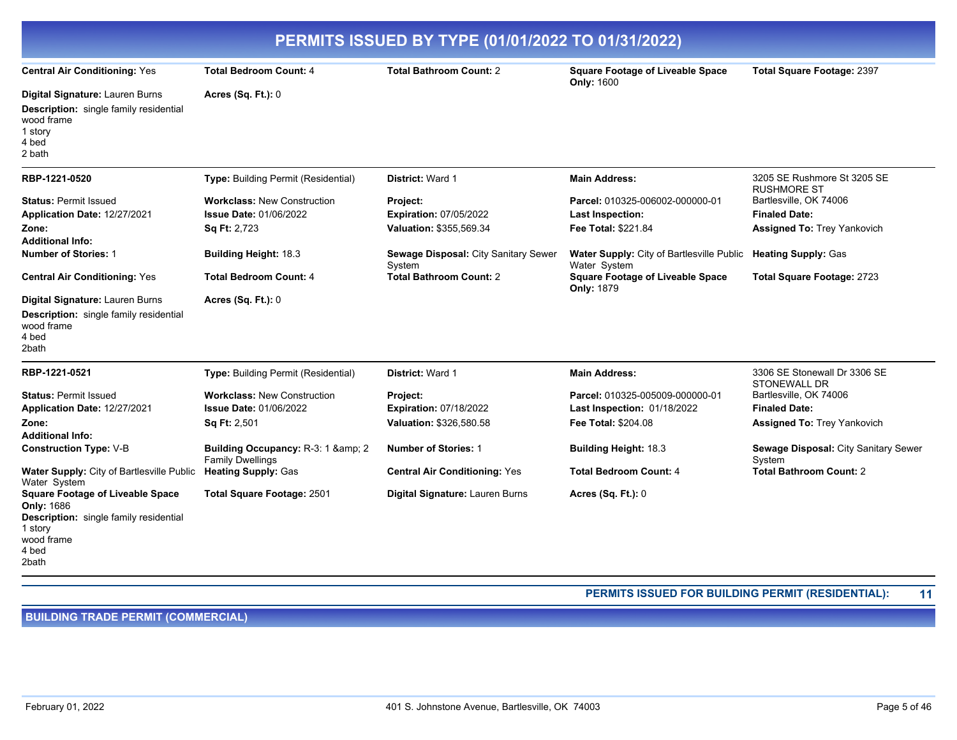| PERMITS ISSUED BY TYPE (01/01/2022 TO 01/31/2022)                                                                                                        |                                                                                     |                                                                      |                                                                                   |                                                                                      |
|----------------------------------------------------------------------------------------------------------------------------------------------------------|-------------------------------------------------------------------------------------|----------------------------------------------------------------------|-----------------------------------------------------------------------------------|--------------------------------------------------------------------------------------|
| <b>Central Air Conditioning: Yes</b>                                                                                                                     | <b>Total Bedroom Count: 4</b>                                                       | <b>Total Bathroom Count: 2</b>                                       | <b>Square Footage of Liveable Space</b><br><b>Only: 1600</b>                      | Total Square Footage: 2397                                                           |
| Digital Signature: Lauren Burns<br><b>Description:</b> single family residential<br>wood frame<br>1 story<br>4 bed<br>2 bath                             | <b>Acres (Sq. Ft.): 0</b>                                                           |                                                                      |                                                                                   |                                                                                      |
| RBP-1221-0520                                                                                                                                            | <b>Type: Building Permit (Residential)</b>                                          | District: Ward 1                                                     | <b>Main Address:</b>                                                              | 3205 SE Rushmore St 3205 SE<br><b>RUSHMORE ST</b>                                    |
| <b>Status: Permit Issued</b><br>Application Date: 12/27/2021<br>Zone:                                                                                    | <b>Workclass: New Construction</b><br><b>Issue Date: 01/06/2022</b><br>Sq Ft: 2,723 | Project:<br><b>Expiration: 07/05/2022</b><br>Valuation: \$355,569.34 | Parcel: 010325-006002-000000-01<br><b>Last Inspection:</b><br>Fee Total: \$221.84 | Bartlesville, OK 74006<br><b>Finaled Date:</b><br><b>Assigned To: Trey Yankovich</b> |
| <b>Additional Info:</b><br><b>Number of Stories: 1</b>                                                                                                   | <b>Building Height: 18.3</b>                                                        | Sewage Disposal: City Sanitary Sewer<br>System                       | Water Supply: City of Bartlesville Public<br>Water System                         | <b>Heating Supply: Gas</b>                                                           |
| <b>Central Air Conditioning: Yes</b>                                                                                                                     | <b>Total Bedroom Count: 4</b>                                                       | <b>Total Bathroom Count: 2</b>                                       | <b>Square Footage of Liveable Space</b><br><b>Only: 1879</b>                      | Total Square Footage: 2723                                                           |
| Digital Signature: Lauren Burns<br>Description: single family residential<br>wood frame<br>4 bed<br>2bath                                                | Acres (Sq. Ft.): 0                                                                  |                                                                      |                                                                                   |                                                                                      |
| RBP-1221-0521                                                                                                                                            | Type: Building Permit (Residential)                                                 | District: Ward 1                                                     | <b>Main Address:</b>                                                              | 3306 SE Stonewall Dr 3306 SE<br><b>STONEWALL DR</b>                                  |
| <b>Status: Permit Issued</b><br>Application Date: 12/27/2021                                                                                             | <b>Workclass: New Construction</b><br><b>Issue Date: 01/06/2022</b>                 | Project:<br><b>Expiration: 07/18/2022</b>                            | Parcel: 010325-005009-000000-01<br>Last Inspection: 01/18/2022                    | Bartlesville, OK 74006<br><b>Finaled Date:</b>                                       |
| Zone:<br><b>Additional Info:</b>                                                                                                                         | <b>Sq Ft: 2,501</b>                                                                 | Valuation: \$326,580.58                                              | <b>Fee Total: \$204.08</b>                                                        | <b>Assigned To: Trey Yankovich</b>                                                   |
| <b>Construction Type: V-B</b>                                                                                                                            | Building Occupancy: R-3: 1 & 2<br><b>Family Dwellings</b>                           | <b>Number of Stories: 1</b>                                          | <b>Building Height: 18.3</b>                                                      | Sewage Disposal: City Sanitary Sewer<br>System                                       |
| Water Supply: City of Bartlesville Public<br>Water System                                                                                                | <b>Heating Supply: Gas</b>                                                          | <b>Central Air Conditioning: Yes</b>                                 | <b>Total Bedroom Count: 4</b>                                                     | <b>Total Bathroom Count: 2</b>                                                       |
| <b>Square Footage of Liveable Space</b><br><b>Only: 1686</b><br><b>Description:</b> single family residential<br>1 story<br>wood frame<br>4 bed<br>2bath | Total Square Footage: 2501                                                          | Digital Signature: Lauren Burns                                      | Acres (Sq. Ft.): 0                                                                |                                                                                      |

#### **PERMITS ISSUED FOR BUILDING PERMIT (RESIDENTIAL): 11**

**BUILDING TRADE PERMIT (COMMERCIAL)**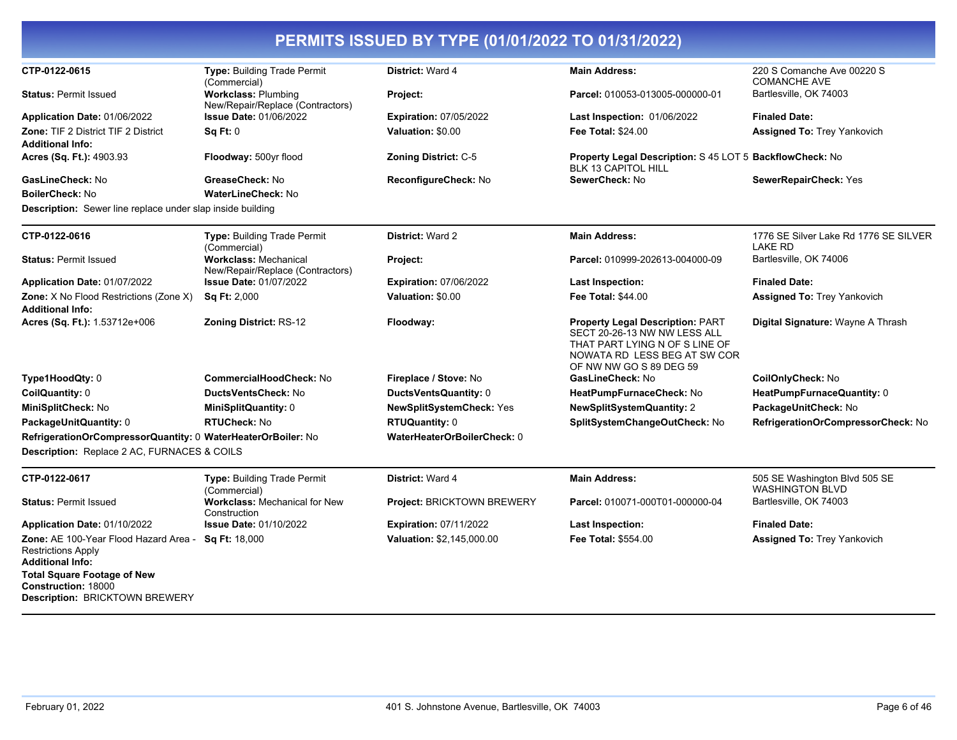| CTP-0122-0615                                                                          | Type: Building Trade Permit<br>(Commercial)                      | <b>District: Ward 4</b>       | <b>Main Address:</b>                                                                                                                                                 | 220 S Comanche Ave 00220 S<br><b>COMANCHE AVE</b>       |
|----------------------------------------------------------------------------------------|------------------------------------------------------------------|-------------------------------|----------------------------------------------------------------------------------------------------------------------------------------------------------------------|---------------------------------------------------------|
| <b>Status: Permit Issued</b>                                                           | <b>Workclass: Plumbing</b><br>New/Repair/Replace (Contractors)   | Project:                      | Parcel: 010053-013005-000000-01                                                                                                                                      | Bartlesville, OK 74003                                  |
| Application Date: 01/06/2022                                                           | <b>Issue Date: 01/06/2022</b>                                    | <b>Expiration: 07/05/2022</b> | Last Inspection: 01/06/2022                                                                                                                                          | <b>Finaled Date:</b>                                    |
| <b>Zone: TIF 2 District TIF 2 District</b>                                             | Sq Ft: 0                                                         | Valuation: \$0.00             | <b>Fee Total: \$24.00</b>                                                                                                                                            | <b>Assigned To: Trey Yankovich</b>                      |
| <b>Additional Info:</b>                                                                |                                                                  |                               |                                                                                                                                                                      |                                                         |
| Acres (Sq. Ft.): 4903.93                                                               | Floodway: 500yr flood                                            | Zoning District: C-5          | Property Legal Description: S 45 LOT 5 BackflowCheck: No<br>BLK 13 CAPITOL HILL                                                                                      |                                                         |
| <b>GasLineCheck: No</b>                                                                | GreaseCheck: No                                                  | ReconfigureCheck: No          | SewerCheck: No                                                                                                                                                       | SewerRepairCheck: Yes                                   |
| <b>BoilerCheck: No</b>                                                                 | <b>WaterLineCheck: No</b>                                        |                               |                                                                                                                                                                      |                                                         |
| <b>Description:</b> Sewer line replace under slap inside building                      |                                                                  |                               |                                                                                                                                                                      |                                                         |
| CTP-0122-0616                                                                          | <b>Type: Building Trade Permit</b><br>(Commercial)               | <b>District: Ward 2</b>       | <b>Main Address:</b>                                                                                                                                                 | 1776 SE Silver Lake Rd 1776 SE SILVER<br><b>LAKE RD</b> |
| <b>Status: Permit Issued</b>                                                           | <b>Workclass: Mechanical</b><br>New/Repair/Replace (Contractors) | Project:                      | Parcel: 010999-202613-004000-09                                                                                                                                      | Bartlesville, OK 74006                                  |
| Application Date: 01/07/2022                                                           | <b>Issue Date: 01/07/2022</b>                                    | <b>Expiration: 07/06/2022</b> | <b>Last Inspection:</b>                                                                                                                                              | <b>Finaled Date:</b>                                    |
| Zone: X No Flood Restrictions (Zone X)                                                 | Sq Ft: 2,000                                                     | Valuation: \$0.00             | Fee Total: \$44.00                                                                                                                                                   | <b>Assigned To: Trey Yankovich</b>                      |
| Additional Info:                                                                       |                                                                  |                               |                                                                                                                                                                      |                                                         |
| Acres (Sq. Ft.): 1.53712e+006                                                          | <b>Zoning District: RS-12</b>                                    | Floodway:                     | <b>Property Legal Description: PART</b><br>SECT 20-26-13 NW NW LESS ALL<br>THAT PART LYING N OF S LINE OF<br>NOWATA RD LESS BEG AT SW COR<br>OF NW NW GO S 89 DEG 59 | Digital Signature: Wayne A Thrash                       |
| Type1HoodQty: 0                                                                        | CommercialHoodCheck: No                                          | Fireplace / Stove: No         | GasLineCheck: No                                                                                                                                                     | <b>CoilOnlyCheck: No</b>                                |
| CoilQuantity: 0                                                                        | DuctsVentsCheck: No                                              | DuctsVentsQuantity: 0         | HeatPumpFurnaceCheck: No                                                                                                                                             | HeatPumpFurnaceQuantity: 0                              |
| MiniSplitCheck: No                                                                     | MiniSplitQuantity: 0                                             | NewSplitSystemCheck: Yes      | <b>NewSplitSystemQuantity: 2</b>                                                                                                                                     | PackageUnitCheck: No                                    |
| PackageUnitQuantity: 0                                                                 | <b>RTUCheck: No</b>                                              | <b>RTUQuantity: 0</b>         | SplitSystemChangeOutCheck: No                                                                                                                                        | RefrigerationOrCompressorCheck: No                      |
| RefrigerationOrCompressorQuantity: 0 WaterHeaterOrBoiler: No                           |                                                                  | WaterHeaterOrBoilerCheck: 0   |                                                                                                                                                                      |                                                         |
| Description: Replace 2 AC, FURNACES & COILS                                            |                                                                  |                               |                                                                                                                                                                      |                                                         |
| CTP-0122-0617                                                                          | Type: Building Trade Permit<br>(Commercial)                      | <b>District: Ward 4</b>       | <b>Main Address:</b>                                                                                                                                                 | 505 SE Washington Blvd 505 SE<br><b>WASHINGTON BLVD</b> |
| <b>Status: Permit Issued</b>                                                           | Workclass: Mechanical for New<br>Construction                    | Project: BRICKTOWN BREWERY    | Parcel: 010071-000T01-000000-04                                                                                                                                      | Bartlesville, OK 74003                                  |
| Application Date: 01/10/2022                                                           | <b>Issue Date: 01/10/2022</b>                                    | <b>Expiration: 07/11/2022</b> | <b>Last Inspection:</b>                                                                                                                                              | <b>Finaled Date:</b>                                    |
| Zone: AE 100-Year Flood Hazard Area -<br><b>Restrictions Apply</b><br>Additional Info: | Sq Ft: 18,000                                                    | Valuation: \$2,145,000.00     | Fee Total: \$554.00                                                                                                                                                  | <b>Assigned To: Trey Yankovich</b>                      |
| <b>Total Square Footage of New</b>                                                     |                                                                  |                               |                                                                                                                                                                      |                                                         |
| Construction: 18000<br><b>Description: BRICKTOWN BREWERY</b>                           |                                                                  |                               |                                                                                                                                                                      |                                                         |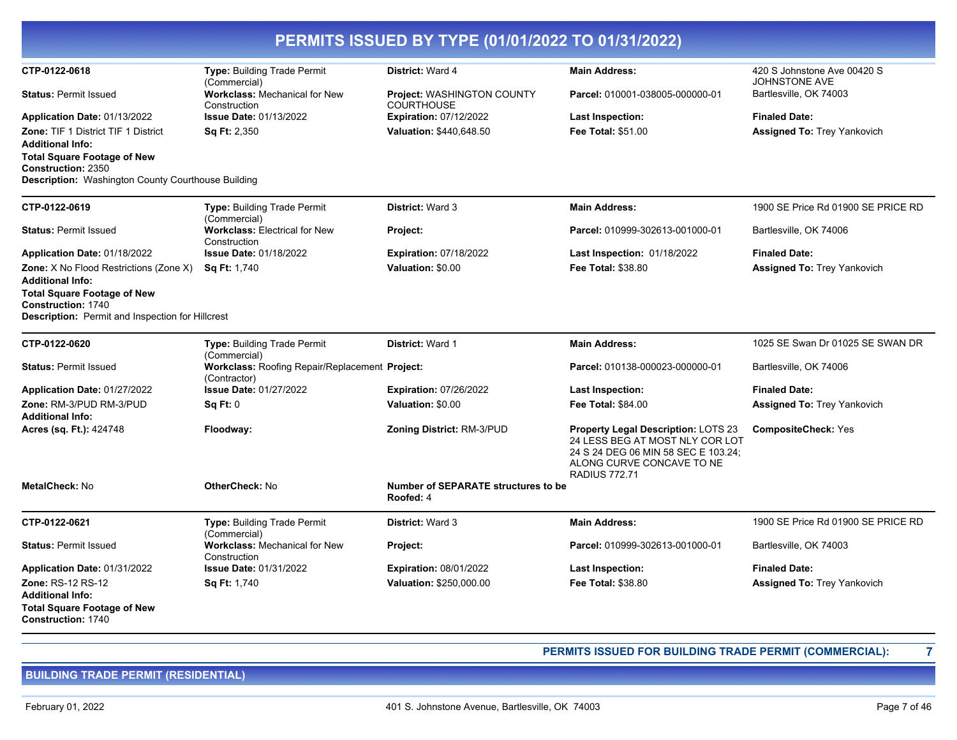| PERMITS ISSUED BY TYPE (01/01/2022 TO 01/31/2022)                                                                      |                                                                |                                                         |                                                                                                                                                                    |                                              |  |
|------------------------------------------------------------------------------------------------------------------------|----------------------------------------------------------------|---------------------------------------------------------|--------------------------------------------------------------------------------------------------------------------------------------------------------------------|----------------------------------------------|--|
| CTP-0122-0618                                                                                                          | <b>Type: Building Trade Permit</b><br>(Commercial)             | District: Ward 4                                        | <b>Main Address:</b>                                                                                                                                               | 420 S Johnstone Ave 00420 S<br>JOHNSTONE AVE |  |
| <b>Status: Permit Issued</b>                                                                                           | <b>Workclass: Mechanical for New</b><br>Construction           | Project: WASHINGTON COUNTY<br><b>COURTHOUSE</b>         | Parcel: 010001-038005-000000-01                                                                                                                                    | Bartlesville, OK 74003                       |  |
| Application Date: 01/13/2022                                                                                           | <b>Issue Date: 01/13/2022</b>                                  | <b>Expiration: 07/12/2022</b>                           | <b>Last Inspection:</b>                                                                                                                                            | <b>Finaled Date:</b>                         |  |
| <b>Zone: TIF 1 District TIF 1 District</b><br><b>Additional Info:</b><br><b>Total Square Footage of New</b>            | <b>Sq Ft: 2,350</b>                                            | Valuation: \$440,648.50                                 | <b>Fee Total: \$51.00</b>                                                                                                                                          | <b>Assigned To: Trey Yankovich</b>           |  |
| <b>Construction: 2350</b><br>Description: Washington County Courthouse Building                                        |                                                                |                                                         |                                                                                                                                                                    |                                              |  |
| CTP-0122-0619                                                                                                          | <b>Type: Building Trade Permit</b><br>(Commercial)             | District: Ward 3                                        | <b>Main Address:</b>                                                                                                                                               | 1900 SE Price Rd 01900 SE PRICE RD           |  |
| <b>Status: Permit Issued</b>                                                                                           | <b>Workclass: Electrical for New</b><br>Construction           | Project:                                                | Parcel: 010999-302613-001000-01                                                                                                                                    | Bartlesville, OK 74006                       |  |
| Application Date: 01/18/2022                                                                                           | <b>Issue Date: 01/18/2022</b>                                  | <b>Expiration: 07/18/2022</b>                           | Last Inspection: 01/18/2022                                                                                                                                        | <b>Finaled Date:</b>                         |  |
| <b>Zone:</b> X No Flood Restrictions (Zone X)<br><b>Additional Info:</b><br><b>Total Square Footage of New</b>         | <b>Sq Ft: 1,740</b>                                            | Valuation: \$0.00                                       | <b>Fee Total: \$38.80</b>                                                                                                                                          | <b>Assigned To: Trey Yankovich</b>           |  |
| Construction: 1740<br><b>Description:</b> Permit and Inspection for Hillcrest                                          |                                                                |                                                         |                                                                                                                                                                    |                                              |  |
| CTP-0122-0620                                                                                                          | <b>Type: Building Trade Permit</b><br>(Commercial)             | District: Ward 1                                        | <b>Main Address:</b>                                                                                                                                               | 1025 SE Swan Dr 01025 SE SWAN DR             |  |
| <b>Status: Permit Issued</b>                                                                                           | Workclass: Roofing Repair/Replacement Project:<br>(Contractor) |                                                         | Parcel: 010138-000023-000000-01                                                                                                                                    | Bartlesville, OK 74006                       |  |
| Application Date: 01/27/2022                                                                                           | <b>Issue Date: 01/27/2022</b>                                  | <b>Expiration: 07/26/2022</b>                           | Last Inspection:                                                                                                                                                   | <b>Finaled Date:</b>                         |  |
| <b>Zone: RM-3/PUD RM-3/PUD</b>                                                                                         | Sq Ft: 0                                                       | Valuation: \$0.00                                       | <b>Fee Total: \$84.00</b>                                                                                                                                          | <b>Assigned To: Trey Yankovich</b>           |  |
| <b>Additional Info:</b><br>Acres (sq. Ft.): 424748                                                                     | Floodway:                                                      | <b>Zoning District: RM-3/PUD</b>                        | Property Legal Description: LOTS 23<br>24 LESS BEG AT MOST NLY COR LOT<br>24 S 24 DEG 06 MIN 58 SEC E 103.24;<br>ALONG CURVE CONCAVE TO NE<br><b>RADIUS 772.71</b> | <b>CompositeCheck: Yes</b>                   |  |
| <b>MetalCheck: No</b>                                                                                                  | <b>OtherCheck: No</b>                                          | <b>Number of SEPARATE structures to be</b><br>Roofed: 4 |                                                                                                                                                                    |                                              |  |
| CTP-0122-0621                                                                                                          | Type: Building Trade Permit<br>(Commercial)                    | <b>District: Ward 3</b>                                 | <b>Main Address:</b>                                                                                                                                               | 1900 SE Price Rd 01900 SE PRICE RD           |  |
| <b>Status: Permit Issued</b>                                                                                           | Workclass: Mechanical for New<br>Construction                  | Project:                                                | Parcel: 010999-302613-001000-01                                                                                                                                    | Bartlesville, OK 74003                       |  |
| Application Date: 01/31/2022                                                                                           | <b>Issue Date: 01/31/2022</b>                                  | <b>Expiration: 08/01/2022</b>                           | <b>Last Inspection:</b>                                                                                                                                            | <b>Finaled Date:</b>                         |  |
| <b>Zone: RS-12 RS-12</b><br><b>Additional Info:</b><br><b>Total Square Footage of New</b><br><b>Construction: 1740</b> | Sq Ft: 1,740                                                   | Valuation: \$250,000.00                                 | <b>Fee Total: \$38.80</b>                                                                                                                                          | <b>Assigned To: Trey Yankovich</b>           |  |

**PERMITS ISSUED FOR BUILDING TRADE PERMIT (COMMERCIAL): 7**

**BUILDING TRADE PERMIT (RESIDENTIAL)**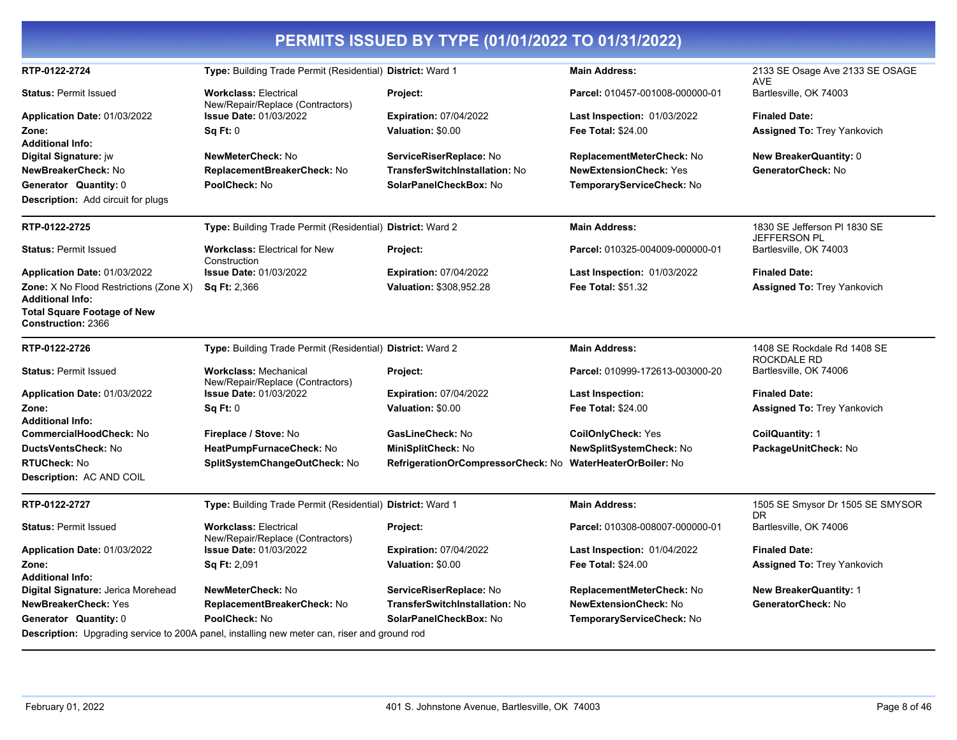|                                                                 |                                                                                                     | PERMITS ISSUED BY TYPE (01/01/2022 TO 01/31/2022)          |                                    |                                               |
|-----------------------------------------------------------------|-----------------------------------------------------------------------------------------------------|------------------------------------------------------------|------------------------------------|-----------------------------------------------|
| RTP-0122-2724                                                   | Type: Building Trade Permit (Residential) District: Ward 1                                          |                                                            | <b>Main Address:</b>               | 2133 SE Osage Ave 2133 SE OSAGE<br>AVE        |
| <b>Status: Permit Issued</b>                                    | <b>Workclass: Electrical</b><br>New/Repair/Replace (Contractors)                                    | Project:                                                   | Parcel: 010457-001008-000000-01    | Bartlesville, OK 74003                        |
| <b>Application Date: 01/03/2022</b>                             | <b>Issue Date: 01/03/2022</b>                                                                       | <b>Expiration: 07/04/2022</b>                              | <b>Last Inspection: 01/03/2022</b> | <b>Finaled Date:</b>                          |
| Zone:                                                           | Sq Ft: 0                                                                                            | Valuation: \$0.00                                          | <b>Fee Total: \$24.00</b>          | Assigned To: Trey Yankovich                   |
| <b>Additional Info:</b>                                         |                                                                                                     |                                                            |                                    |                                               |
| Digital Signature: jw                                           | <b>NewMeterCheck: No</b>                                                                            | ServiceRiserReplace: No                                    | ReplacementMeterCheck: No          | <b>New BreakerQuantity: 0</b>                 |
| NewBreakerCheck: No                                             | ReplacementBreakerCheck: No                                                                         | TransferSwitchInstallation: No                             | <b>NewExtensionCheck: Yes</b>      | GeneratorCheck: No                            |
| Generator Quantity: 0                                           | PoolCheck: No                                                                                       | SolarPanelCheckBox: No                                     | TemporaryServiceCheck: No          |                                               |
| <b>Description:</b> Add circuit for plugs                       |                                                                                                     |                                                            |                                    |                                               |
| RTP-0122-2725                                                   | Type: Building Trade Permit (Residential) District: Ward 2                                          |                                                            | <b>Main Address:</b>               | 1830 SE Jefferson PI 1830 SE                  |
| <b>Status: Permit Issued</b>                                    | <b>Workclass: Electrical for New</b><br>Construction                                                | Project:                                                   | Parcel: 010325-004009-000000-01    | <b>JEFFERSON PL</b><br>Bartlesville, OK 74003 |
| Application Date: 01/03/2022                                    | <b>Issue Date: 01/03/2022</b>                                                                       | <b>Expiration: 07/04/2022</b>                              | <b>Last Inspection: 01/03/2022</b> | <b>Finaled Date:</b>                          |
| Zone: X No Flood Restrictions (Zone X)                          | <b>Sq Ft: 2,366</b>                                                                                 | Valuation: \$308,952.28                                    | Fee Total: \$51.32                 | <b>Assigned To: Trey Yankovich</b>            |
| <b>Additional Info:</b>                                         |                                                                                                     |                                                            |                                    |                                               |
| <b>Total Square Footage of New</b><br><b>Construction: 2366</b> |                                                                                                     |                                                            |                                    |                                               |
| RTP-0122-2726                                                   | Type: Building Trade Permit (Residential) District: Ward 2                                          |                                                            | <b>Main Address:</b>               | 1408 SE Rockdale Rd 1408 SE<br>ROCKDALE RD    |
| <b>Status: Permit Issued</b>                                    | <b>Workclass: Mechanical</b><br>New/Repair/Replace (Contractors)                                    | Project:                                                   | Parcel: 010999-172613-003000-20    | Bartlesville, OK 74006                        |
| Application Date: 01/03/2022                                    | Issue Date: 01/03/2022                                                                              | <b>Expiration: 07/04/2022</b>                              | Last Inspection:                   | <b>Finaled Date:</b>                          |
| Zone:                                                           | Sq Ft: 0                                                                                            | Valuation: \$0.00                                          | <b>Fee Total: \$24.00</b>          | <b>Assigned To: Trey Yankovich</b>            |
| <b>Additional Info:</b>                                         |                                                                                                     |                                                            |                                    |                                               |
| CommercialHoodCheck: No                                         | Fireplace / Stove: No                                                                               | <b>GasLineCheck: No</b>                                    | <b>CoilOnlyCheck: Yes</b>          | <b>CoilQuantity: 1</b>                        |
| DuctsVentsCheck: No                                             | HeatPumpFurnaceCheck: No                                                                            | MiniSplitCheck: No                                         | NewSplitSystemCheck: No            | PackageUnitCheck: No                          |
| <b>RTUCheck: No</b>                                             | SplitSystemChangeOutCheck: No                                                                       | RefrigerationOrCompressorCheck: No WaterHeaterOrBoiler: No |                                    |                                               |
| Description: AC AND COIL                                        |                                                                                                     |                                                            |                                    |                                               |
| RTP-0122-2727                                                   | Type: Building Trade Permit (Residential) District: Ward 1                                          |                                                            | <b>Main Address:</b>               | 1505 SE Smysor Dr 1505 SE SMYSOR<br>DR        |
| <b>Status: Permit Issued</b>                                    | <b>Workclass: Electrical</b><br>New/Repair/Replace (Contractors)                                    | Project:                                                   | Parcel: 010308-008007-000000-01    | Bartlesville, OK 74006                        |
| Application Date: 01/03/2022                                    | <b>Issue Date: 01/03/2022</b>                                                                       | <b>Expiration: 07/04/2022</b>                              | <b>Last Inspection: 01/04/2022</b> | <b>Finaled Date:</b>                          |
| Zone:                                                           | <b>Sq Ft: 2,091</b>                                                                                 | Valuation: \$0.00                                          | <b>Fee Total: \$24.00</b>          | <b>Assigned To: Trey Yankovich</b>            |
| <b>Additional Info:</b>                                         |                                                                                                     |                                                            |                                    |                                               |
| Digital Signature: Jerica Morehead                              | NewMeterCheck: No                                                                                   | ServiceRiserReplace: No                                    | ReplacementMeterCheck: No          | <b>New BreakerQuantity: 1</b>                 |
| <b>NewBreakerCheck: Yes</b>                                     | ReplacementBreakerCheck: No                                                                         | <b>TransferSwitchInstallation: No</b>                      | <b>NewExtensionCheck: No</b>       | GeneratorCheck: No                            |
| Generator Quantity: 0                                           | PoolCheck: No                                                                                       | SolarPanelCheckBox: No                                     | TemporaryServiceCheck: No          |                                               |
|                                                                 | <b>Description:</b> Upgrading service to 200A panel, installing new meter can, riser and ground rod |                                                            |                                    |                                               |

-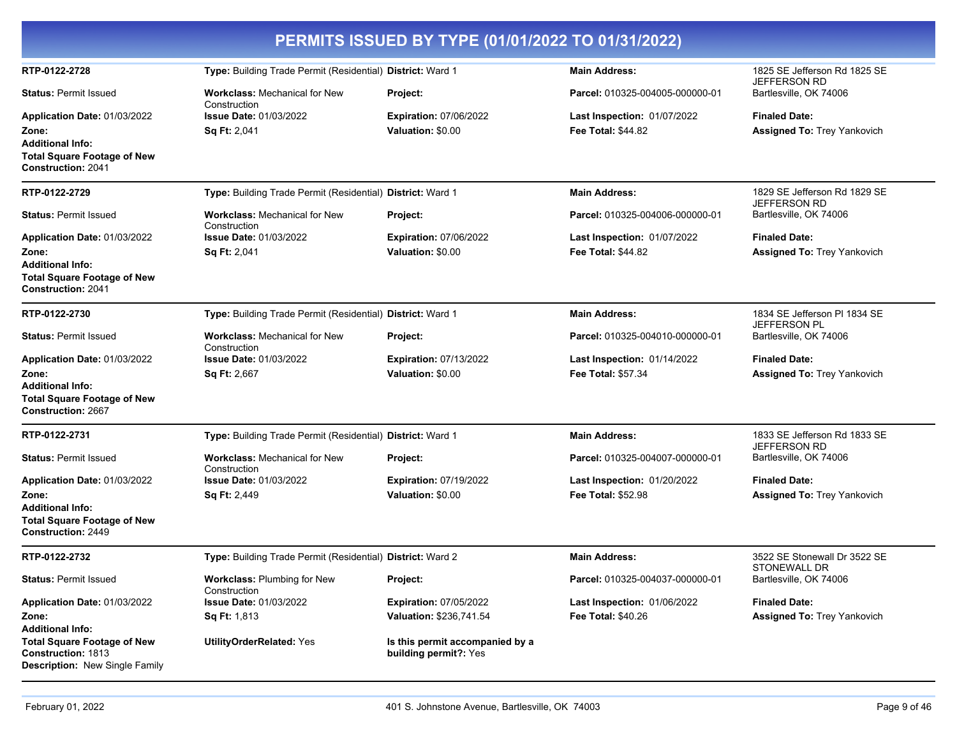| PERMITS ISSUED BY TYPE (01/01/2022 TO 01/31/2022)                                                                                   |                                                            |                                                          |                                                          |                                                            |  |
|-------------------------------------------------------------------------------------------------------------------------------------|------------------------------------------------------------|----------------------------------------------------------|----------------------------------------------------------|------------------------------------------------------------|--|
| RTP-0122-2728                                                                                                                       | Type: Building Trade Permit (Residential) District: Ward 1 |                                                          | <b>Main Address:</b>                                     | 1825 SE Jefferson Rd 1825 SE<br><b>JEFFERSON RD</b>        |  |
| <b>Status: Permit Issued</b>                                                                                                        | <b>Workclass: Mechanical for New</b><br>Construction       | Project:                                                 | Parcel: 010325-004005-000000-01                          | Bartlesville, OK 74006                                     |  |
| Application Date: 01/03/2022<br>Zone:<br><b>Additional Info:</b><br><b>Total Square Footage of New</b><br><b>Construction: 2041</b> | <b>Issue Date: 01/03/2022</b><br><b>Sq Ft: 2,041</b>       | <b>Expiration: 07/06/2022</b><br>Valuation: \$0.00       | Last Inspection: 01/07/2022<br><b>Fee Total: \$44.82</b> | <b>Finaled Date:</b><br>Assigned To: Trey Yankovich        |  |
| RTP-0122-2729                                                                                                                       | Type: Building Trade Permit (Residential) District: Ward 1 |                                                          | <b>Main Address:</b>                                     | 1829 SE Jefferson Rd 1829 SE<br>JEFFERSON RD               |  |
| <b>Status: Permit Issued</b>                                                                                                        | <b>Workclass: Mechanical for New</b><br>Construction       | Project:                                                 | Parcel: 010325-004006-000000-01                          | Bartlesville, OK 74006                                     |  |
| Application Date: 01/03/2022<br>Zone:<br><b>Additional Info:</b><br><b>Total Square Footage of New</b><br><b>Construction: 2041</b> | <b>Issue Date: 01/03/2022</b><br>Sq Ft: 2,041              | <b>Expiration: 07/06/2022</b><br>Valuation: \$0.00       | Last Inspection: 01/07/2022<br>Fee Total: \$44.82        | <b>Finaled Date:</b><br><b>Assigned To: Trey Yankovich</b> |  |
| RTP-0122-2730                                                                                                                       | Type: Building Trade Permit (Residential) District: Ward 1 |                                                          | <b>Main Address:</b>                                     | 1834 SE Jefferson PI 1834 SE                               |  |
| <b>Status: Permit Issued</b>                                                                                                        | <b>Workclass: Mechanical for New</b><br>Construction       | Project:                                                 | Parcel: 010325-004010-000000-01                          | JEFFERSON PL<br>Bartlesville, OK 74006                     |  |
| Application Date: 01/03/2022<br>Zone:<br><b>Additional Info:</b><br><b>Total Square Footage of New</b><br><b>Construction: 2667</b> | <b>Issue Date: 01/03/2022</b><br><b>Sq Ft: 2,667</b>       | <b>Expiration: 07/13/2022</b><br>Valuation: \$0.00       | Last Inspection: 01/14/2022<br><b>Fee Total: \$57.34</b> | <b>Finaled Date:</b><br>Assigned To: Trey Yankovich        |  |
| RTP-0122-2731                                                                                                                       | Type: Building Trade Permit (Residential) District: Ward 1 |                                                          | <b>Main Address:</b>                                     | 1833 SE Jefferson Rd 1833 SE<br>JEFFERSON RD               |  |
| <b>Status: Permit Issued</b>                                                                                                        | <b>Workclass: Mechanical for New</b><br>Construction       | Project:                                                 | Parcel: 010325-004007-000000-01                          | Bartlesville, OK 74006                                     |  |
| Application Date: 01/03/2022                                                                                                        | <b>Issue Date: 01/03/2022</b>                              | <b>Expiration: 07/19/2022</b>                            | <b>Last Inspection: 01/20/2022</b>                       | <b>Finaled Date:</b>                                       |  |
| Zone:<br><b>Additional Info:</b><br><b>Total Square Footage of New</b><br><b>Construction: 2449</b>                                 | Sq Ft: 2,449                                               | Valuation: \$0.00                                        | Fee Total: \$52.98                                       | <b>Assigned To: Trey Yankovich</b>                         |  |
| RTP-0122-2732                                                                                                                       | Type: Building Trade Permit (Residential) District: Ward 2 |                                                          | <b>Main Address:</b>                                     | 3522 SE Stonewall Dr 3522 SE<br>STONEWALL DR               |  |
| <b>Status: Permit Issued</b>                                                                                                        | Workclass: Plumbing for New<br>Construction                | Project:                                                 | Parcel: 010325-004037-000000-01                          | Bartlesville, OK 74006                                     |  |
| Application Date: 01/03/2022                                                                                                        | <b>Issue Date: 01/03/2022</b>                              | <b>Expiration: 07/05/2022</b>                            | Last Inspection: 01/06/2022                              | <b>Finaled Date:</b>                                       |  |
| Zone:<br><b>Additional Info:</b>                                                                                                    | <b>Sq Ft:</b> 1,813                                        | Valuation: \$236,741.54                                  | <b>Fee Total: \$40.26</b>                                | Assigned To: Trey Yankovich                                |  |
| <b>Total Square Footage of New</b><br><b>Construction: 1813</b><br><b>Description:</b> New Single Family                            | <b>UtilityOrderRelated: Yes</b>                            | Is this permit accompanied by a<br>building permit?: Yes |                                                          |                                                            |  |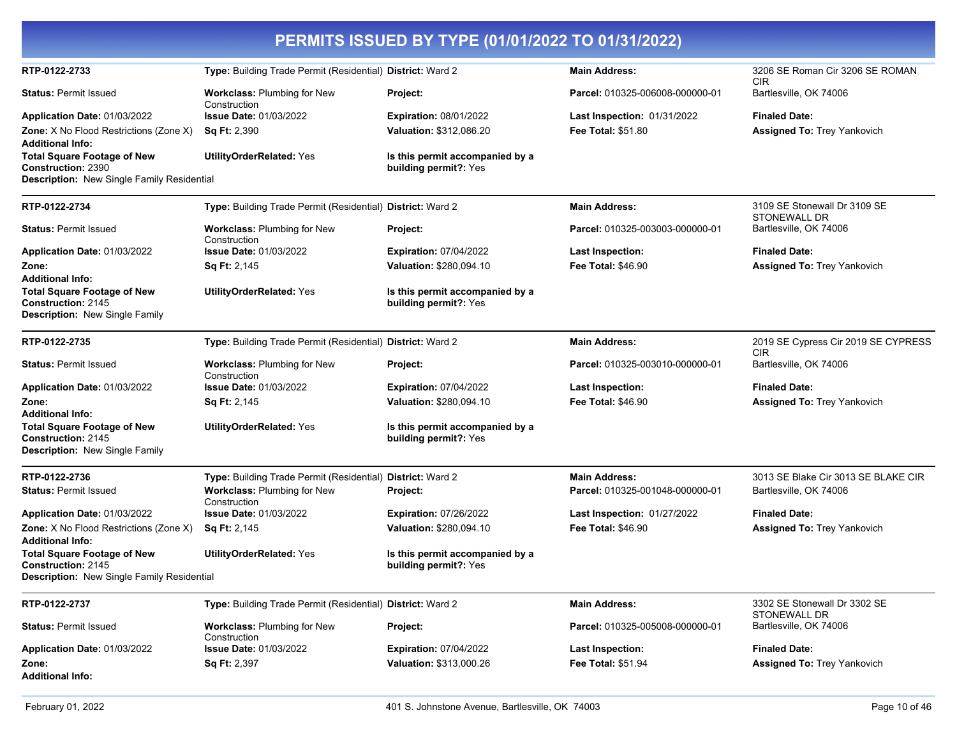|                                                                                                               |                                                            | PERMITS ISSUED BY TYPE (01/01/2022 TO 01/31/2022)        |                                 |                                               |
|---------------------------------------------------------------------------------------------------------------|------------------------------------------------------------|----------------------------------------------------------|---------------------------------|-----------------------------------------------|
| RTP-0122-2733                                                                                                 | Type: Building Trade Permit (Residential) District: Ward 2 |                                                          | <b>Main Address:</b>            | 3206 SE Roman Cir 3206 SE ROMAN<br><b>CIR</b> |
| <b>Status: Permit Issued</b>                                                                                  | <b>Workclass: Plumbing for New</b><br>Construction         | <b>Project:</b>                                          | Parcel: 010325-006008-000000-01 | Bartlesville, OK 74006                        |
| Application Date: 01/03/2022                                                                                  | <b>Issue Date: 01/03/2022</b>                              | <b>Expiration: 08/01/2022</b>                            | Last Inspection: 01/31/2022     | <b>Finaled Date:</b>                          |
| Zone: X No Flood Restrictions (Zone X)<br><b>Additional Info:</b>                                             | <b>Sq Ft: 2,390</b>                                        | Valuation: \$312,086.20                                  | <b>Fee Total: \$51.80</b>       | Assigned To: Trey Yankovich                   |
| <b>Total Square Footage of New</b><br><b>Construction: 2390</b><br>Description: New Single Family Residential | <b>UtilityOrderRelated: Yes</b>                            | Is this permit accompanied by a<br>building permit?: Yes |                                 |                                               |
|                                                                                                               |                                                            |                                                          |                                 |                                               |
| RTP-0122-2734                                                                                                 | Type: Building Trade Permit (Residential) District: Ward 2 |                                                          | <b>Main Address:</b>            | 3109 SE Stonewall Dr 3109 SE<br>STONEWALL DR  |
| <b>Status: Permit Issued</b>                                                                                  | Workclass: Plumbing for New<br>Construction                | Project:                                                 | Parcel: 010325-003003-000000-01 | Bartlesville, OK 74006                        |
| Application Date: 01/03/2022                                                                                  | <b>Issue Date: 01/03/2022</b>                              | <b>Expiration: 07/04/2022</b>                            | Last Inspection:                | <b>Finaled Date:</b>                          |
| Zone:<br><b>Additional Info:</b>                                                                              | <b>Sq Ft: 2,145</b>                                        | Valuation: \$280,094.10                                  | <b>Fee Total: \$46.90</b>       | <b>Assigned To: Trey Yankovich</b>            |
| <b>Total Square Footage of New</b><br>Construction: 2145<br>Description: New Single Family                    | <b>UtilityOrderRelated: Yes</b>                            | Is this permit accompanied by a<br>building permit?: Yes |                                 |                                               |
| RTP-0122-2735                                                                                                 | Type: Building Trade Permit (Residential) District: Ward 2 |                                                          | <b>Main Address:</b>            | 2019 SE Cypress Cir 2019 SE CYPRESS           |
| <b>Status: Permit Issued</b>                                                                                  | Workclass: Plumbing for New<br>Construction                | <b>Project:</b>                                          | Parcel: 010325-003010-000000-01 | <b>CIR</b><br>Bartlesville, OK 74006          |
| Application Date: 01/03/2022                                                                                  | <b>Issue Date: 01/03/2022</b>                              | <b>Expiration: 07/04/2022</b>                            | <b>Last Inspection:</b>         | <b>Finaled Date:</b>                          |
| Zone:<br><b>Additional Info:</b>                                                                              | <b>Sq Ft: 2,145</b>                                        | Valuation: \$280,094.10                                  | <b>Fee Total: \$46.90</b>       | Assigned To: Trey Yankovich                   |
| <b>Total Square Footage of New</b><br>Construction: 2145<br><b>Description: New Single Family</b>             | <b>UtilityOrderRelated: Yes</b>                            | Is this permit accompanied by a<br>building permit?: Yes |                                 |                                               |
| RTP-0122-2736                                                                                                 | Type: Building Trade Permit (Residential) District: Ward 2 |                                                          | <b>Main Address:</b>            | 3013 SE Blake Cir 3013 SE BLAKE CIR           |
| <b>Status: Permit Issued</b>                                                                                  | Workclass: Plumbing for New<br>Construction                | Project:                                                 | Parcel: 010325-001048-000000-01 | Bartlesville, OK 74006                        |
| Application Date: 01/03/2022                                                                                  | <b>Issue Date: 01/03/2022</b>                              | <b>Expiration: 07/26/2022</b>                            | Last Inspection: 01/27/2022     | <b>Finaled Date:</b>                          |
| Zone: X No Flood Restrictions (Zone X)<br><b>Additional Info:</b>                                             | <b>Sq Ft: 2,145</b>                                        | Valuation: \$280,094.10                                  | <b>Fee Total: \$46.90</b>       | <b>Assigned To: Trey Yankovich</b>            |
| <b>Total Square Footage of New</b><br><b>Construction: 2145</b><br>Description: New Single Family Residential | <b>UtilityOrderRelated: Yes</b>                            | Is this permit accompanied by a<br>building permit?: Yes |                                 |                                               |
|                                                                                                               |                                                            |                                                          |                                 |                                               |
| RTP-0122-2737                                                                                                 | Type: Building Trade Permit (Residential) District: Ward 2 |                                                          | Main Address:                   | 3302 SE Stonewall Dr 3302 SE<br>STONEWALL DR  |
| <b>Status: Permit Issued</b>                                                                                  | Workclass: Plumbing for New<br>Construction                | Project:                                                 | Parcel: 010325-005008-000000-01 | Bartlesville, OK 74006                        |
| Application Date: 01/03/2022                                                                                  | <b>Issue Date: 01/03/2022</b>                              | <b>Expiration: 07/04/2022</b>                            | <b>Last Inspection:</b>         | <b>Finaled Date:</b>                          |
| Zone:<br><b>Additional Info:</b>                                                                              | <b>Sq Ft: 2,397</b>                                        | Valuation: \$313,000.26                                  | Fee Total: \$51.94              | Assigned To: Trey Yankovich                   |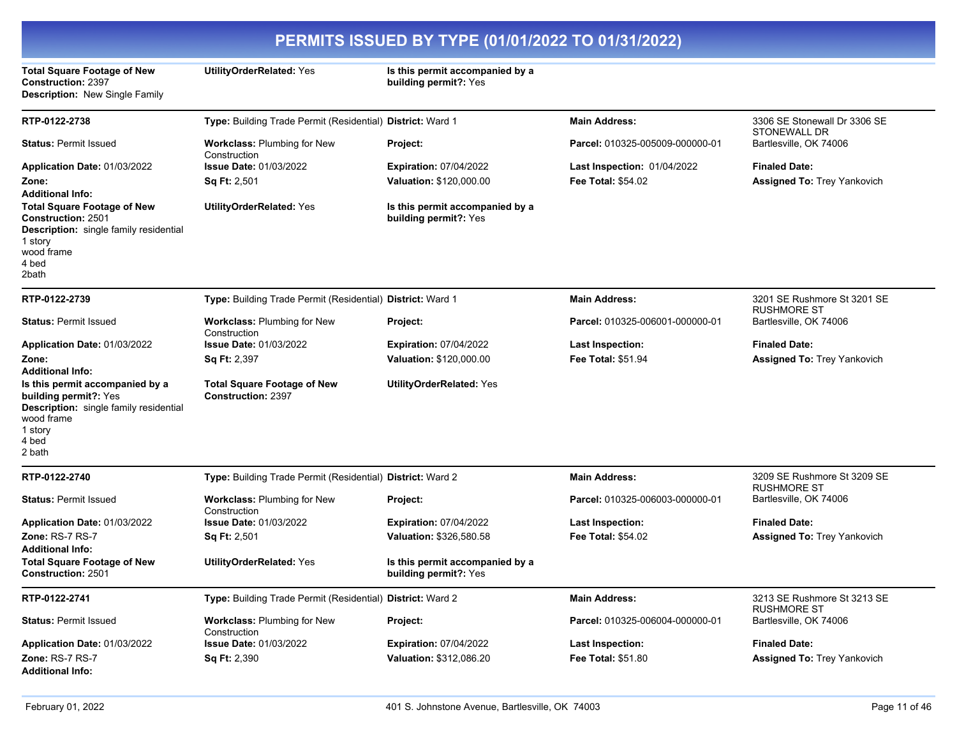| PERMITS ISSUED BY TYPE (01/01/2022 TO 01/31/2022)                                                                                                                                |                                                                 |                                                          |                                    |                                                   |
|----------------------------------------------------------------------------------------------------------------------------------------------------------------------------------|-----------------------------------------------------------------|----------------------------------------------------------|------------------------------------|---------------------------------------------------|
| <b>Total Square Footage of New</b><br><b>Construction: 2397</b><br><b>Description: New Single Family</b>                                                                         | <b>UtilityOrderRelated: Yes</b>                                 | Is this permit accompanied by a<br>building permit?: Yes |                                    |                                                   |
| RTP-0122-2738                                                                                                                                                                    | Type: Building Trade Permit (Residential) District: Ward 1      |                                                          | <b>Main Address:</b>               | 3306 SE Stonewall Dr 3306 SE<br>STONEWALL DR      |
| <b>Status: Permit Issued</b>                                                                                                                                                     | Workclass: Plumbing for New<br>Construction                     | Project:                                                 | Parcel: 010325-005009-000000-01    | Bartlesville, OK 74006                            |
| Application Date: 01/03/2022                                                                                                                                                     | <b>Issue Date: 01/03/2022</b>                                   | <b>Expiration: 07/04/2022</b>                            | <b>Last Inspection: 01/04/2022</b> | <b>Finaled Date:</b>                              |
| Zone:<br><b>Additional Info:</b>                                                                                                                                                 | <b>Sq Ft: 2,501</b>                                             | Valuation: \$120,000.00                                  | <b>Fee Total: \$54.02</b>          | <b>Assigned To: Trey Yankovich</b>                |
| <b>Total Square Footage of New</b><br><b>Construction: 2501</b><br>Description: single family residential<br>1 story<br>wood frame<br>4 bed<br>2bath                             | <b>UtilityOrderRelated: Yes</b>                                 | Is this permit accompanied by a<br>building permit?: Yes |                                    |                                                   |
| RTP-0122-2739                                                                                                                                                                    | Type: Building Trade Permit (Residential) District: Ward 1      |                                                          | <b>Main Address:</b>               | 3201 SE Rushmore St 3201 SE<br><b>RUSHMORE ST</b> |
| <b>Status: Permit Issued</b>                                                                                                                                                     | <b>Workclass: Plumbing for New</b><br>Construction              | Project:                                                 | Parcel: 010325-006001-000000-01    | Bartlesville, OK 74006                            |
| Application Date: 01/03/2022                                                                                                                                                     | <b>Issue Date: 01/03/2022</b>                                   | <b>Expiration: 07/04/2022</b>                            | <b>Last Inspection:</b>            | <b>Finaled Date:</b>                              |
| Zone:                                                                                                                                                                            | <b>Sq Ft: 2,397</b>                                             | Valuation: \$120,000.00                                  | <b>Fee Total: \$51.94</b>          | <b>Assigned To: Trey Yankovich</b>                |
| <b>Additional Info:</b><br>Is this permit accompanied by a<br>building permit?: Yes<br><b>Description:</b> single family residential<br>wood frame<br>1 story<br>4 bed<br>2 bath | <b>Total Square Footage of New</b><br><b>Construction: 2397</b> | <b>UtilityOrderRelated: Yes</b>                          |                                    |                                                   |
| RTP-0122-2740                                                                                                                                                                    | Type: Building Trade Permit (Residential) District: Ward 2      |                                                          | <b>Main Address:</b>               | 3209 SE Rushmore St 3209 SE<br><b>RUSHMORE ST</b> |
| <b>Status: Permit Issued</b>                                                                                                                                                     | Workclass: Plumbing for New<br>Construction                     | Project:                                                 | Parcel: 010325-006003-000000-01    | Bartlesville, OK 74006                            |
| Application Date: 01/03/2022                                                                                                                                                     | <b>Issue Date: 01/03/2022</b>                                   | <b>Expiration: 07/04/2022</b>                            | <b>Last Inspection:</b>            | <b>Finaled Date:</b>                              |
| Zone: RS-7 RS-7<br><b>Additional Info:</b>                                                                                                                                       | <b>Sq Ft: 2,501</b>                                             | Valuation: \$326,580.58                                  | <b>Fee Total: \$54.02</b>          | <b>Assigned To: Trey Yankovich</b>                |
| <b>Total Square Footage of New</b><br><b>Construction: 2501</b>                                                                                                                  | <b>UtilityOrderRelated: Yes</b>                                 | Is this permit accompanied by a<br>building permit?: Yes |                                    |                                                   |
| RTP-0122-2741                                                                                                                                                                    | Type: Building Trade Permit (Residential) District: Ward 2      |                                                          | <b>Main Address:</b>               | 3213 SE Rushmore St 3213 SE<br><b>RUSHMORE ST</b> |
| <b>Status: Permit Issued</b>                                                                                                                                                     | <b>Workclass: Plumbing for New</b><br>Construction              | Project:                                                 | Parcel: 010325-006004-000000-01    | Bartlesville, OK 74006                            |
| Application Date: 01/03/2022                                                                                                                                                     | <b>Issue Date: 01/03/2022</b>                                   | <b>Expiration: 07/04/2022</b>                            | <b>Last Inspection:</b>            | <b>Finaled Date:</b>                              |
| <b>Zone: RS-7 RS-7</b><br><b>Additional Info:</b>                                                                                                                                | Sq Ft: 2,390                                                    | Valuation: \$312,086.20                                  | <b>Fee Total: \$51.80</b>          | <b>Assigned To: Trey Yankovich</b>                |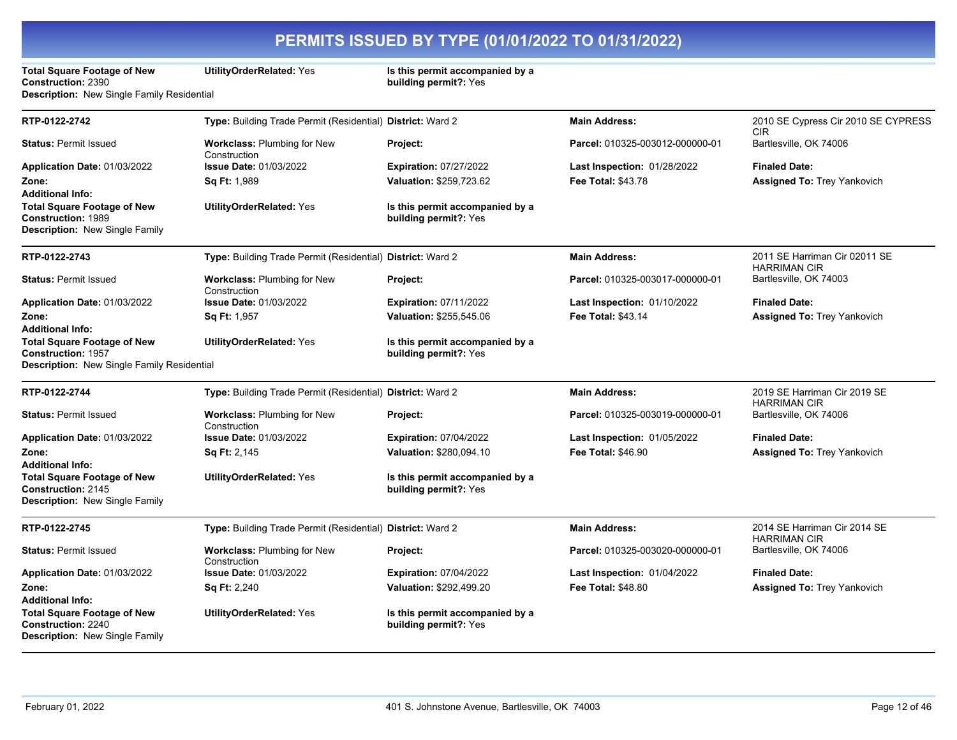**Total Square Footage of New Construction:** 2390 **Description:** New Single Family Residential

**UtilityOrderRelated:** Yes **Is this permit accompanied by a building permit?:** Yes

| RTP-0122-2742                                                                                            | Type: Building Trade Permit (Residential) District: Ward 2 |                                                          | <b>Main Address:</b>               | 2010 SE Cypress Cir 2010 SE CYPRESS<br><b>CIR</b>    |
|----------------------------------------------------------------------------------------------------------|------------------------------------------------------------|----------------------------------------------------------|------------------------------------|------------------------------------------------------|
| <b>Status: Permit Issued</b>                                                                             | <b>Workclass: Plumbing for New</b><br>Construction         | Project:                                                 | Parcel: 010325-003012-000000-01    | Bartlesville, OK 74006                               |
| Application Date: 01/03/2022                                                                             | <b>Issue Date: 01/03/2022</b>                              | <b>Expiration: 07/27/2022</b>                            | Last Inspection: 01/28/2022        | <b>Finaled Date:</b>                                 |
| Zone:<br><b>Additional Info:</b>                                                                         | Sq Ft: 1,989                                               | Valuation: \$259.723.62                                  | <b>Fee Total: \$43.78</b>          | <b>Assigned To: Trey Yankovich</b>                   |
| <b>Total Square Footage of New</b><br><b>Construction: 1989</b><br><b>Description: New Single Family</b> | <b>UtilityOrderRelated: Yes</b>                            | Is this permit accompanied by a<br>building permit?: Yes |                                    |                                                      |
| RTP-0122-2743                                                                                            | Type: Building Trade Permit (Residential) District: Ward 2 |                                                          | <b>Main Address:</b>               | 2011 SE Harriman Cir 02011 SE<br><b>HARRIMAN CIR</b> |
| <b>Status: Permit Issued</b>                                                                             | Workclass: Plumbing for New<br>Construction                | Project:                                                 | Parcel: 010325-003017-000000-01    | Bartlesville, OK 74003                               |
| Application Date: 01/03/2022                                                                             | <b>Issue Date: 01/03/2022</b>                              | <b>Expiration: 07/11/2022</b>                            | <b>Last Inspection: 01/10/2022</b> | <b>Finaled Date:</b>                                 |
| Zone:<br>Additional Info:                                                                                | Sq Ft: 1,957                                               | Valuation: \$255,545.06                                  | <b>Fee Total: \$43.14</b>          | <b>Assigned To: Trey Yankovich</b>                   |
| <b>Total Square Footage of New</b><br><b>Construction: 1957</b>                                          | <b>UtilityOrderRelated: Yes</b>                            | Is this permit accompanied by a<br>building permit?: Yes |                                    |                                                      |
| Description: New Single Family Residential                                                               |                                                            |                                                          |                                    |                                                      |
| RTP-0122-2744                                                                                            | Type: Building Trade Permit (Residential) District: Ward 2 |                                                          | <b>Main Address:</b>               | 2019 SE Harriman Cir 2019 SE<br><b>HARRIMAN CIR</b>  |
| <b>Status: Permit Issued</b>                                                                             | <b>Workclass: Plumbing for New</b><br>Construction         | Project:                                                 | Parcel: 010325-003019-000000-01    | Bartlesville, OK 74006                               |
| Application Date: 01/03/2022                                                                             | <b>Issue Date: 01/03/2022</b>                              | <b>Expiration: 07/04/2022</b>                            | Last Inspection: 01/05/2022        | <b>Finaled Date:</b>                                 |
| Zone:<br>Additional Info:                                                                                | Sq Ft: 2,145                                               | Valuation: \$280,094.10                                  | <b>Fee Total: \$46.90</b>          | Assigned To: Trey Yankovich                          |
| <b>Total Square Footage of New</b><br><b>Construction: 2145</b><br>Description: New Single Family        | <b>UtilityOrderRelated: Yes</b>                            | Is this permit accompanied by a<br>building permit?: Yes |                                    |                                                      |
| RTP-0122-2745                                                                                            | Type: Building Trade Permit (Residential) District: Ward 2 |                                                          | <b>Main Address:</b>               | 2014 SE Harriman Cir 2014 SE<br><b>HARRIMAN CIR</b>  |
| <b>Status: Permit Issued</b>                                                                             | <b>Workclass: Plumbing for New</b><br>Construction         | Project:                                                 | Parcel: 010325-003020-000000-01    | Bartlesville, OK 74006                               |
| Application Date: 01/03/2022                                                                             | <b>Issue Date: 01/03/2022</b>                              | <b>Expiration: 07/04/2022</b>                            | Last Inspection: 01/04/2022        | <b>Finaled Date:</b>                                 |
| Zone:<br>Additional Info:                                                                                | <b>Sq Ft: 2,240</b>                                        | Valuation: \$292,499.20                                  | <b>Fee Total: \$48.80</b>          | <b>Assigned To: Trey Yankovich</b>                   |
| <b>Total Square Footage of New</b><br><b>Construction: 2240</b><br><b>Description: New Single Family</b> | <b>UtilityOrderRelated: Yes</b>                            | Is this permit accompanied by a<br>building permit?: Yes |                                    |                                                      |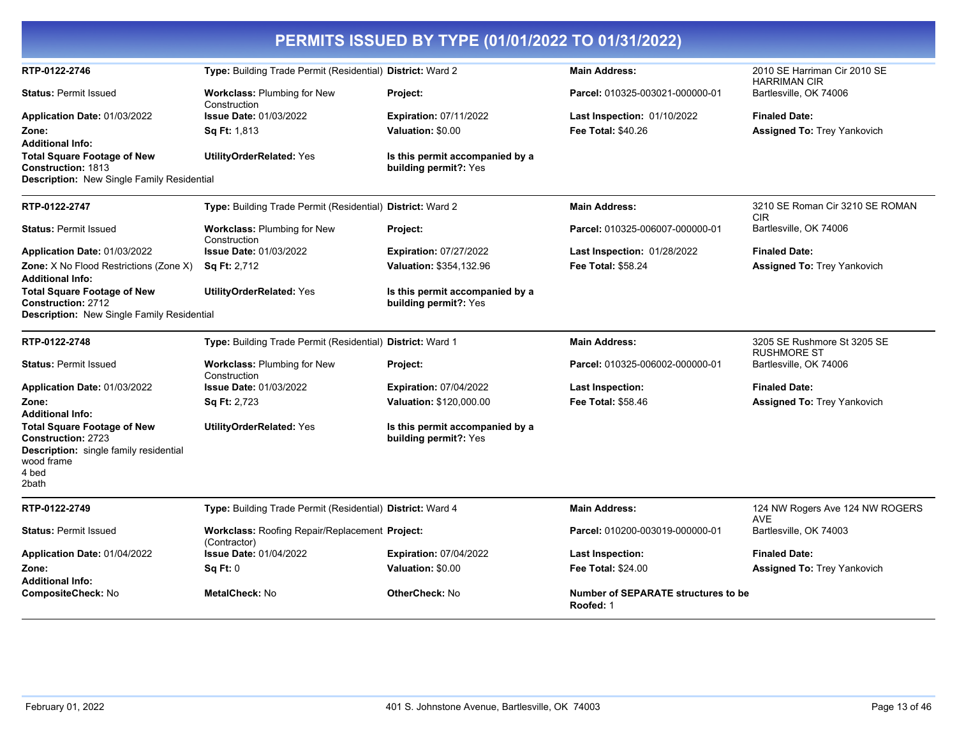| PERMITS ISSUED BY TYPE (01/01/2022 TO 01/31/2022)                                                                                         |                                                                       |                                                          |                                                         |                                                     |  |
|-------------------------------------------------------------------------------------------------------------------------------------------|-----------------------------------------------------------------------|----------------------------------------------------------|---------------------------------------------------------|-----------------------------------------------------|--|
| RTP-0122-2746                                                                                                                             | Type: Building Trade Permit (Residential) District: Ward 2            |                                                          | <b>Main Address:</b>                                    | 2010 SE Harriman Cir 2010 SE<br><b>HARRIMAN CIR</b> |  |
| <b>Status: Permit Issued</b>                                                                                                              | <b>Workclass: Plumbing for New</b><br>Construction                    | Project:                                                 | Parcel: 010325-003021-000000-01                         | Bartlesville, OK 74006                              |  |
| Application Date: 01/03/2022                                                                                                              | <b>Issue Date: 01/03/2022</b>                                         | <b>Expiration: 07/11/2022</b>                            | <b>Last Inspection: 01/10/2022</b>                      | <b>Finaled Date:</b>                                |  |
| Zone:<br><b>Additional Info:</b>                                                                                                          | <b>Sq Ft:</b> 1,813                                                   | Valuation: \$0.00                                        | <b>Fee Total: \$40.26</b>                               | <b>Assigned To: Trey Yankovich</b>                  |  |
| <b>Total Square Footage of New</b><br><b>Construction: 1813</b><br><b>Description:</b> New Single Family Residential                      | <b>UtilityOrderRelated: Yes</b>                                       | Is this permit accompanied by a<br>building permit?: Yes |                                                         |                                                     |  |
|                                                                                                                                           |                                                                       |                                                          |                                                         |                                                     |  |
| RTP-0122-2747                                                                                                                             | Type: Building Trade Permit (Residential) District: Ward 2            |                                                          | <b>Main Address:</b>                                    | 3210 SE Roman Cir 3210 SE ROMAN<br><b>CIR</b>       |  |
| <b>Status: Permit Issued</b>                                                                                                              | <b>Workclass: Plumbing for New</b><br>Construction                    | Project:                                                 | Parcel: 010325-006007-000000-01                         | Bartlesville, OK 74006                              |  |
| Application Date: 01/03/2022                                                                                                              | <b>Issue Date: 01/03/2022</b>                                         | <b>Expiration: 07/27/2022</b>                            | <b>Last Inspection: 01/28/2022</b>                      | <b>Finaled Date:</b>                                |  |
| <b>Zone:</b> X No Flood Restrictions (Zone X)<br><b>Additional Info:</b>                                                                  | <b>Sq Ft: 2,712</b>                                                   | Valuation: \$354,132.96                                  | Fee Total: \$58.24                                      | <b>Assigned To: Trey Yankovich</b>                  |  |
| <b>Total Square Footage of New</b><br>Construction: 2712<br>Description: New Single Family Residential                                    | <b>UtilityOrderRelated: Yes</b>                                       | Is this permit accompanied by a<br>building permit?: Yes |                                                         |                                                     |  |
| RTP-0122-2748                                                                                                                             | Type: Building Trade Permit (Residential) District: Ward 1            |                                                          | <b>Main Address:</b>                                    | 3205 SE Rushmore St 3205 SE                         |  |
| <b>Status: Permit Issued</b>                                                                                                              | <b>Workclass: Plumbing for New</b><br>Construction                    | Project:                                                 | Parcel: 010325-006002-000000-01                         | <b>RUSHMORE ST</b><br>Bartlesville, OK 74006        |  |
| Application Date: 01/03/2022                                                                                                              | <b>Issue Date: 01/03/2022</b>                                         | <b>Expiration: 07/04/2022</b>                            | Last Inspection:                                        | <b>Finaled Date:</b>                                |  |
| Zone:<br><b>Additional Info:</b>                                                                                                          | <b>Sq Ft: 2,723</b>                                                   | Valuation: \$120,000.00                                  | <b>Fee Total: \$58.46</b>                               | Assigned To: Trey Yankovich                         |  |
| <b>Total Square Footage of New</b><br><b>Construction: 2723</b><br>Description: single family residential<br>wood frame<br>4 bed<br>2bath | <b>UtilityOrderRelated: Yes</b>                                       | Is this permit accompanied by a<br>building permit?: Yes |                                                         |                                                     |  |
| RTP-0122-2749                                                                                                                             | Type: Building Trade Permit (Residential) District: Ward 4            |                                                          | <b>Main Address:</b>                                    | 124 NW Rogers Ave 124 NW ROGERS<br>AVE              |  |
| <b>Status: Permit Issued</b>                                                                                                              | <b>Workclass: Roofing Repair/Replacement Project:</b><br>(Contractor) |                                                          | Parcel: 010200-003019-000000-01                         | Bartlesville, OK 74003                              |  |
| Application Date: 01/04/2022                                                                                                              | <b>Issue Date: 01/04/2022</b>                                         | <b>Expiration: 07/04/2022</b>                            | Last Inspection:                                        | <b>Finaled Date:</b>                                |  |
| Zone:<br><b>Additional Info:</b>                                                                                                          | Sq Ft: 0                                                              | Valuation: \$0.00                                        | <b>Fee Total: \$24.00</b>                               | <b>Assigned To: Trey Yankovich</b>                  |  |
| <b>CompositeCheck: No</b>                                                                                                                 | <b>MetalCheck: No</b>                                                 | <b>OtherCheck: No</b>                                    | <b>Number of SEPARATE structures to be</b><br>Roofed: 1 |                                                     |  |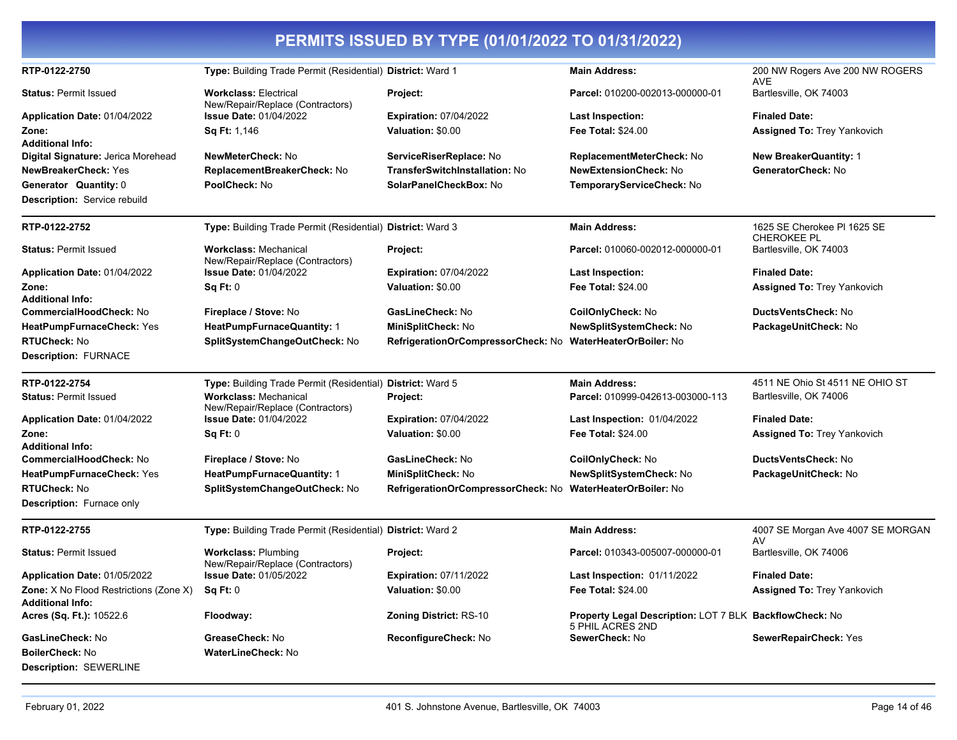|                                                    |                                                                  | PERMITS ISSUED BY TYPE (01/01/2022 TO 01/31/2022)          |                                                                             |                                                   |
|----------------------------------------------------|------------------------------------------------------------------|------------------------------------------------------------|-----------------------------------------------------------------------------|---------------------------------------------------|
| RTP-0122-2750                                      | Type: Building Trade Permit (Residential) District: Ward 1       |                                                            | <b>Main Address:</b>                                                        | 200 NW Rogers Ave 200 NW ROGERS<br><b>AVE</b>     |
| <b>Status: Permit Issued</b>                       | <b>Workclass: Electrical</b><br>New/Repair/Replace (Contractors) | Project:                                                   | Parcel: 010200-002013-000000-01                                             | Bartlesville, OK 74003                            |
| Application Date: 01/04/2022                       | <b>Issue Date: 01/04/2022</b>                                    | <b>Expiration: 07/04/2022</b>                              | <b>Last Inspection:</b>                                                     | <b>Finaled Date:</b>                              |
| Zone:                                              | Sq Ft: 1,146                                                     | Valuation: \$0.00                                          | <b>Fee Total: \$24.00</b>                                                   | <b>Assigned To: Trey Yankovich</b>                |
| <b>Additional Info:</b>                            |                                                                  |                                                            |                                                                             |                                                   |
| Digital Signature: Jerica Morehead                 | <b>NewMeterCheck: No</b>                                         | ServiceRiserReplace: No                                    | ReplacementMeterCheck: No                                                   | <b>New BreakerQuantity: 1</b>                     |
| <b>NewBreakerCheck: Yes</b>                        | ReplacementBreakerCheck: No                                      | <b>TransferSwitchInstallation: No</b>                      | <b>NewExtensionCheck: No</b>                                                | GeneratorCheck: No                                |
| <b>Generator Quantity: 0</b>                       | PoolCheck: No                                                    | SolarPanelCheckBox: No                                     | TemporaryServiceCheck: No                                                   |                                                   |
| Description: Service rebuild                       |                                                                  |                                                            |                                                                             |                                                   |
| RTP-0122-2752                                      | Type: Building Trade Permit (Residential) District: Ward 3       |                                                            | <b>Main Address:</b>                                                        | 1625 SE Cherokee PI 1625 SE<br><b>CHEROKEE PL</b> |
| <b>Status: Permit Issued</b>                       | <b>Workclass: Mechanical</b><br>New/Repair/Replace (Contractors) | Project:                                                   | Parcel: 010060-002012-000000-01                                             | Bartlesville, OK 74003                            |
| Application Date: 01/04/2022                       | <b>Issue Date: 01/04/2022</b>                                    | <b>Expiration: 07/04/2022</b>                              | <b>Last Inspection:</b>                                                     | <b>Finaled Date:</b>                              |
| Zone:                                              | Sq Ft: 0                                                         | Valuation: \$0.00                                          | <b>Fee Total: \$24.00</b>                                                   | <b>Assigned To: Trey Yankovich</b>                |
| <b>Additional Info:</b>                            |                                                                  |                                                            |                                                                             |                                                   |
| CommercialHoodCheck: No                            | Fireplace / Stove: No                                            | <b>GasLineCheck: No</b>                                    | CoilOnlyCheck: No                                                           | DuctsVentsCheck: No                               |
| HeatPumpFurnaceCheck: Yes                          | HeatPumpFurnaceQuantity: 1                                       | MiniSplitCheck: No                                         | NewSplitSystemCheck: No                                                     | PackageUnitCheck: No                              |
| <b>RTUCheck: No</b><br><b>Description: FURNACE</b> | SplitSystemChangeOutCheck: No                                    | RefrigerationOrCompressorCheck: No                         | <b>WaterHeaterOrBoiler: No</b>                                              |                                                   |
|                                                    |                                                                  |                                                            |                                                                             |                                                   |
| RTP-0122-2754                                      | Type: Building Trade Permit (Residential) District: Ward 5       |                                                            | <b>Main Address:</b>                                                        | 4511 NE Ohio St 4511 NE OHIO ST                   |
| <b>Status: Permit Issued</b>                       | <b>Workclass: Mechanical</b><br>New/Repair/Replace (Contractors) | Project:                                                   | Parcel: 010999-042613-003000-113                                            | Bartlesville, OK 74006                            |
| Application Date: 01/04/2022                       | <b>Issue Date: 01/04/2022</b>                                    | <b>Expiration: 07/04/2022</b>                              | Last Inspection: 01/04/2022                                                 | <b>Finaled Date:</b>                              |
| Zone:                                              | Sq Ft: 0                                                         | Valuation: \$0.00                                          | <b>Fee Total: \$24.00</b>                                                   | <b>Assigned To: Trey Yankovich</b>                |
| Additional Info:                                   |                                                                  |                                                            |                                                                             |                                                   |
| CommercialHoodCheck: No                            | Fireplace / Stove: No                                            | GasLineCheck: No                                           | CoilOnlyCheck: No                                                           | DuctsVentsCheck: No                               |
| HeatPumpFurnaceCheck: Yes                          | HeatPumpFurnaceQuantity: 1                                       | MiniSplitCheck: No                                         | <b>NewSplitSystemCheck: No</b>                                              | PackageUnitCheck: No                              |
| <b>RTUCheck: No</b>                                | SplitSystemChangeOutCheck: No                                    | RefrigerationOrCompressorCheck: No WaterHeaterOrBoiler: No |                                                                             |                                                   |
| Description: Furnace only                          |                                                                  |                                                            |                                                                             |                                                   |
| RTP-0122-2755                                      | Type: Building Trade Permit (Residential) District: Ward 2       |                                                            | <b>Main Address:</b>                                                        | 4007 SE Morgan Ave 4007 SE MORGAN                 |
| <b>Status: Permit Issued</b>                       | <b>Workclass: Plumbing</b><br>New/Repair/Replace (Contractors)   | <b>Project:</b>                                            | Parcel: 010343-005007-000000-01                                             | AV<br>Bartlesville, OK 74006                      |
| Application Date: 01/05/2022                       | Issue Date: 01/05/2022                                           | <b>Expiration: 07/11/2022</b>                              | Last Inspection: 01/11/2022                                                 | <b>Finaled Date:</b>                              |
| <b>Zone:</b> X No Flood Restrictions (Zone X)      | Sq Ft: 0                                                         | Valuation: \$0.00                                          | <b>Fee Total: \$24.00</b>                                                   | <b>Assigned To: Trey Yankovich</b>                |
| <b>Additional Info:</b>                            |                                                                  |                                                            |                                                                             |                                                   |
| Acres (Sq. Ft.): 10522.6                           | Floodway:                                                        | Zoning District: RS-10                                     | Property Legal Description: LOT 7 BLK BackflowCheck: No<br>5 PHIL ACRES 2ND |                                                   |
| GasLineCheck: No                                   | GreaseCheck: No                                                  | ReconfigureCheck: No                                       | SewerCheck: No                                                              | SewerRepairCheck: Yes                             |
| <b>BoilerCheck: No</b>                             | <b>WaterLineCheck: No</b>                                        |                                                            |                                                                             |                                                   |
| Description: SEWERLINE                             |                                                                  |                                                            |                                                                             |                                                   |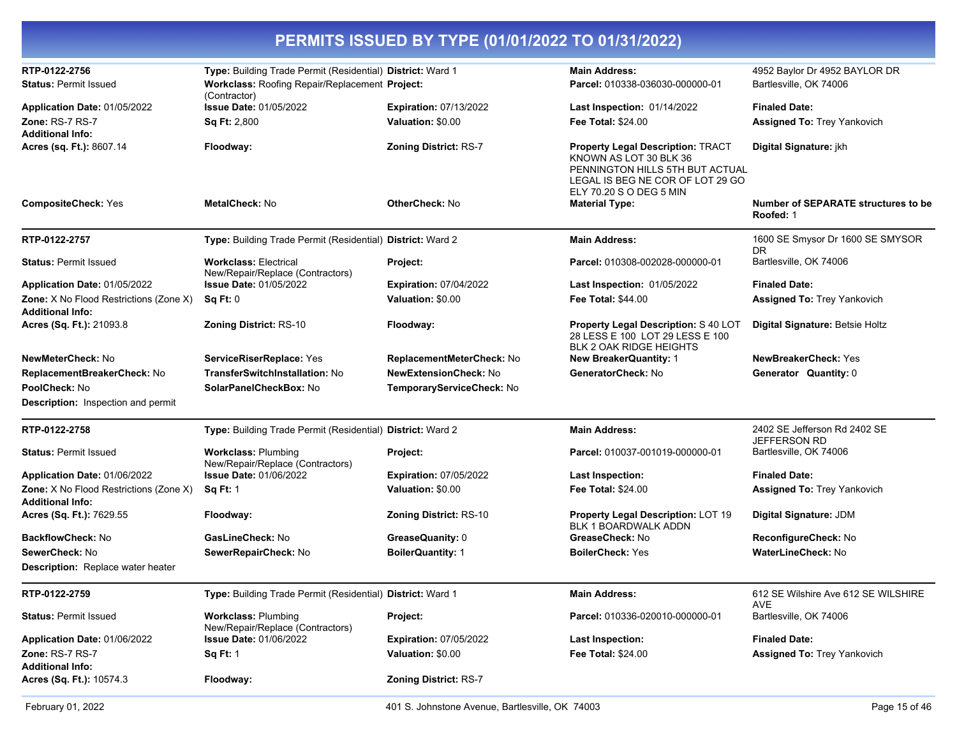| PERMITS ISSUED BY TYPE (01/01/2022 TO 01/31/2022)                 |                                                                  |                               |                                                                                                                                                                      |                                                         |  |
|-------------------------------------------------------------------|------------------------------------------------------------------|-------------------------------|----------------------------------------------------------------------------------------------------------------------------------------------------------------------|---------------------------------------------------------|--|
| RTP-0122-2756                                                     | Type: Building Trade Permit (Residential) District: Ward 1       |                               | <b>Main Address:</b>                                                                                                                                                 | 4952 Baylor Dr 4952 BAYLOR DR                           |  |
| <b>Status: Permit Issued</b>                                      | Workclass: Roofing Repair/Replacement Project:<br>(Contractor)   |                               | Parcel: 010338-036030-000000-01                                                                                                                                      | Bartlesville, OK 74006                                  |  |
| Application Date: 01/05/2022                                      | <b>Issue Date: 01/05/2022</b>                                    | <b>Expiration: 07/13/2022</b> | Last Inspection: 01/14/2022                                                                                                                                          | <b>Finaled Date:</b>                                    |  |
| <b>Zone: RS-7 RS-7</b><br><b>Additional Info:</b>                 | <b>Sq Ft: 2,800</b>                                              | Valuation: \$0.00             | <b>Fee Total: \$24.00</b>                                                                                                                                            | <b>Assigned To: Trey Yankovich</b>                      |  |
| Acres (sq. Ft.): 8607.14                                          | Floodway:                                                        | Zoning District: RS-7         | <b>Property Legal Description: TRACT</b><br>KNOWN AS LOT 30 BLK 36<br>PENNINGTON HILLS 5TH BUT ACTUAL<br>LEGAL IS BEG NE COR OF LOT 29 GO<br>ELY 70.20 S O DEG 5 MIN | Digital Signature: jkh                                  |  |
| <b>CompositeCheck: Yes</b>                                        | <b>MetalCheck: No</b>                                            | <b>OtherCheck: No</b>         | <b>Material Type:</b>                                                                                                                                                | <b>Number of SEPARATE structures to be</b><br>Roofed: 1 |  |
| RTP-0122-2757                                                     | Type: Building Trade Permit (Residential) District: Ward 2       |                               | <b>Main Address:</b>                                                                                                                                                 | 1600 SE Smysor Dr 1600 SE SMYSOR<br>DR                  |  |
| <b>Status: Permit Issued</b>                                      | <b>Workclass: Electrical</b><br>New/Repair/Replace (Contractors) | Project:                      | Parcel: 010308-002028-000000-01                                                                                                                                      | Bartlesville, OK 74006                                  |  |
| Application Date: 01/05/2022                                      | <b>Issue Date: 01/05/2022</b>                                    | <b>Expiration: 07/04/2022</b> | <b>Last Inspection: 01/05/2022</b>                                                                                                                                   | <b>Finaled Date:</b>                                    |  |
| Zone: X No Flood Restrictions (Zone X)<br><b>Additional Info:</b> | Sq Ft: 0                                                         | Valuation: \$0.00             | Fee Total: \$44.00                                                                                                                                                   | Assigned To: Trey Yankovich                             |  |
| Acres (Sq. Ft.): 21093.8                                          | <b>Zoning District: RS-10</b>                                    | Floodway:                     | Property Legal Description: S 40 LOT<br>28 LESS E 100 LOT 29 LESS E 100<br><b>BLK 2 OAK RIDGE HEIGHTS</b>                                                            | Digital Signature: Betsie Holtz                         |  |
| NewMeterCheck: No                                                 | ServiceRiserReplace: Yes                                         | ReplacementMeterCheck: No     | <b>New BreakerQuantity: 1</b>                                                                                                                                        | <b>NewBreakerCheck: Yes</b>                             |  |
| ReplacementBreakerCheck: No                                       | TransferSwitchInstallation: No                                   | NewExtensionCheck: No         | GeneratorCheck: No                                                                                                                                                   | Generator Quantity: 0                                   |  |
| PoolCheck: No                                                     | SolarPanelCheckBox: No                                           | TemporaryServiceCheck: No     |                                                                                                                                                                      |                                                         |  |
| Description: Inspection and permit                                |                                                                  |                               |                                                                                                                                                                      |                                                         |  |
| RTP-0122-2758                                                     | Type: Building Trade Permit (Residential) District: Ward 2       |                               | <b>Main Address:</b>                                                                                                                                                 | 2402 SE Jefferson Rd 2402 SE<br><b>JEFFERSON RD</b>     |  |
| <b>Status: Permit Issued</b>                                      | <b>Workclass: Plumbing</b><br>New/Repair/Replace (Contractors)   | Project:                      | Parcel: 010037-001019-000000-01                                                                                                                                      | Bartlesville, OK 74006                                  |  |
| Application Date: 01/06/2022                                      | <b>Issue Date: 01/06/2022</b>                                    | <b>Expiration: 07/05/2022</b> | <b>Last Inspection:</b>                                                                                                                                              | <b>Finaled Date:</b>                                    |  |
| Zone: X No Flood Restrictions (Zone X)<br>Additional Info:        | <b>Sq Ft: 1</b>                                                  | Valuation: \$0.00             | <b>Fee Total: \$24.00</b>                                                                                                                                            | <b>Assigned To: Trey Yankovich</b>                      |  |
| Acres (Sq. Ft.): 7629.55                                          | Floodway:                                                        | <b>Zoning District: RS-10</b> | Property Legal Description: LOT 19<br>BLK 1 BOARDWALK ADDN                                                                                                           | Digital Signature: JDM                                  |  |
| BackflowCheck: No                                                 | GasLineCheck: No                                                 | GreaseQuanity: 0              | GreaseCheck: No                                                                                                                                                      | ReconfigureCheck: No                                    |  |
| SewerCheck: No                                                    | SewerRepairCheck: No                                             | <b>BoilerQuantity: 1</b>      | <b>BoilerCheck: Yes</b>                                                                                                                                              | WaterLineCheck: No                                      |  |
| <b>Description:</b> Replace water heater                          |                                                                  |                               |                                                                                                                                                                      |                                                         |  |
| RTP-0122-2759                                                     | Type: Building Trade Permit (Residential) District: Ward 1       |                               | <b>Main Address:</b>                                                                                                                                                 | 612 SE Wilshire Ave 612 SE WILSHIRE<br>AVE              |  |
| <b>Status: Permit Issued</b>                                      | <b>Workclass: Plumbing</b><br>New/Repair/Replace (Contractors)   | Project:                      | Parcel: 010336-020010-000000-01                                                                                                                                      | Bartlesville, OK 74006                                  |  |
| Application Date: 01/06/2022                                      | <b>Issue Date: 01/06/2022</b>                                    | <b>Expiration: 07/05/2022</b> | <b>Last Inspection:</b>                                                                                                                                              | <b>Finaled Date:</b>                                    |  |
| <b>Zone: RS-7 RS-7</b><br><b>Additional Info:</b>                 | <b>Sq Ft: 1</b>                                                  | Valuation: \$0.00             | Fee Total: \$24.00                                                                                                                                                   | Assigned To: Trey Yankovich                             |  |
| Acres (Sq. Ft.): 10574.3                                          | Floodway:                                                        | Zoning District: RS-7         |                                                                                                                                                                      |                                                         |  |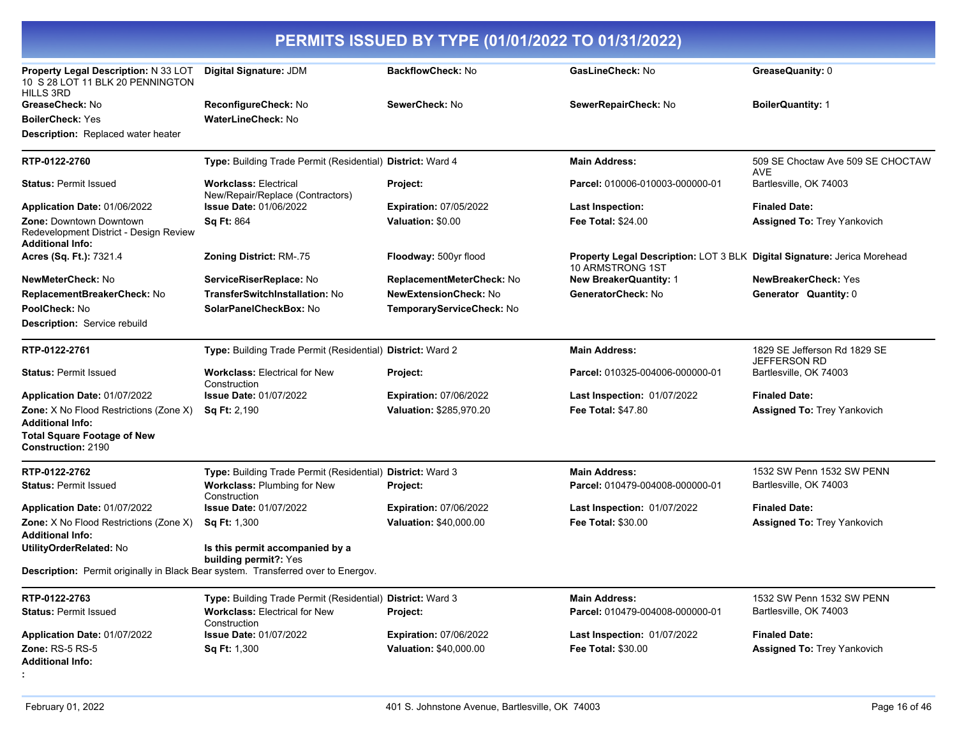| PERMITS ISSUED BY TYPE (01/01/2022 TO 01/31/2022)                                            |                                                                                   |                               |                                                                                              |                                                 |
|----------------------------------------------------------------------------------------------|-----------------------------------------------------------------------------------|-------------------------------|----------------------------------------------------------------------------------------------|-------------------------------------------------|
| Property Legal Description: N 33 LOT<br>10 S 28 LOT 11 BLK 20 PENNINGTON<br><b>HILLS 3RD</b> | Digital Signature: JDM                                                            | <b>BackflowCheck: No</b>      | GasLineCheck: No                                                                             | GreaseQuanity: 0                                |
| GreaseCheck: No                                                                              | ReconfigureCheck: No                                                              | SewerCheck: No                | SewerRepairCheck: No                                                                         | <b>BoilerQuantity: 1</b>                        |
| <b>BoilerCheck: Yes</b>                                                                      | WaterLineCheck: No                                                                |                               |                                                                                              |                                                 |
| <b>Description:</b> Replaced water heater                                                    |                                                                                   |                               |                                                                                              |                                                 |
| RTP-0122-2760                                                                                | Type: Building Trade Permit (Residential) District: Ward 4                        |                               | <b>Main Address:</b>                                                                         | 509 SE Choctaw Ave 509 SE CHOCTAW<br><b>AVE</b> |
| <b>Status: Permit Issued</b>                                                                 | <b>Workclass: Electrical</b><br>New/Repair/Replace (Contractors)                  | Project:                      | Parcel: 010006-010003-000000-01                                                              | Bartlesville, OK 74003                          |
| Application Date: 01/06/2022                                                                 | <b>Issue Date: 01/06/2022</b>                                                     | <b>Expiration: 07/05/2022</b> | <b>Last Inspection:</b>                                                                      | <b>Finaled Date:</b>                            |
| Zone: Downtown Downtown<br>Redevelopment District - Design Review<br><b>Additional Info:</b> | <b>Sq Ft: 864</b>                                                                 | Valuation: \$0.00             | <b>Fee Total: \$24.00</b>                                                                    | <b>Assigned To: Trey Yankovich</b>              |
| Acres (Sq. Ft.): 7321.4                                                                      | Zoning District: RM-.75                                                           | Floodway: 500yr flood         | Property Legal Description: LOT 3 BLK Digital Signature: Jerica Morehead<br>10 ARMSTRONG 1ST |                                                 |
| NewMeterCheck: No                                                                            | ServiceRiserReplace: No                                                           | ReplacementMeterCheck: No     | <b>New BreakerQuantity: 1</b>                                                                | <b>NewBreakerCheck: Yes</b>                     |
| ReplacementBreakerCheck: No                                                                  | TransferSwitchInstallation: No                                                    | <b>NewExtensionCheck: No</b>  | GeneratorCheck: No                                                                           | Generator Quantity: 0                           |
| PoolCheck: No                                                                                | SolarPanelCheckBox: No                                                            | TemporaryServiceCheck: No     |                                                                                              |                                                 |
| <b>Description:</b> Service rebuild                                                          |                                                                                   |                               |                                                                                              |                                                 |
| RTP-0122-2761                                                                                | Type: Building Trade Permit (Residential) District: Ward 2                        |                               | <b>Main Address:</b>                                                                         | 1829 SE Jefferson Rd 1829 SE<br>JEFFERSON RD    |
| <b>Status: Permit Issued</b>                                                                 | <b>Workclass: Electrical for New</b><br>Construction                              | Project:                      | Parcel: 010325-004006-000000-01                                                              | Bartlesville, OK 74003                          |
| Application Date: 01/07/2022                                                                 | <b>Issue Date: 01/07/2022</b>                                                     | <b>Expiration: 07/06/2022</b> | <b>Last Inspection: 01/07/2022</b>                                                           | <b>Finaled Date:</b>                            |
| Zone: X No Flood Restrictions (Zone X)<br><b>Additional Info:</b>                            | <b>Sq Ft: 2,190</b>                                                               | Valuation: \$285,970.20       | <b>Fee Total: \$47.80</b>                                                                    | <b>Assigned To: Trey Yankovich</b>              |
| <b>Total Square Footage of New</b><br><b>Construction: 2190</b>                              |                                                                                   |                               |                                                                                              |                                                 |
| RTP-0122-2762                                                                                | Type: Building Trade Permit (Residential) District: Ward 3                        |                               | <b>Main Address:</b>                                                                         | 1532 SW Penn 1532 SW PENN                       |
| <b>Status: Permit Issued</b>                                                                 | Workclass: Plumbing for New<br>Construction                                       | Project:                      | Parcel: 010479-004008-000000-01                                                              | Bartlesville, OK 74003                          |
| Application Date: 01/07/2022                                                                 | <b>Issue Date: 01/07/2022</b>                                                     | <b>Expiration: 07/06/2022</b> | <b>Last Inspection: 01/07/2022</b>                                                           | <b>Finaled Date:</b>                            |
| Zone: X No Flood Restrictions (Zone X)<br><b>Additional Info:</b>                            | Sq Ft: 1,300                                                                      | Valuation: \$40,000.00        | <b>Fee Total: \$30.00</b>                                                                    | <b>Assigned To: Trey Yankovich</b>              |
| UtilityOrderRelated: No                                                                      | Is this permit accompanied by a<br>building permit?: Yes                          |                               |                                                                                              |                                                 |
|                                                                                              | Description: Permit originally in Black Bear system. Transferred over to Energov. |                               |                                                                                              |                                                 |
| RTP-0122-2763                                                                                | Type: Building Trade Permit (Residential) District: Ward 3                        |                               | <b>Main Address:</b>                                                                         | 1532 SW Penn 1532 SW PENN                       |
| <b>Status: Permit Issued</b>                                                                 | <b>Workclass: Electrical for New</b><br>Construction                              | Project:                      | Parcel: 010479-004008-000000-01                                                              | Bartlesville, OK 74003                          |
| Application Date: 01/07/2022                                                                 | <b>Issue Date: 01/07/2022</b>                                                     | <b>Expiration: 07/06/2022</b> | Last Inspection: 01/07/2022                                                                  | <b>Finaled Date:</b>                            |
| <b>Zone: RS-5 RS-5</b><br><b>Additional Info:</b>                                            | Sq Ft: 1,300                                                                      | Valuation: \$40,000.00        | Fee Total: \$30.00                                                                           | Assigned To: Trey Yankovich                     |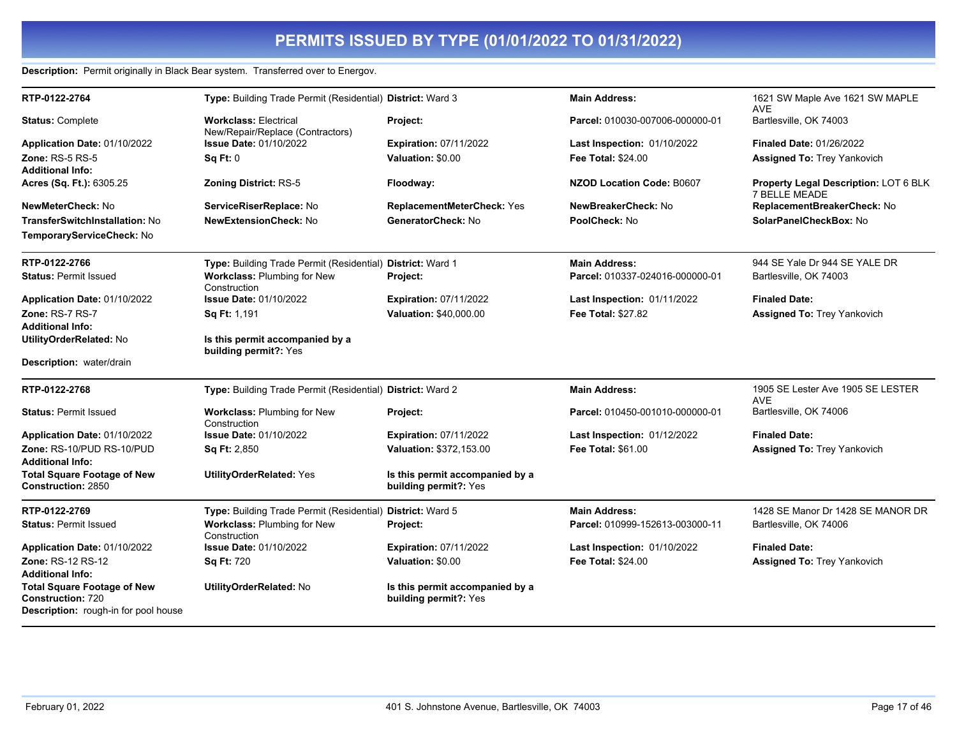#### **Description:** Permit originally in Black Bear system. Transferred over to Energov.

| RTP-0122-2764                                                                                          | Type: Building Trade Permit (Residential) District: Ward 3       |                                                          | <b>Main Address:</b>             | 1621 SW Maple Ave 1621 SW MAPLE                        |
|--------------------------------------------------------------------------------------------------------|------------------------------------------------------------------|----------------------------------------------------------|----------------------------------|--------------------------------------------------------|
| <b>Status: Complete</b>                                                                                | <b>Workclass: Electrical</b><br>New/Repair/Replace (Contractors) | Project:                                                 | Parcel: 010030-007006-000000-01  | <b>AVE</b><br>Bartlesville, OK 74003                   |
| Application Date: 01/10/2022                                                                           | <b>Issue Date: 01/10/2022</b>                                    | <b>Expiration: 07/11/2022</b>                            | Last Inspection: 01/10/2022      | <b>Finaled Date: 01/26/2022</b>                        |
| <b>Zone: RS-5 RS-5</b>                                                                                 | Sq Ft: 0                                                         | Valuation: \$0.00                                        | <b>Fee Total: \$24.00</b>        | <b>Assigned To: Trey Yankovich</b>                     |
| <b>Additional Info:</b>                                                                                |                                                                  |                                                          |                                  |                                                        |
| Acres (Sq. Ft.): 6305.25                                                                               | <b>Zoning District: RS-5</b>                                     | Floodway:                                                | <b>NZOD Location Code: B0607</b> | Property Legal Description: LOT 6 BLK<br>7 BELLE MEADE |
| NewMeterCheck: No                                                                                      | ServiceRiserReplace: No                                          | ReplacementMeterCheck: Yes                               | NewBreakerCheck: No              | ReplacementBreakerCheck: No                            |
| <b>TransferSwitchInstallation: No</b>                                                                  | <b>NewExtensionCheck: No</b>                                     | GeneratorCheck: No                                       | PoolCheck: No                    | SolarPanelCheckBox: No                                 |
| TemporaryServiceCheck: No                                                                              |                                                                  |                                                          |                                  |                                                        |
| RTP-0122-2766                                                                                          | Type: Building Trade Permit (Residential) District: Ward 1       |                                                          | <b>Main Address:</b>             | 944 SE Yale Dr 944 SE YALE DR                          |
| <b>Status: Permit Issued</b>                                                                           | Workclass: Plumbing for New<br>Construction                      | Project:                                                 | Parcel: 010337-024016-000000-01  | Bartlesville, OK 74003                                 |
| Application Date: 01/10/2022                                                                           | <b>Issue Date: 01/10/2022</b>                                    | <b>Expiration: 07/11/2022</b>                            | Last Inspection: 01/11/2022      | <b>Finaled Date:</b>                                   |
| Zone: RS-7 RS-7                                                                                        | Sq Ft: 1,191                                                     | Valuation: \$40,000.00                                   | Fee Total: \$27.82               | Assigned To: Trey Yankovich                            |
| <b>Additional Info:</b>                                                                                |                                                                  |                                                          |                                  |                                                        |
| UtilityOrderRelated: No                                                                                | Is this permit accompanied by a<br>building permit?: Yes         |                                                          |                                  |                                                        |
| Description: water/drain                                                                               |                                                                  |                                                          |                                  |                                                        |
| RTP-0122-2768                                                                                          | Type: Building Trade Permit (Residential) District: Ward 2       |                                                          | <b>Main Address:</b>             | 1905 SE Lester Ave 1905 SE LESTER<br><b>AVE</b>        |
| <b>Status: Permit Issued</b>                                                                           | Workclass: Plumbing for New<br>Construction                      | Project:                                                 | Parcel: 010450-001010-000000-01  | Bartlesville, OK 74006                                 |
| Application Date: 01/10/2022                                                                           | <b>Issue Date: 01/10/2022</b>                                    | <b>Expiration: 07/11/2022</b>                            | Last Inspection: 01/12/2022      | <b>Finaled Date:</b>                                   |
| Zone: RS-10/PUD RS-10/PUD                                                                              | <b>Sq Ft: 2,850</b>                                              | Valuation: \$372,153.00                                  | <b>Fee Total: \$61.00</b>        | Assigned To: Trey Yankovich                            |
| <b>Additional Info:</b>                                                                                |                                                                  |                                                          |                                  |                                                        |
| <b>Total Square Footage of New</b><br><b>Construction: 2850</b>                                        | <b>UtilityOrderRelated: Yes</b>                                  | Is this permit accompanied by a<br>building permit?: Yes |                                  |                                                        |
| RTP-0122-2769                                                                                          | Type: Building Trade Permit (Residential) District: Ward 5       |                                                          | <b>Main Address:</b>             | 1428 SE Manor Dr 1428 SE MANOR DR                      |
| <b>Status: Permit Issued</b>                                                                           | Workclass: Plumbing for New<br>Construction                      | Project:                                                 | Parcel: 010999-152613-003000-11  | Bartlesville, OK 74006                                 |
| Application Date: 01/10/2022                                                                           | <b>Issue Date: 01/10/2022</b>                                    | <b>Expiration: 07/11/2022</b>                            | Last Inspection: 01/10/2022      | <b>Finaled Date:</b>                                   |
| Zone: RS-12 RS-12<br><b>Additional Info:</b>                                                           | <b>Sq Ft: 720</b>                                                | Valuation: \$0.00                                        | <b>Fee Total: \$24.00</b>        | Assigned To: Trey Yankovich                            |
| <b>Total Square Footage of New</b><br><b>Construction: 720</b><br>Description: rough-in for pool house | UtilityOrderRelated: No                                          | Is this permit accompanied by a<br>building permit?: Yes |                                  |                                                        |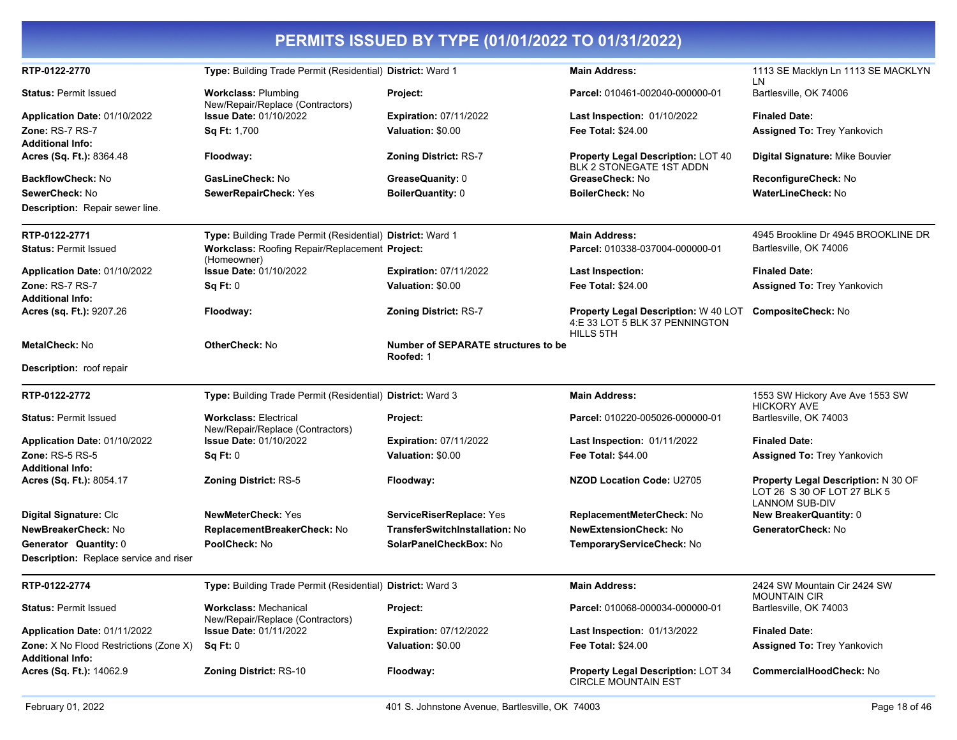| PERMITS ISSUED BY TYPE (01/01/2022 TO 01/31/2022)                        |                                                                  |                                                         |                                                                                                               |                                                                                             |  |
|--------------------------------------------------------------------------|------------------------------------------------------------------|---------------------------------------------------------|---------------------------------------------------------------------------------------------------------------|---------------------------------------------------------------------------------------------|--|
| RTP-0122-2770                                                            | Type: Building Trade Permit (Residential) District: Ward 1       |                                                         | <b>Main Address:</b>                                                                                          | 1113 SE Macklyn Ln 1113 SE MACKLYN                                                          |  |
| <b>Status: Permit Issued</b>                                             | <b>Workclass: Plumbing</b><br>New/Repair/Replace (Contractors)   | Project:                                                | Parcel: 010461-002040-000000-01                                                                               | LN<br>Bartlesville, OK 74006                                                                |  |
| Application Date: 01/10/2022                                             | <b>Issue Date: 01/10/2022</b>                                    | <b>Expiration: 07/11/2022</b>                           | Last Inspection: 01/10/2022                                                                                   | <b>Finaled Date:</b>                                                                        |  |
| Zone: RS-7 RS-7                                                          | <b>Sq Ft: 1,700</b>                                              | Valuation: \$0.00                                       | <b>Fee Total: \$24.00</b>                                                                                     | Assigned To: Trey Yankovich                                                                 |  |
| <b>Additional Info:</b>                                                  |                                                                  |                                                         |                                                                                                               |                                                                                             |  |
| Acres (Sq. Ft.): 8364.48                                                 | Floodway:                                                        | <b>Zoning District: RS-7</b>                            | <b>Property Legal Description: LOT 40</b><br>BLK 2 STONEGATE 1ST ADDN                                         | Digital Signature: Mike Bouvier                                                             |  |
| <b>BackflowCheck: No</b>                                                 | GasLineCheck: No                                                 | GreaseQuanity: 0                                        | GreaseCheck: No                                                                                               | ReconfigureCheck: No                                                                        |  |
| SewerCheck: No                                                           | SewerRepairCheck: Yes                                            | BoilerQuantity: 0                                       | <b>BoilerCheck: No</b>                                                                                        | <b>WaterLineCheck: No</b>                                                                   |  |
| Description: Repair sewer line.                                          |                                                                  |                                                         |                                                                                                               |                                                                                             |  |
| RTP-0122-2771                                                            | Type: Building Trade Permit (Residential) District: Ward 1       |                                                         | <b>Main Address:</b>                                                                                          | 4945 Brookline Dr 4945 BROOKLINE DR                                                         |  |
| <b>Status: Permit Issued</b>                                             | Workclass: Roofing Repair/Replacement Project:<br>(Homeowner)    |                                                         | Parcel: 010338-037004-000000-01                                                                               | Bartlesville, OK 74006                                                                      |  |
| Application Date: 01/10/2022                                             | <b>Issue Date: 01/10/2022</b>                                    | <b>Expiration: 07/11/2022</b>                           | <b>Last Inspection:</b>                                                                                       | <b>Finaled Date:</b>                                                                        |  |
| Zone: RS-7 RS-7                                                          | Sq Ft: 0                                                         | Valuation: \$0.00                                       | <b>Fee Total: \$24.00</b>                                                                                     | <b>Assigned To: Trey Yankovich</b>                                                          |  |
| <b>Additional Info:</b>                                                  |                                                                  |                                                         |                                                                                                               |                                                                                             |  |
| Acres (sq. Ft.): 9207.26                                                 | Floodway:                                                        | <b>Zoning District: RS-7</b>                            | <b>Property Legal Description: W 40 LOT CompositeCheck: No</b><br>4:E 33 LOT 5 BLK 37 PENNINGTON<br>HILLS 5TH |                                                                                             |  |
| <b>MetalCheck: No</b>                                                    | <b>OtherCheck: No</b>                                            | <b>Number of SEPARATE structures to be</b><br>Roofed: 1 |                                                                                                               |                                                                                             |  |
| <b>Description: roof repair</b>                                          |                                                                  |                                                         |                                                                                                               |                                                                                             |  |
| RTP-0122-2772                                                            | Type: Building Trade Permit (Residential) District: Ward 3       |                                                         | <b>Main Address:</b>                                                                                          | 1553 SW Hickory Ave Ave 1553 SW<br><b>HICKORY AVE</b>                                       |  |
| <b>Status: Permit Issued</b>                                             | <b>Workclass: Electrical</b><br>New/Repair/Replace (Contractors) | Project:                                                | Parcel: 010220-005026-000000-01                                                                               | Bartlesville, OK 74003                                                                      |  |
| Application Date: 01/10/2022                                             | <b>Issue Date: 01/10/2022</b>                                    | <b>Expiration: 07/11/2022</b>                           | <b>Last Inspection: 01/11/2022</b>                                                                            | <b>Finaled Date:</b>                                                                        |  |
| Zone: $RS-5RS-5$                                                         | Sq Ft: 0                                                         | Valuation: \$0.00                                       | <b>Fee Total: \$44.00</b>                                                                                     | <b>Assigned To: Trey Yankovich</b>                                                          |  |
| <b>Additional Info:</b><br>Acres (Sq. Ft.): 8054.17                      | Zoning District: RS-5                                            | Floodway:                                               | <b>NZOD Location Code: U2705</b>                                                                              | Property Legal Description: N 30 OF<br>LOT 26 S 30 OF LOT 27 BLK 5<br><b>LANNOM SUB-DIV</b> |  |
| Digital Signature: Clc                                                   | <b>NewMeterCheck: Yes</b>                                        | ServiceRiserReplace: Yes                                | ReplacementMeterCheck: No                                                                                     | <b>New BreakerQuantity: 0</b>                                                               |  |
| NewBreakerCheck: No                                                      | ReplacementBreakerCheck: No                                      | TransferSwitchInstallation: No                          | <b>NewExtensionCheck: No</b>                                                                                  | GeneratorCheck: No                                                                          |  |
| Generator Quantity: 0                                                    | PoolCheck: No                                                    | SolarPanelCheckBox: No                                  | <b>TemporaryServiceCheck: No</b>                                                                              |                                                                                             |  |
| Description: Replace service and riser                                   |                                                                  |                                                         |                                                                                                               |                                                                                             |  |
| RTP-0122-2774                                                            | Type: Building Trade Permit (Residential) District: Ward 3       |                                                         | <b>Main Address:</b>                                                                                          | 2424 SW Mountain Cir 2424 SW<br><b>MOUNTAIN CIR</b>                                         |  |
| <b>Status: Permit Issued</b>                                             | <b>Workclass: Mechanical</b><br>New/Repair/Replace (Contractors) | Project:                                                | Parcel: 010068-000034-000000-01                                                                               | Bartlesville, OK 74003                                                                      |  |
| Application Date: 01/11/2022                                             | <b>Issue Date: 01/11/2022</b>                                    | <b>Expiration: 07/12/2022</b>                           | <b>Last Inspection: 01/13/2022</b>                                                                            | <b>Finaled Date:</b>                                                                        |  |
| <b>Zone:</b> X No Flood Restrictions (Zone X)<br><b>Additional Info:</b> | Sq Ft: 0                                                         | Valuation: \$0.00                                       | <b>Fee Total: \$24.00</b>                                                                                     | Assigned To: Trey Yankovich                                                                 |  |
| Acres (Sq. Ft.): 14062.9                                                 | <b>Zoning District: RS-10</b>                                    | Floodway:                                               | Property Legal Description: LOT 34<br><b>CIRCLE MOUNTAIN EST</b>                                              | <b>CommercialHoodCheck: No</b>                                                              |  |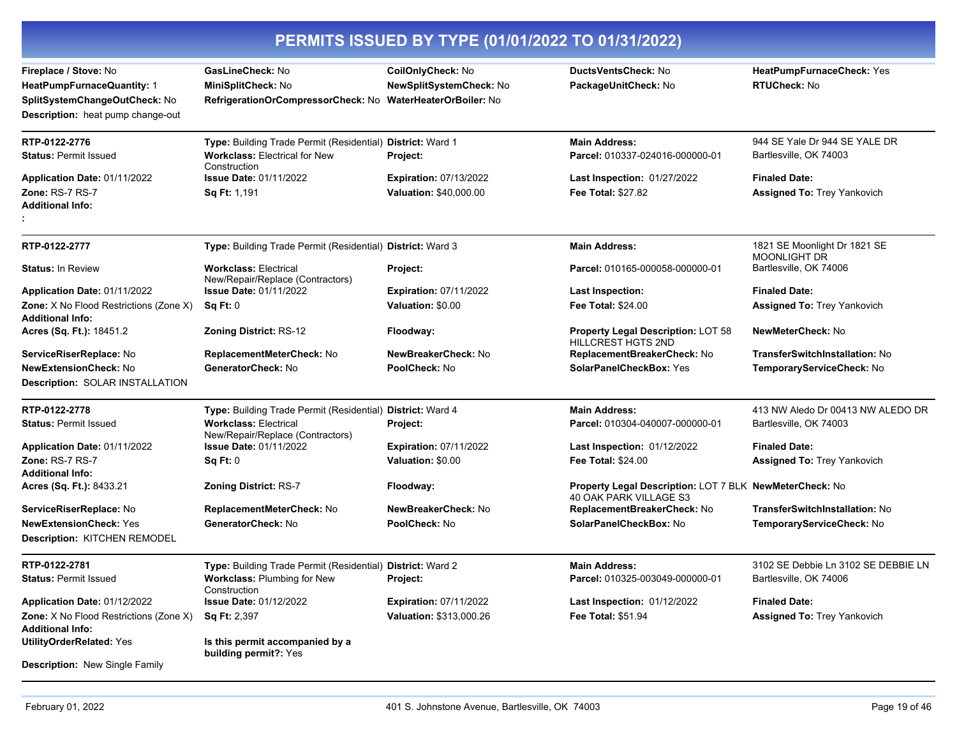|                                                                                                                                  | PERMITS ISSUED BY TYPE (01/01/2022 TO 01/31/2022)                                                                  |                                                                                |                                                                                   |                                                            |  |
|----------------------------------------------------------------------------------------------------------------------------------|--------------------------------------------------------------------------------------------------------------------|--------------------------------------------------------------------------------|-----------------------------------------------------------------------------------|------------------------------------------------------------|--|
| Fireplace / Stove: No<br><b>HeatPumpFurnaceQuantity: 1</b><br>SplitSystemChangeOutCheck: No<br>Description: heat pump change-out | GasLineCheck: No<br>MiniSplitCheck: No<br>RefrigerationOrCompressorCheck: No                                       | CoilOnlyCheck: No<br>NewSplitSystemCheck: No<br><b>WaterHeaterOrBoiler: No</b> | <b>DuctsVentsCheck: No</b><br>PackageUnitCheck: No                                | HeatPumpFurnaceCheck: Yes<br><b>RTUCheck: No</b>           |  |
| RTP-0122-2776<br><b>Status: Permit Issued</b>                                                                                    | Type: Building Trade Permit (Residential) District: Ward 1<br><b>Workclass: Electrical for New</b><br>Construction | Project:                                                                       | <b>Main Address:</b><br>Parcel: 010337-024016-000000-01                           | 944 SE Yale Dr 944 SE YALE DR<br>Bartlesville, OK 74003    |  |
| Application Date: 01/11/2022<br>Zone: RS-7 RS-7<br>Additional Info:                                                              | <b>Issue Date: 01/11/2022</b><br>Sq Ft: 1,191                                                                      | <b>Expiration: 07/13/2022</b><br>Valuation: \$40,000.00                        | Last Inspection: 01/27/2022<br>Fee Total: \$27.82                                 | <b>Finaled Date:</b><br><b>Assigned To: Trey Yankovich</b> |  |
| RTP-0122-2777                                                                                                                    | Type: Building Trade Permit (Residential) District: Ward 3                                                         |                                                                                | <b>Main Address:</b>                                                              | 1821 SE Moonlight Dr 1821 SE                               |  |
| <b>Status: In Review</b>                                                                                                         | <b>Workclass: Electrical</b><br>New/Repair/Replace (Contractors)                                                   | Project:                                                                       | Parcel: 010165-000058-000000-01                                                   | <b>MOONLIGHT DR</b><br>Bartlesville, OK 74006              |  |
| Application Date: 01/11/2022                                                                                                     | <b>Issue Date: 01/11/2022</b>                                                                                      | <b>Expiration: 07/11/2022</b>                                                  | Last Inspection:                                                                  | <b>Finaled Date:</b>                                       |  |
| Zone: X No Flood Restrictions (Zone X)<br>Additional Info:                                                                       | Sq Ft: 0                                                                                                           | Valuation: \$0.00                                                              | <b>Fee Total: \$24.00</b>                                                         | <b>Assigned To: Trey Yankovich</b>                         |  |
| Acres (Sq. Ft.): 18451.2                                                                                                         | <b>Zoning District: RS-12</b>                                                                                      | Floodway:                                                                      | Property Legal Description: LOT 58<br>HILLCREST HGTS 2ND                          | NewMeterCheck: No                                          |  |
| ServiceRiserReplace: No                                                                                                          | ReplacementMeterCheck: No                                                                                          | NewBreakerCheck: No                                                            | ReplacementBreakerCheck: No                                                       | <b>TransferSwitchInstallation: No</b>                      |  |
| <b>NewExtensionCheck: No</b>                                                                                                     | GeneratorCheck: No                                                                                                 | PoolCheck: No                                                                  | SolarPanelCheckBox: Yes                                                           | TemporaryServiceCheck: No                                  |  |
| Description: SOLAR INSTALLATION                                                                                                  |                                                                                                                    |                                                                                |                                                                                   |                                                            |  |
| RTP-0122-2778                                                                                                                    | Type: Building Trade Permit (Residential) District: Ward 4                                                         |                                                                                | <b>Main Address:</b>                                                              | 413 NW Aledo Dr 00413 NW ALEDO DR                          |  |
| <b>Status: Permit Issued</b>                                                                                                     | <b>Workclass: Electrical</b><br>New/Repair/Replace (Contractors)                                                   | Project:                                                                       | Parcel: 010304-040007-000000-01                                                   | Bartlesville, OK 74003                                     |  |
| Application Date: 01/11/2022                                                                                                     | <b>Issue Date: 01/11/2022</b>                                                                                      | <b>Expiration: 07/11/2022</b>                                                  | Last Inspection: 01/12/2022                                                       | <b>Finaled Date:</b>                                       |  |
| Zone: RS-7 RS-7<br><b>Additional Info:</b>                                                                                       | Sq Ft: 0                                                                                                           | Valuation: \$0.00                                                              | <b>Fee Total: \$24.00</b>                                                         | <b>Assigned To: Trey Yankovich</b>                         |  |
| Acres (Sq. Ft.): 8433.21                                                                                                         | <b>Zoning District: RS-7</b>                                                                                       | Floodway:                                                                      | Property Legal Description: LOT 7 BLK NewMeterCheck: No<br>40 OAK PARK VILLAGE S3 |                                                            |  |
| ServiceRiserReplace: No                                                                                                          | ReplacementMeterCheck: No                                                                                          | NewBreakerCheck: No                                                            | ReplacementBreakerCheck: No                                                       | TransferSwitchInstallation: No                             |  |
| <b>NewExtensionCheck: Yes</b>                                                                                                    | GeneratorCheck: No                                                                                                 | PoolCheck: No                                                                  | SolarPanelCheckBox: No                                                            | TemporaryServiceCheck: No                                  |  |
| Description: KITCHEN REMODEL                                                                                                     |                                                                                                                    |                                                                                |                                                                                   |                                                            |  |
| RTP-0122-2781                                                                                                                    | Type: Building Trade Permit (Residential) District: Ward 2                                                         |                                                                                | <b>Main Address:</b>                                                              | 3102 SE Debbie Ln 3102 SE DEBBIE LN                        |  |
| <b>Status: Permit Issued</b>                                                                                                     | <b>Workclass: Plumbing for New</b><br>Construction                                                                 | Project:                                                                       | Parcel: 010325-003049-000000-01                                                   | Bartlesville, OK 74006                                     |  |
| <b>Application Date: 01/12/2022</b>                                                                                              | <b>Issue Date: 01/12/2022</b>                                                                                      | <b>Expiration: 07/11/2022</b>                                                  | <b>Last Inspection: 01/12/2022</b>                                                | <b>Finaled Date:</b>                                       |  |
| Zone: X No Flood Restrictions (Zone X)<br>Additional Info:                                                                       | <b>Sq Ft: 2,397</b>                                                                                                | Valuation: \$313,000.26                                                        | Fee Total: \$51.94                                                                | <b>Assigned To: Trey Yankovich</b>                         |  |
| <b>UtilityOrderRelated: Yes</b>                                                                                                  | Is this permit accompanied by a<br>building permit?: Yes                                                           |                                                                                |                                                                                   |                                                            |  |
| Description: New Single Family                                                                                                   |                                                                                                                    |                                                                                |                                                                                   |                                                            |  |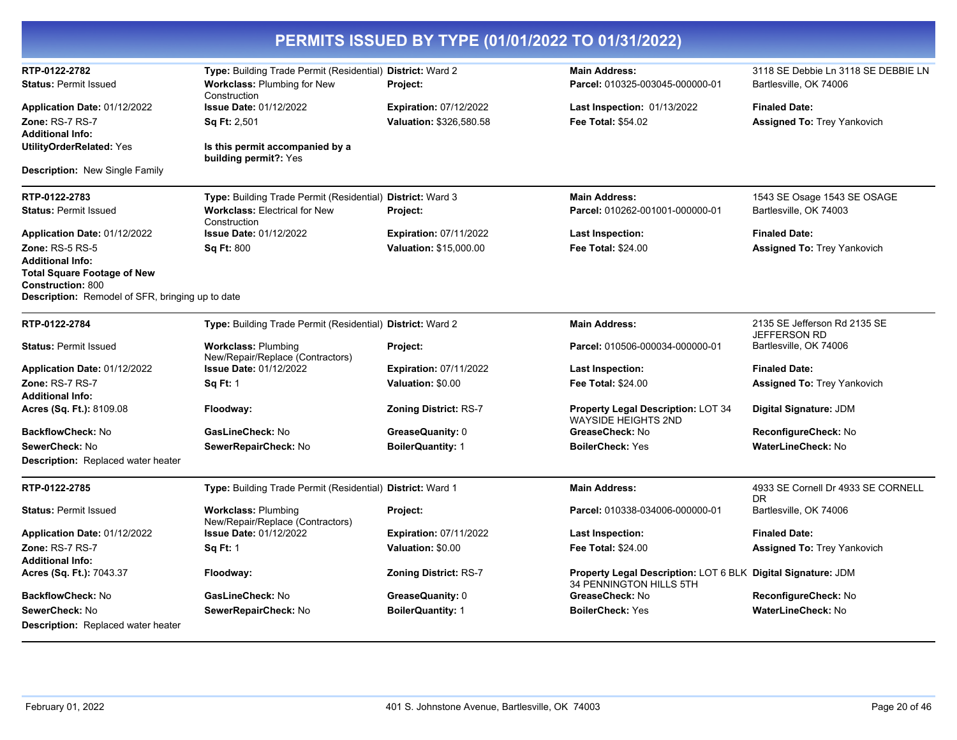| PERMITS ISSUED BY TYPE (01/01/2022 TO 01/31/2022)              |                                                                |                               |                                                                                         |                                                     |  |
|----------------------------------------------------------------|----------------------------------------------------------------|-------------------------------|-----------------------------------------------------------------------------------------|-----------------------------------------------------|--|
| RTP-0122-2782                                                  | Type: Building Trade Permit (Residential) District: Ward 2     |                               | <b>Main Address:</b>                                                                    | 3118 SE Debbie Ln 3118 SE DEBBIE LN                 |  |
| <b>Status: Permit Issued</b>                                   | <b>Workclass: Plumbing for New</b><br>Construction             | Project:                      | Parcel: 010325-003045-000000-01                                                         | Bartlesville, OK 74006                              |  |
| Application Date: 01/12/2022                                   | <b>Issue Date: 01/12/2022</b>                                  | <b>Expiration: 07/12/2022</b> | <b>Last Inspection: 01/13/2022</b>                                                      | <b>Finaled Date:</b>                                |  |
| Zone: RS-7 RS-7                                                | <b>Sq Ft: 2,501</b>                                            | Valuation: \$326,580.58       | Fee Total: \$54.02                                                                      | <b>Assigned To: Trey Yankovich</b>                  |  |
| <b>Additional Info:</b>                                        |                                                                |                               |                                                                                         |                                                     |  |
| <b>UtilityOrderRelated: Yes</b>                                | Is this permit accompanied by a<br>building permit?: Yes       |                               |                                                                                         |                                                     |  |
| <b>Description:</b> New Single Family                          |                                                                |                               |                                                                                         |                                                     |  |
| RTP-0122-2783                                                  | Type: Building Trade Permit (Residential) District: Ward 3     |                               | <b>Main Address:</b>                                                                    | 1543 SE Osage 1543 SE OSAGE                         |  |
| <b>Status: Permit Issued</b>                                   | <b>Workclass: Electrical for New</b><br>Construction           | Project:                      | Parcel: 010262-001001-000000-01                                                         | Bartlesville, OK 74003                              |  |
| Application Date: 01/12/2022                                   | <b>Issue Date: 01/12/2022</b>                                  | <b>Expiration: 07/11/2022</b> | Last Inspection:                                                                        | <b>Finaled Date:</b>                                |  |
| <b>Zone: RS-5 RS-5</b>                                         | <b>Sq Ft: 800</b>                                              | Valuation: \$15,000.00        | Fee Total: \$24.00                                                                      | <b>Assigned To: Trey Yankovich</b>                  |  |
| <b>Additional Info:</b>                                        |                                                                |                               |                                                                                         |                                                     |  |
| <b>Total Square Footage of New</b><br><b>Construction: 800</b> |                                                                |                               |                                                                                         |                                                     |  |
| Description: Remodel of SFR, bringing up to date               |                                                                |                               |                                                                                         |                                                     |  |
| RTP-0122-2784                                                  | Type: Building Trade Permit (Residential) District: Ward 2     |                               | <b>Main Address:</b>                                                                    | 2135 SE Jefferson Rd 2135 SE<br><b>JEFFERSON RD</b> |  |
| <b>Status: Permit Issued</b>                                   | <b>Workclass: Plumbing</b><br>New/Repair/Replace (Contractors) | Project:                      | Parcel: 010506-000034-000000-01                                                         | Bartlesville, OK 74006                              |  |
| Application Date: 01/12/2022                                   | <b>Issue Date: 01/12/2022</b>                                  | <b>Expiration: 07/11/2022</b> | Last Inspection:                                                                        | <b>Finaled Date:</b>                                |  |
| Zone: RS-7 RS-7                                                | <b>Sq Ft: 1</b>                                                | <b>Valuation: \$0.00</b>      | <b>Fee Total: \$24.00</b>                                                               | <b>Assigned To: Trey Yankovich</b>                  |  |
| <b>Additional Info:</b>                                        |                                                                |                               |                                                                                         |                                                     |  |
| Acres (Sq. Ft.): 8109.08                                       | Floodway:                                                      | <b>Zoning District: RS-7</b>  | <b>Property Legal Description: LOT 34</b><br><b>WAYSIDE HEIGHTS 2ND</b>                 | Digital Signature: JDM                              |  |
| <b>BackflowCheck: No</b>                                       | GasLineCheck: No                                               | GreaseQuanity: 0              | GreaseCheck: No                                                                         | ReconfigureCheck: No                                |  |
| SewerCheck: No                                                 | SewerRepairCheck: No                                           | <b>BoilerQuantity: 1</b>      | <b>BoilerCheck: Yes</b>                                                                 | WaterLineCheck: No                                  |  |
| <b>Description:</b> Replaced water heater                      |                                                                |                               |                                                                                         |                                                     |  |
| RTP-0122-2785                                                  | Type: Building Trade Permit (Residential) District: Ward 1     |                               | <b>Main Address:</b>                                                                    | 4933 SE Cornell Dr 4933 SE CORNELL<br>DR.           |  |
| <b>Status: Permit Issued</b>                                   | <b>Workclass: Plumbing</b><br>New/Repair/Replace (Contractors) | Project:                      | Parcel: 010338-034006-000000-01                                                         | Bartlesville, OK 74006                              |  |
| Application Date: 01/12/2022                                   | <b>Issue Date: 01/12/2022</b>                                  | <b>Expiration: 07/11/2022</b> | Last Inspection:                                                                        | <b>Finaled Date:</b>                                |  |
| Zone: RS-7 RS-7                                                | <b>Sq Ft: 1</b>                                                | Valuation: \$0.00             | <b>Fee Total: \$24.00</b>                                                               | <b>Assigned To: Trey Yankovich</b>                  |  |
| <b>Additional Info:</b>                                        |                                                                |                               |                                                                                         |                                                     |  |
| Acres (Sq. Ft.): 7043.37                                       | Floodway:                                                      | <b>Zoning District: RS-7</b>  | Property Legal Description: LOT 6 BLK Digital Signature: JDM<br>34 PENNINGTON HILLS 5TH |                                                     |  |
| <b>BackflowCheck: No</b>                                       | GasLineCheck: No                                               | GreaseQuanity: 0              | GreaseCheck: No                                                                         | ReconfigureCheck: No                                |  |
| SewerCheck: No                                                 | SewerRepairCheck: No                                           | <b>BoilerQuantity: 1</b>      | <b>BoilerCheck: Yes</b>                                                                 | <b>WaterLineCheck: No</b>                           |  |
| <b>Description:</b> Replaced water heater                      |                                                                |                               |                                                                                         |                                                     |  |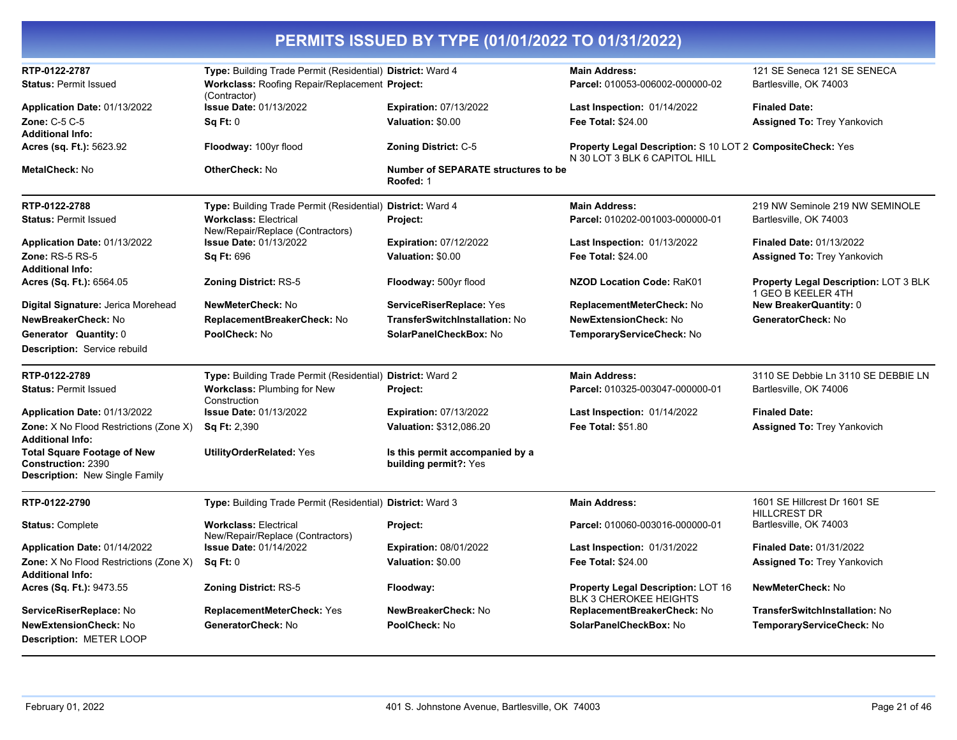| RTP-0122-2787                                                                                     | Type: Building Trade Permit (Residential) District: Ward 4       |                                                          | <b>Main Address:</b>                                                                        | 121 SE Seneca 121 SE SENECA                                 |
|---------------------------------------------------------------------------------------------------|------------------------------------------------------------------|----------------------------------------------------------|---------------------------------------------------------------------------------------------|-------------------------------------------------------------|
| <b>Status: Permit Issued</b>                                                                      | Workclass: Roofing Repair/Replacement Project:<br>(Contractor)   |                                                          | Parcel: 010053-006002-000000-02                                                             | Bartlesville, OK 74003                                      |
| Application Date: 01/13/2022                                                                      | <b>Issue Date: 01/13/2022</b>                                    | Expiration: 07/13/2022                                   | Last Inspection: 01/14/2022                                                                 | <b>Finaled Date:</b>                                        |
| Zone: C-5 C-5                                                                                     | Sq Ft: 0                                                         | Valuation: \$0.00                                        | <b>Fee Total: \$24.00</b>                                                                   | <b>Assigned To: Trey Yankovich</b>                          |
| <b>Additional Info:</b>                                                                           |                                                                  |                                                          |                                                                                             |                                                             |
| Acres (sq. Ft.): 5623.92                                                                          | Floodway: 100yr flood                                            | Zoning District: C-5                                     | Property Legal Description: S 10 LOT 2 CompositeCheck: Yes<br>N 30 LOT 3 BLK 6 CAPITOL HILL |                                                             |
| MetalCheck: No                                                                                    | <b>OtherCheck: No</b>                                            | <b>Number of SEPARATE structures to be</b><br>Roofed: 1  |                                                                                             |                                                             |
| RTP-0122-2788                                                                                     | Type: Building Trade Permit (Residential) District: Ward 4       |                                                          | <b>Main Address:</b>                                                                        | 219 NW Seminole 219 NW SEMINOLE                             |
| <b>Status: Permit Issued</b>                                                                      | <b>Workclass: Electrical</b><br>New/Repair/Replace (Contractors) | Project:                                                 | Parcel: 010202-001003-000000-01                                                             | Bartlesville, OK 74003                                      |
| Application Date: 01/13/2022                                                                      | <b>Issue Date: 01/13/2022</b>                                    | <b>Expiration: 07/12/2022</b>                            | <b>Last Inspection: 01/13/2022</b>                                                          | Finaled Date: 01/13/2022                                    |
| <b>Zone: RS-5 RS-5</b>                                                                            | <b>Sq Ft: 696</b>                                                | Valuation: \$0.00                                        | <b>Fee Total: \$24.00</b>                                                                   | <b>Assigned To: Trey Yankovich</b>                          |
| <b>Additional Info:</b>                                                                           |                                                                  |                                                          |                                                                                             |                                                             |
| Acres (Sq. Ft.): 6564.05                                                                          | <b>Zoning District: RS-5</b>                                     | Floodway: 500yr flood                                    | <b>NZOD Location Code: RaK01</b>                                                            | Property Legal Description: LOT 3 BLK<br>1 GEO B KEELER 4TH |
| Digital Signature: Jerica Morehead                                                                | NewMeterCheck: No                                                | ServiceRiserReplace: Yes                                 | ReplacementMeterCheck: No                                                                   | <b>New BreakerQuantity: 0</b>                               |
| NewBreakerCheck: No                                                                               | ReplacementBreakerCheck: No                                      | <b>TransferSwitchInstallation: No</b>                    | <b>NewExtensionCheck: No</b>                                                                | GeneratorCheck: No                                          |
| Generator Quantity: 0                                                                             | PoolCheck: No                                                    | SolarPanelCheckBox: No                                   | TemporaryServiceCheck: No                                                                   |                                                             |
| Description: Service rebuild                                                                      |                                                                  |                                                          |                                                                                             |                                                             |
| RTP-0122-2789                                                                                     | Type: Building Trade Permit (Residential) District: Ward 2       |                                                          | <b>Main Address:</b>                                                                        | 3110 SE Debbie Ln 3110 SE DEBBIE LN                         |
| <b>Status: Permit Issued</b>                                                                      | <b>Workclass: Plumbing for New</b><br>Construction               | Project:                                                 | Parcel: 010325-003047-000000-01                                                             | Bartlesville, OK 74006                                      |
| Application Date: 01/13/2022                                                                      | <b>Issue Date: 01/13/2022</b>                                    | <b>Expiration: 07/13/2022</b>                            | <b>Last Inspection: 01/14/2022</b>                                                          | <b>Finaled Date:</b>                                        |
| Zone: X No Flood Restrictions (Zone X)<br><b>Additional Info:</b>                                 | <b>Sq Ft: 2,390</b>                                              | Valuation: \$312,086.20                                  | Fee Total: \$51.80                                                                          | Assigned To: Trey Yankovich                                 |
| <b>Total Square Footage of New</b><br><b>Construction: 2390</b><br>Description: New Single Family | <b>UtilityOrderRelated: Yes</b>                                  | Is this permit accompanied by a<br>building permit?: Yes |                                                                                             |                                                             |
| RTP-0122-2790                                                                                     | Type: Building Trade Permit (Residential) District: Ward 3       |                                                          | <b>Main Address:</b>                                                                        | 1601 SE Hillcrest Dr 1601 SE<br><b>HILLCREST DR</b>         |
| <b>Status: Complete</b>                                                                           | <b>Workclass: Electrical</b><br>New/Repair/Replace (Contractors) | Project:                                                 | Parcel: 010060-003016-000000-01                                                             | Bartlesville, OK 74003                                      |
| Application Date: 01/14/2022                                                                      | <b>Issue Date: 01/14/2022</b>                                    | Expiration: 08/01/2022                                   | Last Inspection: 01/31/2022                                                                 | <b>Finaled Date: 01/31/2022</b>                             |
| <b>Zone:</b> X No Flood Restrictions (Zone X)                                                     | Sq Ft: 0                                                         | Valuation: \$0.00                                        | <b>Fee Total: \$24.00</b>                                                                   | <b>Assigned To: Trey Yankovich</b>                          |
| <b>Additional Info:</b>                                                                           |                                                                  |                                                          |                                                                                             |                                                             |
| Acres (Sq. Ft.): 9473.55                                                                          | <b>Zoning District: RS-5</b>                                     | Floodway:                                                | <b>Property Legal Description: LOT 16</b><br><b>BLK 3 CHEROKEE HEIGHTS</b>                  | <b>NewMeterCheck: No</b>                                    |
| ServiceRiserReplace: No                                                                           | ReplacementMeterCheck: Yes                                       | NewBreakerCheck: No                                      | ReplacementBreakerCheck: No                                                                 | TransferSwitchInstallation: No                              |
| <b>NewExtensionCheck: No</b><br>Description: METER LOOP                                           | GeneratorCheck: No                                               | PoolCheck: No                                            | SolarPanelCheckBox: No                                                                      | TemporaryServiceCheck: No                                   |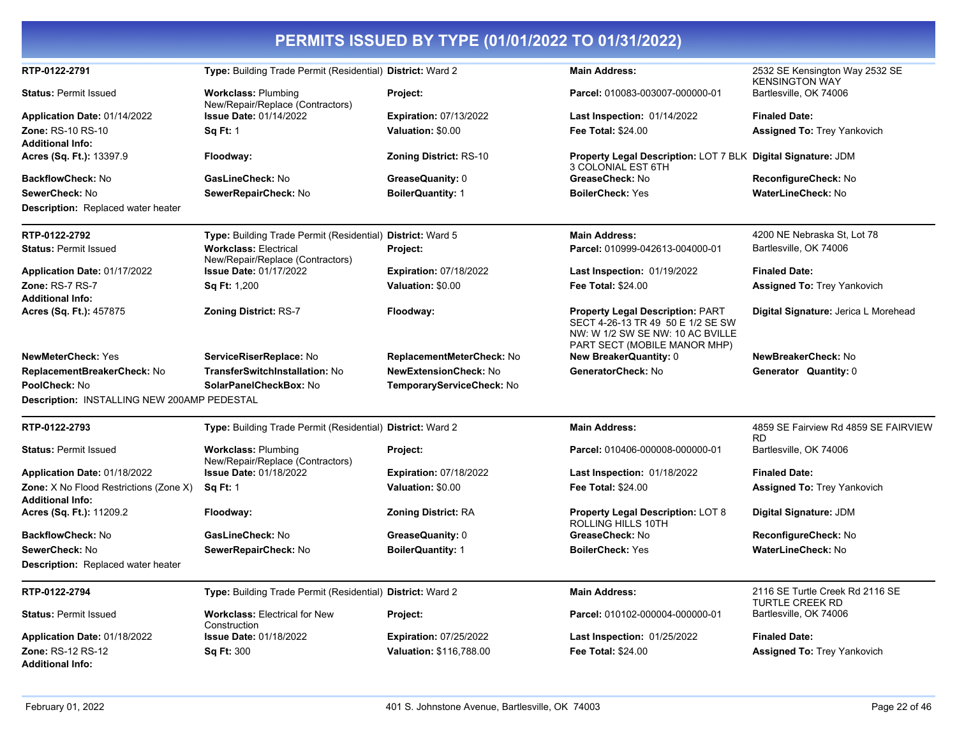|                                             |                                                                  | PERMITS ISSUED BY TYPE (01/01/2022 TO 01/31/2022) |                                                                                                                                                  |                                                           |
|---------------------------------------------|------------------------------------------------------------------|---------------------------------------------------|--------------------------------------------------------------------------------------------------------------------------------------------------|-----------------------------------------------------------|
| RTP-0122-2791                               | Type: Building Trade Permit (Residential) District: Ward 2       |                                                   | <b>Main Address:</b>                                                                                                                             | 2532 SE Kensington Way 2532 SE<br><b>KENSINGTON WAY</b>   |
| <b>Status: Permit Issued</b>                | <b>Workclass: Plumbing</b><br>New/Repair/Replace (Contractors)   | Project:                                          | Parcel: 010083-003007-000000-01                                                                                                                  | Bartlesville, OK 74006                                    |
| Application Date: 01/14/2022                | <b>Issue Date: 01/14/2022</b>                                    | <b>Expiration: 07/13/2022</b>                     | <b>Last Inspection: 01/14/2022</b>                                                                                                               | <b>Finaled Date:</b>                                      |
| <b>Zone: RS-10 RS-10</b>                    | <b>Sq Ft: 1</b>                                                  | Valuation: \$0.00                                 | <b>Fee Total: \$24.00</b>                                                                                                                        | <b>Assigned To: Trey Yankovich</b>                        |
| <b>Additional Info:</b>                     |                                                                  |                                                   |                                                                                                                                                  |                                                           |
| Acres (Sq. Ft.): 13397.9                    | Floodway:                                                        | <b>Zoning District: RS-10</b>                     | Property Legal Description: LOT 7 BLK Digital Signature: JDM<br>3 COLONIAL EST 6TH                                                               |                                                           |
| <b>BackflowCheck: No</b>                    | GasLineCheck: No                                                 | GreaseQuanity: 0                                  | GreaseCheck: No                                                                                                                                  | ReconfigureCheck: No                                      |
| SewerCheck: No                              | SewerRepairCheck: No                                             | <b>BoilerQuantity: 1</b>                          | <b>BoilerCheck: Yes</b>                                                                                                                          | <b>WaterLineCheck: No</b>                                 |
| <b>Description:</b> Replaced water heater   |                                                                  |                                                   |                                                                                                                                                  |                                                           |
| RTP-0122-2792                               | Type: Building Trade Permit (Residential) District: Ward 5       |                                                   | <b>Main Address:</b>                                                                                                                             | 4200 NE Nebraska St, Lot 78                               |
| <b>Status: Permit Issued</b>                | <b>Workclass: Electrical</b><br>New/Repair/Replace (Contractors) | Project:                                          | Parcel: 010999-042613-004000-01                                                                                                                  | Bartlesville, OK 74006                                    |
| Application Date: 01/17/2022                | <b>Issue Date: 01/17/2022</b>                                    | <b>Expiration: 07/18/2022</b>                     | <b>Last Inspection: 01/19/2022</b>                                                                                                               | <b>Finaled Date:</b>                                      |
| Zone: RS-7 RS-7                             | Sq Ft: 1,200                                                     | Valuation: \$0.00                                 | <b>Fee Total: \$24.00</b>                                                                                                                        | <b>Assigned To: Trey Yankovich</b>                        |
| <b>Additional Info:</b>                     |                                                                  |                                                   |                                                                                                                                                  |                                                           |
| Acres (Sq. Ft.): 457875                     | Zoning District: RS-7                                            | Floodway:                                         | <b>Property Legal Description: PART</b><br>SECT 4-26-13 TR 49 50 E 1/2 SE SW<br>NW: W 1/2 SW SE NW: 10 AC BVILLE<br>PART SECT (MOBILE MANOR MHP) | Digital Signature: Jerica L Morehead                      |
| <b>NewMeterCheck: Yes</b>                   | ServiceRiserReplace: No                                          | ReplacementMeterCheck: No                         | <b>New BreakerQuantity: 0</b>                                                                                                                    | NewBreakerCheck: No                                       |
| ReplacementBreakerCheck: No                 | <b>TransferSwitchInstallation: No</b>                            | <b>NewExtensionCheck: No</b>                      | GeneratorCheck: No                                                                                                                               | <b>Generator Quantity: 0</b>                              |
| PoolCheck: No                               | SolarPanelCheckBox: No                                           | TemporaryServiceCheck: No                         |                                                                                                                                                  |                                                           |
| Description: INSTALLING NEW 200AMP PEDESTAL |                                                                  |                                                   |                                                                                                                                                  |                                                           |
| RTP-0122-2793                               | Type: Building Trade Permit (Residential) District: Ward 2       |                                                   | <b>Main Address:</b>                                                                                                                             | 4859 SE Fairview Rd 4859 SE FAIRVIEW<br>RD                |
| <b>Status: Permit Issued</b>                | <b>Workclass: Plumbing</b><br>New/Repair/Replace (Contractors)   | Project:                                          | Parcel: 010406-000008-000000-01                                                                                                                  | Bartlesville, OK 74006                                    |
| Application Date: 01/18/2022                | <b>Issue Date: 01/18/2022</b>                                    | <b>Expiration: 07/18/2022</b>                     | Last Inspection: 01/18/2022                                                                                                                      | <b>Finaled Date:</b>                                      |
| Zone: X No Flood Restrictions (Zone X)      | <b>Sq Ft: 1</b>                                                  | Valuation: \$0.00                                 | <b>Fee Total: \$24.00</b>                                                                                                                        | <b>Assigned To: Trey Yankovich</b>                        |
| <b>Additional Info:</b>                     |                                                                  |                                                   |                                                                                                                                                  |                                                           |
| Acres (Sq. Ft.): 11209.2                    | Floodway:                                                        | <b>Zoning District: RA</b>                        | <b>Property Legal Description: LOT 8</b><br>ROLLING HILLS 10TH                                                                                   | Digital Signature: JDM                                    |
| BackflowCheck: No                           | GasLineCheck: No                                                 | GreaseQuanity: 0                                  | GreaseCheck: No                                                                                                                                  | ReconfigureCheck: No                                      |
| SewerCheck: No                              | SewerRepairCheck: No                                             | <b>BoilerQuantity: 1</b>                          | <b>BoilerCheck: Yes</b>                                                                                                                          | WaterLineCheck: No                                        |
| <b>Description:</b> Replaced water heater   |                                                                  |                                                   |                                                                                                                                                  |                                                           |
| RTP-0122-2794                               | Type: Building Trade Permit (Residential) District: Ward 2       |                                                   | <b>Main Address:</b>                                                                                                                             | 2116 SE Turtle Creek Rd 2116 SE<br><b>TURTLE CREEK RD</b> |
| <b>Status: Permit Issued</b>                | <b>Workclass: Electrical for New</b><br>Construction             | Project:                                          | Parcel: 010102-000004-000000-01                                                                                                                  | Bartlesville, OK 74006                                    |
| Application Date: 01/18/2022                | <b>Issue Date: 01/18/2022</b>                                    | <b>Expiration: 07/25/2022</b>                     | Last Inspection: 01/25/2022                                                                                                                      | <b>Finaled Date:</b>                                      |
| <b>Zone: RS-12 RS-12</b>                    | <b>Sq Ft: 300</b>                                                | Valuation: \$116,788.00                           | Fee Total: \$24.00                                                                                                                               | <b>Assigned To: Trey Yankovich</b>                        |
| <b>Additional Info:</b>                     |                                                                  |                                                   |                                                                                                                                                  |                                                           |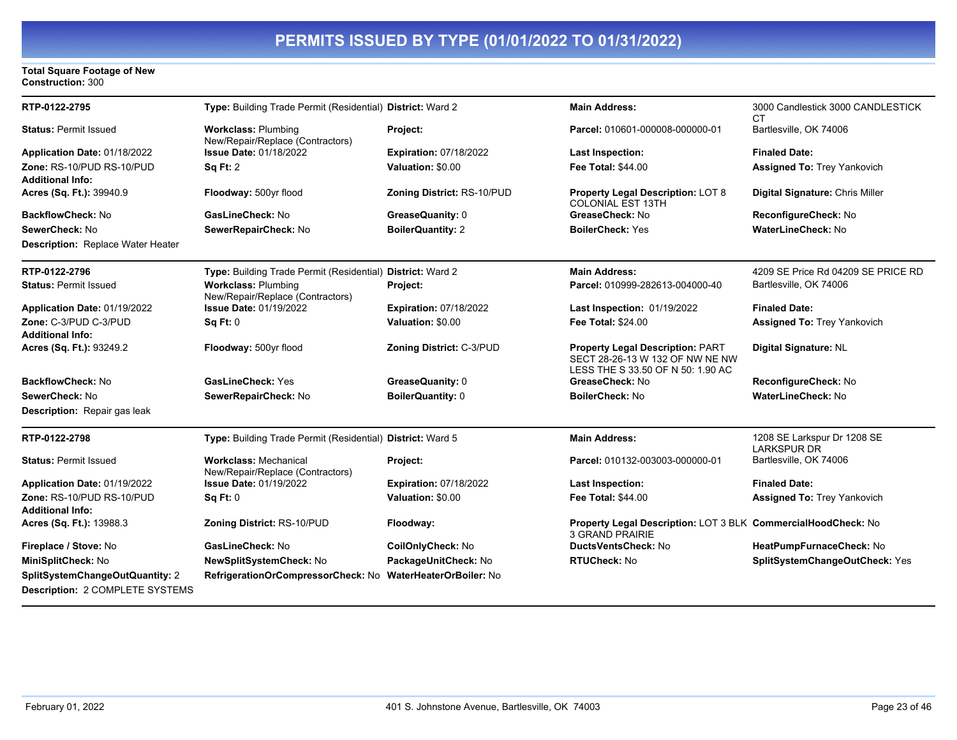#### **Total Square Footage of New Construction:** 300

| RTP-0122-2795                            | Type: Building Trade Permit (Residential) District: Ward 2       |                                | <b>Main Address:</b>                                                                                            | 3000 Candlestick 3000 CANDLESTICK<br>СT           |
|------------------------------------------|------------------------------------------------------------------|--------------------------------|-----------------------------------------------------------------------------------------------------------------|---------------------------------------------------|
| <b>Status: Permit Issued</b>             | <b>Workclass: Plumbing</b><br>New/Repair/Replace (Contractors)   | Project:                       | Parcel: 010601-000008-000000-01                                                                                 | Bartlesville, OK 74006                            |
| Application Date: 01/18/2022             | <b>Issue Date: 01/18/2022</b>                                    | <b>Expiration: 07/18/2022</b>  | <b>Last Inspection:</b>                                                                                         | <b>Finaled Date:</b>                              |
| Zone: RS-10/PUD RS-10/PUD                | <b>Sq Ft: 2</b>                                                  | Valuation: \$0.00              | <b>Fee Total: \$44.00</b>                                                                                       | Assigned To: Trey Yankovich                       |
| <b>Additional Info:</b>                  |                                                                  |                                |                                                                                                                 |                                                   |
| Acres (Sq. Ft.): 39940.9                 | Floodway: 500yr flood                                            | Zoning District: RS-10/PUD     | <b>Property Legal Description: LOT 8</b><br><b>COLONIAL EST 13TH</b>                                            | Digital Signature: Chris Miller                   |
| <b>BackflowCheck: No</b>                 | GasLineCheck: No                                                 | GreaseQuanity: 0               | GreaseCheck: No                                                                                                 | ReconfigureCheck: No                              |
| SewerCheck: No                           | SewerRepairCheck: No                                             | <b>BoilerQuantity: 2</b>       | <b>BoilerCheck: Yes</b>                                                                                         | <b>WaterLineCheck: No</b>                         |
| <b>Description:</b> Replace Water Heater |                                                                  |                                |                                                                                                                 |                                                   |
| RTP-0122-2796                            | Type: Building Trade Permit (Residential) District: Ward 2       |                                | <b>Main Address:</b>                                                                                            | 4209 SE Price Rd 04209 SE PRICE RD                |
| <b>Status: Permit Issued</b>             | <b>Workclass: Plumbing</b><br>New/Repair/Replace (Contractors)   | Project:                       | Parcel: 010999-282613-004000-40                                                                                 | Bartlesville, OK 74006                            |
| Application Date: 01/19/2022             | <b>Issue Date: 01/19/2022</b>                                    | <b>Expiration: 07/18/2022</b>  | Last Inspection: 01/19/2022                                                                                     | <b>Finaled Date:</b>                              |
| Zone: C-3/PUD C-3/PUD                    | Sq Ft: 0                                                         | Valuation: \$0.00              | <b>Fee Total: \$24.00</b>                                                                                       | <b>Assigned To: Trey Yankovich</b>                |
| <b>Additional Info:</b>                  |                                                                  |                                |                                                                                                                 |                                                   |
| Acres (Sq. Ft.): 93249.2                 | Floodway: 500yr flood                                            | Zoning District: C-3/PUD       | <b>Property Legal Description: PART</b><br>SECT 28-26-13 W 132 OF NW NE NW<br>LESS THE S 33.50 OF N 50: 1.90 AC | Digital Signature: NL                             |
| <b>BackflowCheck: No</b>                 | <b>GasLineCheck: Yes</b>                                         | GreaseQuanity: 0               | GreaseCheck: No                                                                                                 | ReconfigureCheck: No                              |
| SewerCheck: No                           | SewerRepairCheck: No                                             | BoilerQuantity: 0              | <b>BoilerCheck: No</b>                                                                                          | <b>WaterLineCheck: No</b>                         |
| <b>Description:</b> Repair gas leak      |                                                                  |                                |                                                                                                                 |                                                   |
| RTP-0122-2798                            | Type: Building Trade Permit (Residential) District: Ward 5       |                                | <b>Main Address:</b>                                                                                            | 1208 SE Larkspur Dr 1208 SE<br><b>LARKSPUR DR</b> |
| <b>Status: Permit Issued</b>             | <b>Workclass: Mechanical</b><br>New/Repair/Replace (Contractors) | Project:                       | Parcel: 010132-003003-000000-01                                                                                 | Bartlesville, OK 74006                            |
| Application Date: 01/19/2022             | <b>Issue Date: 01/19/2022</b>                                    | <b>Expiration: 07/18/2022</b>  | <b>Last Inspection:</b>                                                                                         | <b>Finaled Date:</b>                              |
| Zone: RS-10/PUD RS-10/PUD                | Sq Ft: 0                                                         | Valuation: \$0.00              | <b>Fee Total: \$44.00</b>                                                                                       | <b>Assigned To: Trey Yankovich</b>                |
| <b>Additional Info:</b>                  |                                                                  |                                |                                                                                                                 |                                                   |
| Acres (Sq. Ft.): 13988.3                 | Zoning District: RS-10/PUD                                       | Floodway:                      | Property Legal Description: LOT 3 BLK CommercialHoodCheck: No<br>3 GRAND PRAIRIE                                |                                                   |
| Fireplace / Stove: No                    | GasLineCheck: No                                                 | CoilOnlyCheck: No              | <b>DuctsVentsCheck: No</b>                                                                                      | HeatPumpFurnaceCheck: No                          |
| MiniSplitCheck: No                       | NewSplitSystemCheck: No                                          | PackageUnitCheck: No           | <b>RTUCheck: No</b>                                                                                             | SplitSystemChangeOutCheck: Yes                    |
| SplitSystemChangeOutQuantity: 2          | RefrigerationOrCompressorCheck: No                               | <b>WaterHeaterOrBoiler: No</b> |                                                                                                                 |                                                   |
| Description: 2 COMPLETE SYSTEMS          |                                                                  |                                |                                                                                                                 |                                                   |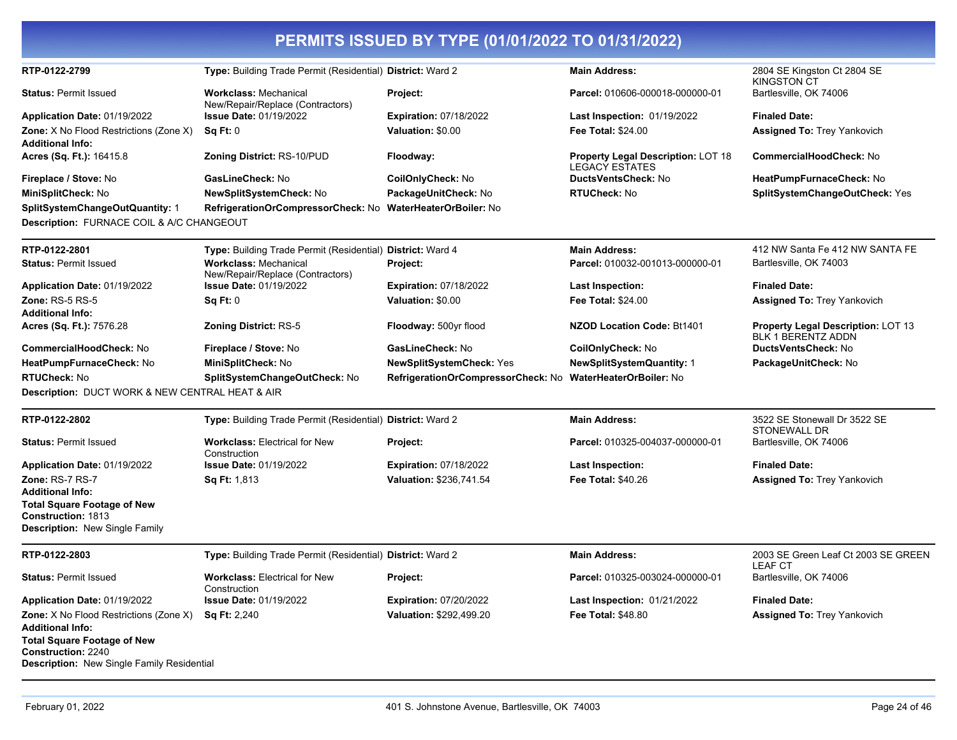| RTP-0122-2799                                                 | Type: Building Trade Permit (Residential) District: Ward 2       |                                                            | <b>Main Address:</b>                                               | 2804 SE Kingston Ct 2804 SE<br><b>KINGSTON CT</b>               |
|---------------------------------------------------------------|------------------------------------------------------------------|------------------------------------------------------------|--------------------------------------------------------------------|-----------------------------------------------------------------|
| <b>Status: Permit Issued</b>                                  | <b>Workclass: Mechanical</b><br>New/Repair/Replace (Contractors) | Project:                                                   | Parcel: 010606-000018-000000-01                                    | Bartlesville, OK 74006                                          |
| Application Date: 01/19/2022                                  | <b>Issue Date: 01/19/2022</b>                                    | <b>Expiration: 07/18/2022</b>                              | Last Inspection: 01/19/2022                                        | <b>Finaled Date:</b>                                            |
| <b>Zone:</b> X No Flood Restrictions (Zone X)                 | $Sa$ Ft: $0$                                                     | Valuation: \$0.00                                          | <b>Fee Total: \$24.00</b>                                          | <b>Assigned To: Trey Yankovich</b>                              |
| <b>Additional Info:</b>                                       |                                                                  |                                                            |                                                                    |                                                                 |
| Acres (Sq. Ft.): 16415.8                                      | Zoning District: RS-10/PUD                                       | Floodway:                                                  | <b>Property Legal Description: LOT 18</b><br><b>LEGACY ESTATES</b> | <b>CommercialHoodCheck: No</b>                                  |
| Fireplace / Stove: No                                         | GasLineCheck: No                                                 | CoilOnlyCheck: No                                          | DuctsVentsCheck: No                                                | HeatPumpFurnaceCheck: No                                        |
| MiniSplitCheck: No                                            | <b>NewSplitSystemCheck: No</b>                                   | PackageUnitCheck: No                                       | <b>RTUCheck: No</b>                                                | SplitSystemChangeOutCheck: Yes                                  |
| <b>SplitSystemChangeOutQuantity: 1</b>                        | RefrigerationOrCompressorCheck: No                               | <b>WaterHeaterOrBoiler: No</b>                             |                                                                    |                                                                 |
| Description: FURNACE COIL & A/C CHANGEOUT                     |                                                                  |                                                            |                                                                    |                                                                 |
| RTP-0122-2801                                                 | Type: Building Trade Permit (Residential) District: Ward 4       |                                                            | <b>Main Address:</b>                                               | 412 NW Santa Fe 412 NW SANTA FE                                 |
| <b>Status: Permit Issued</b>                                  | <b>Workclass: Mechanical</b><br>New/Repair/Replace (Contractors) | Project:                                                   | Parcel: 010032-001013-000000-01                                    | Bartlesville, OK 74003                                          |
| Application Date: 01/19/2022                                  | <b>Issue Date: 01/19/2022</b>                                    | <b>Expiration: 07/18/2022</b>                              | <b>Last Inspection:</b>                                            | <b>Finaled Date:</b>                                            |
| <b>Zone: RS-5 RS-5</b>                                        | Sq Ft: 0                                                         | Valuation: \$0.00                                          | <b>Fee Total: \$24.00</b>                                          | <b>Assigned To: Trey Yankovich</b>                              |
| <b>Additional Info:</b>                                       |                                                                  |                                                            |                                                                    |                                                                 |
| Acres (Sq. Ft.): 7576.28                                      | <b>Zoning District: RS-5</b>                                     | Floodway: 500yr flood                                      | <b>NZOD Location Code: Bt1401</b>                                  | Property Legal Description: LOT 13<br><b>BLK 1 BERENTZ ADDN</b> |
| CommercialHoodCheck: No                                       | Fireplace / Stove: No                                            | GasLineCheck: No                                           | CoilOnlyCheck: No                                                  | DuctsVentsCheck: No                                             |
| HeatPumpFurnaceCheck: No                                      | MiniSplitCheck: No                                               | <b>NewSplitSystemCheck: Yes</b>                            | <b>NewSplitSystemQuantity: 1</b>                                   | PackageUnitCheck: No                                            |
| <b>RTUCheck: No</b>                                           | SplitSystemChangeOutCheck: No                                    | RefrigerationOrCompressorCheck: No WaterHeaterOrBoiler: No |                                                                    |                                                                 |
| Description: DUCT WORK & NEW CENTRAL HEAT & AIR               |                                                                  |                                                            |                                                                    |                                                                 |
| RTP-0122-2802                                                 | Type: Building Trade Permit (Residential) District: Ward 2       |                                                            | <b>Main Address:</b>                                               | 3522 SE Stonewall Dr 3522 SE                                    |
| <b>Status: Permit Issued</b>                                  | <b>Workclass: Electrical for New</b>                             | Project:                                                   | Parcel: 010325-004037-000000-01                                    | STONEWALL DR<br>Bartlesville, OK 74006                          |
|                                                               | Construction                                                     |                                                            |                                                                    |                                                                 |
| <b>Application Date: 01/19/2022</b>                           | <b>Issue Date: 01/19/2022</b>                                    | <b>Expiration: 07/18/2022</b>                              | Last Inspection:                                                   | <b>Finaled Date:</b>                                            |
| Zone: RS-7 RS-7                                               | Sq Ft: 1,813                                                     | Valuation: \$236,741.54                                    | <b>Fee Total: \$40.26</b>                                          | <b>Assigned To: Trey Yankovich</b>                              |
| <b>Additional Info:</b><br><b>Total Square Footage of New</b> |                                                                  |                                                            |                                                                    |                                                                 |
| Construction: 1813                                            |                                                                  |                                                            |                                                                    |                                                                 |
| <b>Description: New Single Family</b>                         |                                                                  |                                                            |                                                                    |                                                                 |
| RTP-0122-2803                                                 | Type: Building Trade Permit (Residential) District: Ward 2       |                                                            | <b>Main Address:</b>                                               | 2003 SE Green Leaf Ct 2003 SE GREEN<br><b>LEAF CT</b>           |
| <b>Status: Permit Issued</b>                                  | <b>Workclass: Electrical for New</b>                             | Project:                                                   | Parcel: 010325-003024-000000-01                                    | Bartlesville, OK 74006                                          |
| Application Date: 01/19/2022                                  | Construction<br><b>Issue Date: 01/19/2022</b>                    | <b>Expiration: 07/20/2022</b>                              | Last Inspection: 01/21/2022                                        | <b>Finaled Date:</b>                                            |
| <b>Zone:</b> X No Flood Restrictions (Zone X)                 | <b>Sq Ft: 2,240</b>                                              | Valuation: \$292,499.20                                    | <b>Fee Total: \$48.80</b>                                          | <b>Assigned To: Trey Yankovich</b>                              |
| <b>Additional Info:</b>                                       |                                                                  |                                                            |                                                                    |                                                                 |
| <b>Total Square Footage of New</b>                            |                                                                  |                                                            |                                                                    |                                                                 |
| <b>Construction: 2240</b>                                     |                                                                  |                                                            |                                                                    |                                                                 |
| Description: New Single Family Residential                    |                                                                  |                                                            |                                                                    |                                                                 |
|                                                               |                                                                  |                                                            |                                                                    |                                                                 |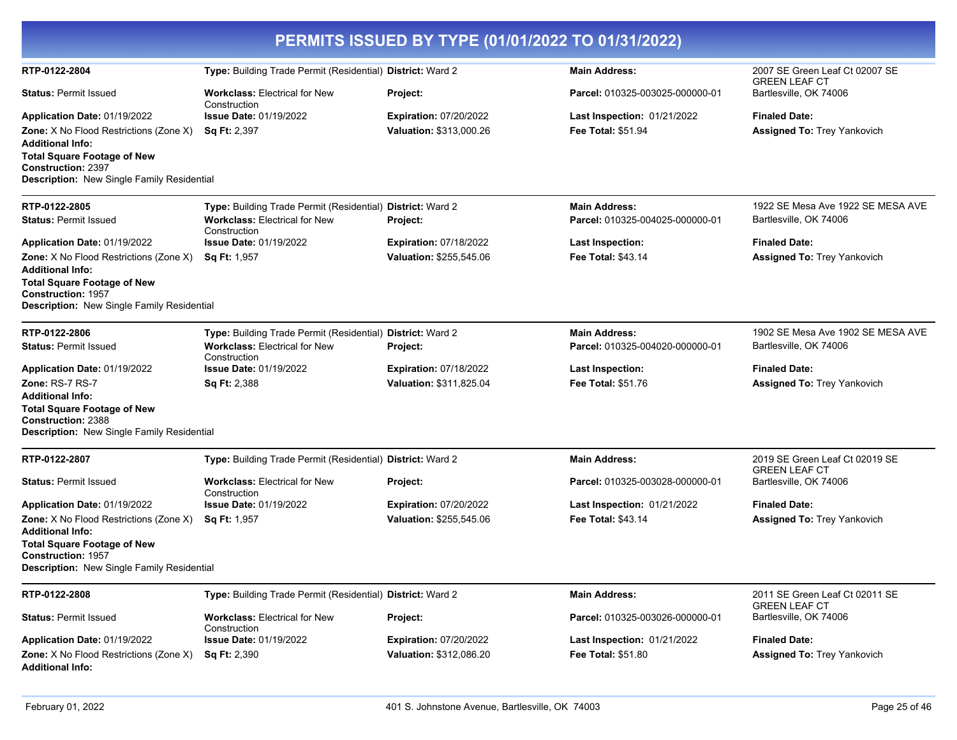| PERMITS ISSUED BY TYPE (01/01/2022 TO 01/31/2022)                                                                                                                                                                         |                                                                                                                                                     |                                                          |                                                                                    |                                                                                     |  |
|---------------------------------------------------------------------------------------------------------------------------------------------------------------------------------------------------------------------------|-----------------------------------------------------------------------------------------------------------------------------------------------------|----------------------------------------------------------|------------------------------------------------------------------------------------|-------------------------------------------------------------------------------------|--|
| RTP-0122-2804                                                                                                                                                                                                             | Type: Building Trade Permit (Residential) District: Ward 2                                                                                          |                                                          | <b>Main Address:</b>                                                               | 2007 SE Green Leaf Ct 02007 SE<br><b>GREEN LEAF CT</b>                              |  |
| <b>Status: Permit Issued</b>                                                                                                                                                                                              | <b>Workclass: Electrical for New</b><br>Construction                                                                                                | Project:                                                 | Parcel: 010325-003025-000000-01                                                    | Bartlesville, OK 74006                                                              |  |
| Application Date: 01/19/2022<br>Zone: X No Flood Restrictions (Zone X)<br><b>Additional Info:</b><br><b>Total Square Footage of New</b><br><b>Construction: 2397</b><br><b>Description:</b> New Single Family Residential | <b>Issue Date: 01/19/2022</b><br><b>Sq Ft: 2,397</b>                                                                                                | <b>Expiration: 07/20/2022</b><br>Valuation: \$313,000.26 | Last Inspection: 01/21/2022<br><b>Fee Total: \$51.94</b>                           | <b>Finaled Date:</b><br><b>Assigned To: Trey Yankovich</b>                          |  |
| RTP-0122-2805<br><b>Status: Permit Issued</b>                                                                                                                                                                             | Type: Building Trade Permit (Residential) District: Ward 2<br><b>Workclass: Electrical for New</b>                                                  | Project:                                                 | <b>Main Address:</b><br>Parcel: 010325-004025-000000-01                            | 1922 SE Mesa Ave 1922 SE MESA AVE<br>Bartlesville, OK 74006                         |  |
| Application Date: 01/19/2022<br>Zone: X No Flood Restrictions (Zone X)<br><b>Additional Info:</b><br><b>Total Square Footage of New</b><br><b>Construction: 1957</b><br>Description: New Single Family Residential        | Construction<br><b>Issue Date: 01/19/2022</b><br><b>Sq Ft: 1,957</b>                                                                                | <b>Expiration: 07/18/2022</b><br>Valuation: \$255,545.06 | Last Inspection:<br><b>Fee Total: \$43.14</b>                                      | <b>Finaled Date:</b><br>Assigned To: Trey Yankovich                                 |  |
| RTP-0122-2806<br><b>Status: Permit Issued</b><br>Application Date: 01/19/2022                                                                                                                                             | Type: Building Trade Permit (Residential) District: Ward 2<br><b>Workclass: Electrical for New</b><br>Construction<br><b>Issue Date: 01/19/2022</b> | Project:<br><b>Expiration: 07/18/2022</b>                | <b>Main Address:</b><br>Parcel: 010325-004020-000000-01<br><b>Last Inspection:</b> | 1902 SE Mesa Ave 1902 SE MESA AVE<br>Bartlesville, OK 74006<br><b>Finaled Date:</b> |  |
| Zone: RS-7 RS-7<br><b>Additional Info:</b><br><b>Total Square Footage of New</b><br><b>Construction: 2388</b><br>Description: New Single Family Residential                                                               | <b>Sq Ft: 2,388</b>                                                                                                                                 | Valuation: \$311,825.04                                  | <b>Fee Total: \$51.76</b>                                                          | <b>Assigned To: Trey Yankovich</b>                                                  |  |
| RTP-0122-2807                                                                                                                                                                                                             | Type: Building Trade Permit (Residential) District: Ward 2                                                                                          |                                                          | <b>Main Address:</b>                                                               | 2019 SE Green Leaf Ct 02019 SE<br><b>GREEN LEAF CT</b>                              |  |
| <b>Status: Permit Issued</b>                                                                                                                                                                                              | <b>Workclass: Electrical for New</b><br>Construction                                                                                                | <b>Project:</b>                                          | Parcel: 010325-003028-000000-01                                                    | Bartlesville, OK 74006                                                              |  |
| Application Date: 01/19/2022<br>Zone: X No Flood Restrictions (Zone X)<br><b>Additional Info:</b><br><b>Total Square Footage of New</b><br><b>Construction: 1957</b><br>Description: New Single Family Residential        | <b>Issue Date: 01/19/2022</b><br><b>Sq Ft: 1,957</b>                                                                                                | <b>Expiration: 07/20/2022</b><br>Valuation: \$255,545.06 | Last Inspection: 01/21/2022<br><b>Fee Total: \$43.14</b>                           | <b>Finaled Date:</b><br><b>Assigned To: Trey Yankovich</b>                          |  |
| RTP-0122-2808                                                                                                                                                                                                             | Type: Building Trade Permit (Residential) District: Ward 2                                                                                          |                                                          | <b>Main Address:</b>                                                               | 2011 SE Green Leaf Ct 02011 SE                                                      |  |
| <b>Status: Permit Issued</b>                                                                                                                                                                                              | <b>Workclass: Electrical for New</b>                                                                                                                | Project:                                                 | Parcel: 010325-003026-000000-01                                                    | <b>GREEN LEAF CT</b><br>Bartlesville, OK 74006                                      |  |
| Application Date: 01/19/2022                                                                                                                                                                                              | Construction<br><b>Issue Date: 01/19/2022</b>                                                                                                       | <b>Expiration: 07/20/2022</b>                            | <b>Last Inspection: 01/21/2022</b>                                                 | <b>Finaled Date:</b>                                                                |  |
| <b>Zone:</b> X No Flood Restrictions (Zone X)<br><b>Additional Info:</b>                                                                                                                                                  | <b>Sq Ft: 2,390</b>                                                                                                                                 | Valuation: \$312,086.20                                  | <b>Fee Total: \$51.80</b>                                                          | <b>Assigned To: Trey Yankovich</b>                                                  |  |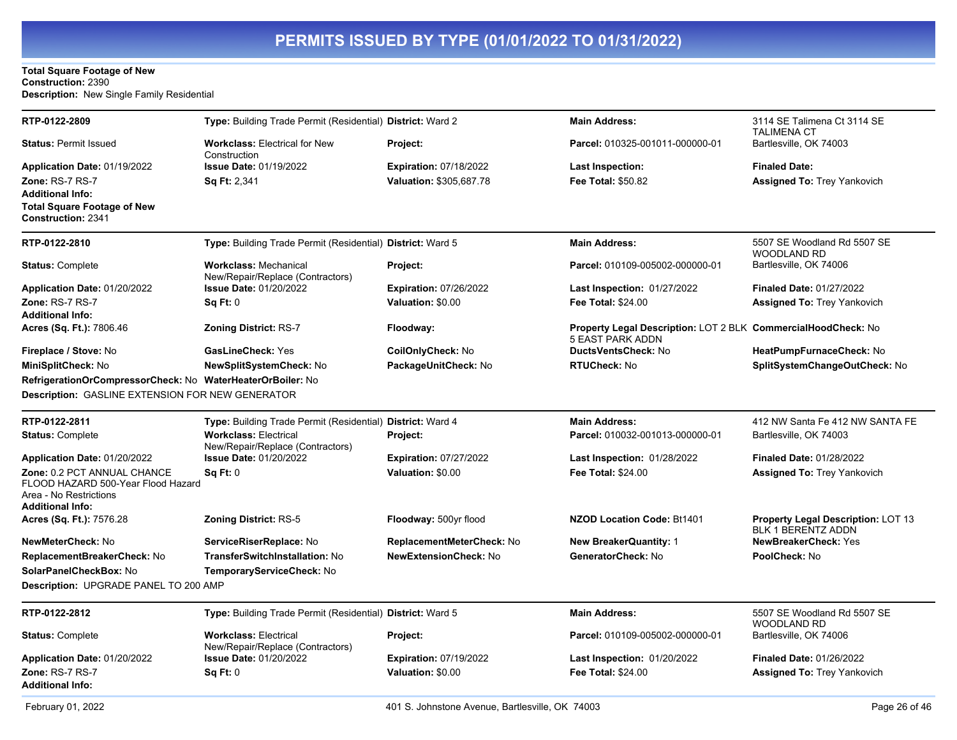#### **Total Square Footage of New Construction:** 2390 **Description:** New Single Family Residential

| RTP-0122-2809                                                                                                          | Type: Building Trade Permit (Residential) District: Ward 2       |                                                 | <b>Main Address:</b>                                          | 3114 SE Talimena Ct 3114 SE                                            |
|------------------------------------------------------------------------------------------------------------------------|------------------------------------------------------------------|-------------------------------------------------|---------------------------------------------------------------|------------------------------------------------------------------------|
| <b>Status: Permit Issued</b>                                                                                           | <b>Workclass: Electrical for New</b><br>Construction             | Project:                                        | Parcel: 010325-001011-000000-01                               | <b>TALIMENA CT</b><br>Bartlesville, OK 74003                           |
| Application Date: 01/19/2022                                                                                           | <b>Issue Date: 01/19/2022</b>                                    | <b>Expiration: 07/18/2022</b>                   | Last Inspection:                                              | <b>Finaled Date:</b>                                                   |
| Zone: RS-7 RS-7<br><b>Additional Info:</b><br><b>Total Square Footage of New</b><br><b>Construction: 2341</b>          | <b>Sq Ft: 2,341</b>                                              | Valuation: \$305,687.78                         | <b>Fee Total: \$50.82</b>                                     | <b>Assigned To: Trey Yankovich</b>                                     |
| RTP-0122-2810                                                                                                          | Type: Building Trade Permit (Residential) District: Ward 5       |                                                 | <b>Main Address:</b>                                          | 5507 SE Woodland Rd 5507 SE<br><b>WOODLAND RD</b>                      |
| <b>Status: Complete</b>                                                                                                | <b>Workclass: Mechanical</b><br>New/Repair/Replace (Contractors) | Project:                                        | Parcel: 010109-005002-000000-01                               | Bartlesville, OK 74006                                                 |
| Application Date: 01/20/2022                                                                                           | <b>Issue Date: 01/20/2022</b>                                    | <b>Expiration: 07/26/2022</b>                   | Last Inspection: 01/27/2022                                   | <b>Finaled Date: 01/27/2022</b>                                        |
| Zone: RS-7 RS-7                                                                                                        | Sq Ft: 0                                                         | Valuation: \$0.00                               | <b>Fee Total: \$24.00</b>                                     | <b>Assigned To: Trey Yankovich</b>                                     |
| <b>Additional Info:</b><br>Acres (Sq. Ft.): 7806.46                                                                    | <b>Zoning District: RS-7</b>                                     | Floodway:                                       | Property Legal Description: LOT 2 BLK CommercialHoodCheck: No |                                                                        |
|                                                                                                                        |                                                                  |                                                 | 5 EAST PARK ADDN                                              |                                                                        |
| Fireplace / Stove: No                                                                                                  | <b>GasLineCheck: Yes</b>                                         | CoilOnlyCheck: No                               | DuctsVentsCheck: No                                           | HeatPumpFurnaceCheck: No                                               |
| MiniSplitCheck: No                                                                                                     | <b>NewSplitSystemCheck: No</b>                                   | PackageUnitCheck: No                            | <b>RTUCheck: No</b>                                           | SplitSystemChangeOutCheck: No                                          |
| RefrigerationOrCompressorCheck: No WaterHeaterOrBoiler: No                                                             |                                                                  |                                                 |                                                               |                                                                        |
| <b>Description: GASLINE EXTENSION FOR NEW GENERATOR</b>                                                                |                                                                  |                                                 |                                                               |                                                                        |
| RTP-0122-2811                                                                                                          | Type: Building Trade Permit (Residential) District: Ward 4       |                                                 | <b>Main Address:</b>                                          | 412 NW Santa Fe 412 NW SANTA FE                                        |
| <b>Status: Complete</b>                                                                                                | <b>Workclass: Electrical</b><br>New/Repair/Replace (Contractors) | <b>Project:</b>                                 | Parcel: 010032-001013-000000-01                               | Bartlesville, OK 74003                                                 |
| Application Date: 01/20/2022                                                                                           | <b>Issue Date: 01/20/2022</b>                                    | <b>Expiration: 07/27/2022</b>                   | <b>Last Inspection: 01/28/2022</b>                            | <b>Finaled Date: 01/28/2022</b>                                        |
| Zone: 0.2 PCT ANNUAL CHANCE<br>FLOOD HAZARD 500-Year Flood Hazard<br>Area - No Restrictions<br><b>Additional Info:</b> | Sq Ft: 0                                                         | Valuation: \$0.00                               | Fee Total: \$24.00                                            | <b>Assigned To: Trey Yankovich</b>                                     |
| Acres (Sq. Ft.): 7576.28                                                                                               | Zoning District: RS-5                                            | Floodway: 500yr flood                           | <b>NZOD Location Code: Bt1401</b>                             | <b>Property Legal Description: LOT 13</b><br><b>BLK 1 BERENTZ ADDN</b> |
| NewMeterCheck: No                                                                                                      | ServiceRiserReplace: No                                          | ReplacementMeterCheck: No                       | <b>New BreakerQuantity: 1</b>                                 | <b>NewBreakerCheck: Yes</b>                                            |
| ReplacementBreakerCheck: No                                                                                            | <b>TransferSwitchInstallation: No</b>                            | <b>NewExtensionCheck: No</b>                    | GeneratorCheck: No                                            | PoolCheck: No                                                          |
| SolarPanelCheckBox: No                                                                                                 | TemporaryServiceCheck: No                                        |                                                 |                                                               |                                                                        |
| Description: UPGRADE PANEL TO 200 AMP                                                                                  |                                                                  |                                                 |                                                               |                                                                        |
| RTP-0122-2812                                                                                                          | Type: Building Trade Permit (Residential) District: Ward 5       |                                                 | <b>Main Address:</b>                                          | 5507 SE Woodland Rd 5507 SE<br><b>WOODLAND RD</b>                      |
| <b>Status: Complete</b>                                                                                                | <b>Workclass: Electrical</b><br>New/Repair/Replace (Contractors) | Project:                                        | Parcel: 010109-005002-000000-01                               | Bartlesville, OK 74006                                                 |
| Application Date: 01/20/2022                                                                                           | <b>Issue Date: 01/20/2022</b>                                    | <b>Expiration: 07/19/2022</b>                   | <b>Last Inspection: 01/20/2022</b>                            | <b>Finaled Date: 01/26/2022</b>                                        |
| Zone: RS-7 RS-7<br><b>Additional Info:</b>                                                                             | Sq Ft: 0                                                         | Valuation: \$0.00                               | <b>Fee Total: \$24.00</b>                                     | <b>Assigned To: Trey Yankovich</b>                                     |
| February 01, 2022                                                                                                      |                                                                  | 401 S. Johnstone Avenue. Bartlesville. OK 74003 |                                                               | Page 26 of 46                                                          |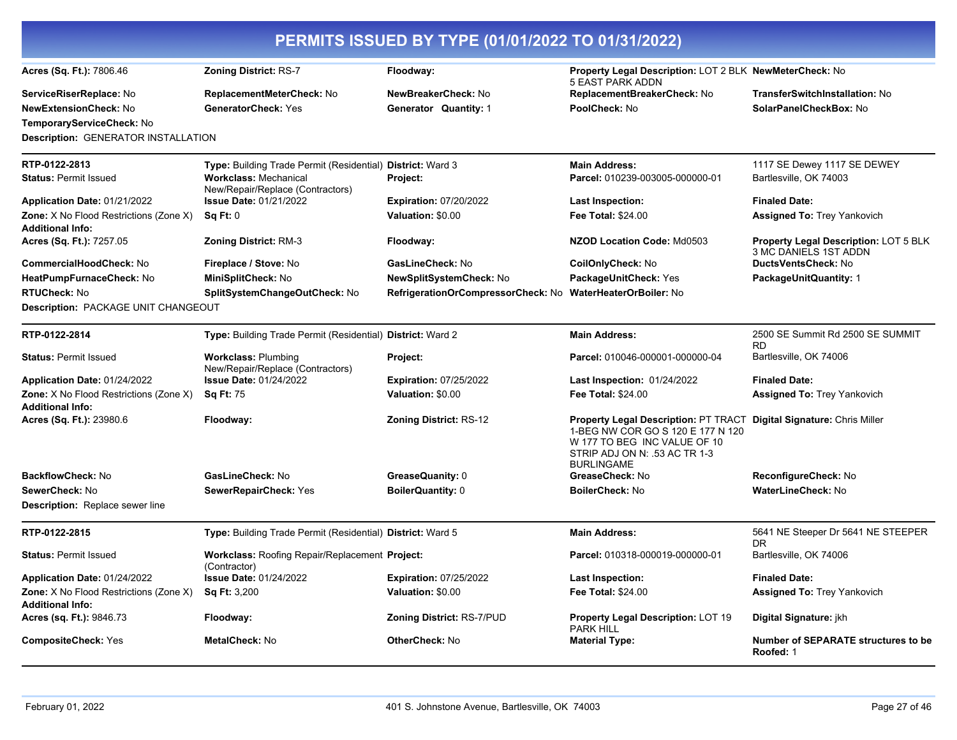| PERMITS ISSUED BY TYPE (01/01/2022 TO 01/31/2022)                        |                                                                   |                                                            |                                                                                                                                                                 |                                                                       |  |
|--------------------------------------------------------------------------|-------------------------------------------------------------------|------------------------------------------------------------|-----------------------------------------------------------------------------------------------------------------------------------------------------------------|-----------------------------------------------------------------------|--|
| Acres (Sq. Ft.): 7806.46                                                 | <b>Zoning District: RS-7</b>                                      | Floodway:                                                  | Property Legal Description: LOT 2 BLK NewMeterCheck: No<br><b>5 EAST PARK ADDN</b>                                                                              |                                                                       |  |
| ServiceRiserReplace: No                                                  | ReplacementMeterCheck: No                                         | NewBreakerCheck: No                                        | ReplacementBreakerCheck: No                                                                                                                                     | TransferSwitchInstallation: No                                        |  |
| <b>NewExtensionCheck: No</b>                                             | <b>GeneratorCheck: Yes</b>                                        | Generator Quantity: 1                                      | PoolCheck: No                                                                                                                                                   | SolarPanelCheckBox: No                                                |  |
| TemporaryServiceCheck: No                                                |                                                                   |                                                            |                                                                                                                                                                 |                                                                       |  |
| Description: GENERATOR INSTALLATION                                      |                                                                   |                                                            |                                                                                                                                                                 |                                                                       |  |
| RTP-0122-2813                                                            | Type: Building Trade Permit (Residential) District: Ward 3        |                                                            | <b>Main Address:</b>                                                                                                                                            | 1117 SE Dewey 1117 SE DEWEY                                           |  |
| <b>Status: Permit Issued</b>                                             | <b>Workclass: Mechanical</b>                                      | Project:                                                   | Parcel: 010239-003005-000000-01                                                                                                                                 | Bartlesville, OK 74003                                                |  |
| Application Date: 01/21/2022                                             | New/Repair/Replace (Contractors)<br><b>Issue Date: 01/21/2022</b> | <b>Expiration: 07/20/2022</b>                              | <b>Last Inspection:</b>                                                                                                                                         | <b>Finaled Date:</b>                                                  |  |
| <b>Zone:</b> X No Flood Restrictions (Zone X)                            | Sq Ft: 0                                                          | Valuation: \$0.00                                          | <b>Fee Total: \$24.00</b>                                                                                                                                       | Assigned To: Trey Yankovich                                           |  |
| <b>Additional Info:</b>                                                  |                                                                   |                                                            |                                                                                                                                                                 |                                                                       |  |
| Acres (Sq. Ft.): 7257.05                                                 | <b>Zoning District: RM-3</b>                                      | Floodway:                                                  | NZOD Location Code: Md0503                                                                                                                                      | <b>Property Legal Description: LOT 5 BLK</b><br>3 MC DANIELS 1ST ADDN |  |
| CommercialHoodCheck: No                                                  | Fireplace / Stove: No                                             | GasLineCheck: No                                           | CoilOnlyCheck: No                                                                                                                                               | DuctsVentsCheck: No                                                   |  |
| HeatPumpFurnaceCheck: No                                                 | MiniSplitCheck: No                                                | NewSplitSystemCheck: No                                    | PackageUnitCheck: Yes                                                                                                                                           | PackageUnitQuantity: 1                                                |  |
| <b>RTUCheck: No</b>                                                      | SplitSystemChangeOutCheck: No                                     | RefrigerationOrCompressorCheck: No WaterHeaterOrBoiler: No |                                                                                                                                                                 |                                                                       |  |
| Description: PACKAGE UNIT CHANGEOUT                                      |                                                                   |                                                            |                                                                                                                                                                 |                                                                       |  |
| RTP-0122-2814                                                            | Type: Building Trade Permit (Residential) District: Ward 2        |                                                            | <b>Main Address:</b>                                                                                                                                            | 2500 SE Summit Rd 2500 SE SUMMIT<br><b>RD</b>                         |  |
| <b>Status: Permit Issued</b>                                             | <b>Workclass: Plumbing</b><br>New/Repair/Replace (Contractors)    | Project:                                                   | Parcel: 010046-000001-000000-04                                                                                                                                 | Bartlesville, OK 74006                                                |  |
| Application Date: 01/24/2022                                             | <b>Issue Date: 01/24/2022</b>                                     | <b>Expiration: 07/25/2022</b>                              | <b>Last Inspection: 01/24/2022</b>                                                                                                                              | <b>Finaled Date:</b>                                                  |  |
| <b>Zone:</b> X No Flood Restrictions (Zone X)<br><b>Additional Info:</b> | <b>Sq Ft: 75</b>                                                  | Valuation: \$0.00                                          | <b>Fee Total: \$24.00</b>                                                                                                                                       | Assigned To: Trey Yankovich                                           |  |
| Acres (Sq. Ft.): 23980.6                                                 | Floodway:                                                         | Zoning District: RS-12                                     | Property Legal Description: PT TRACT<br>1-BEG NW COR GO S 120 E 177 N 120<br>W 177 TO BEG INC VALUE OF 10<br>STRIP ADJ ON N: .53 AC TR 1-3<br><b>BURLINGAME</b> | Digital Signature: Chris Miller                                       |  |
| <b>BackflowCheck: No</b>                                                 | GasLineCheck: No                                                  | GreaseQuanity: 0                                           | GreaseCheck: No                                                                                                                                                 | ReconfigureCheck: No                                                  |  |
| SewerCheck: No                                                           | SewerRepairCheck: Yes                                             | BoilerQuantity: 0                                          | <b>BoilerCheck: No</b>                                                                                                                                          | <b>WaterLineCheck: No</b>                                             |  |
| Description: Replace sewer line                                          |                                                                   |                                                            |                                                                                                                                                                 |                                                                       |  |
| RTP-0122-2815                                                            | Type: Building Trade Permit (Residential) District: Ward 5        |                                                            | <b>Main Address:</b>                                                                                                                                            | 5641 NE Steeper Dr 5641 NE STEEPER<br>DR.                             |  |
| <b>Status: Permit Issued</b>                                             | Workclass: Roofing Repair/Replacement Project:<br>(Contractor)    |                                                            | Parcel: 010318-000019-000000-01                                                                                                                                 | Bartlesville, OK 74006                                                |  |
| Application Date: 01/24/2022                                             | <b>Issue Date: 01/24/2022</b>                                     | <b>Expiration: 07/25/2022</b>                              | <b>Last Inspection:</b>                                                                                                                                         | <b>Finaled Date:</b>                                                  |  |
| Zone: X No Flood Restrictions (Zone X)<br><b>Additional Info:</b>        | <b>Sq Ft: 3,200</b>                                               | Valuation: \$0.00                                          | Fee Total: \$24.00                                                                                                                                              | <b>Assigned To: Trey Yankovich</b>                                    |  |
| Acres (sq. Ft.): 9846.73                                                 | Floodway:                                                         | Zoning District: RS-7/PUD                                  | <b>Property Legal Description: LOT 19</b><br><b>PARK HILL</b>                                                                                                   | Digital Signature: jkh                                                |  |
| <b>CompositeCheck: Yes</b>                                               | <b>MetalCheck: No</b>                                             | OtherCheck: No                                             | <b>Material Type:</b>                                                                                                                                           | <b>Number of SEPARATE structures to be</b><br>Roofed: 1               |  |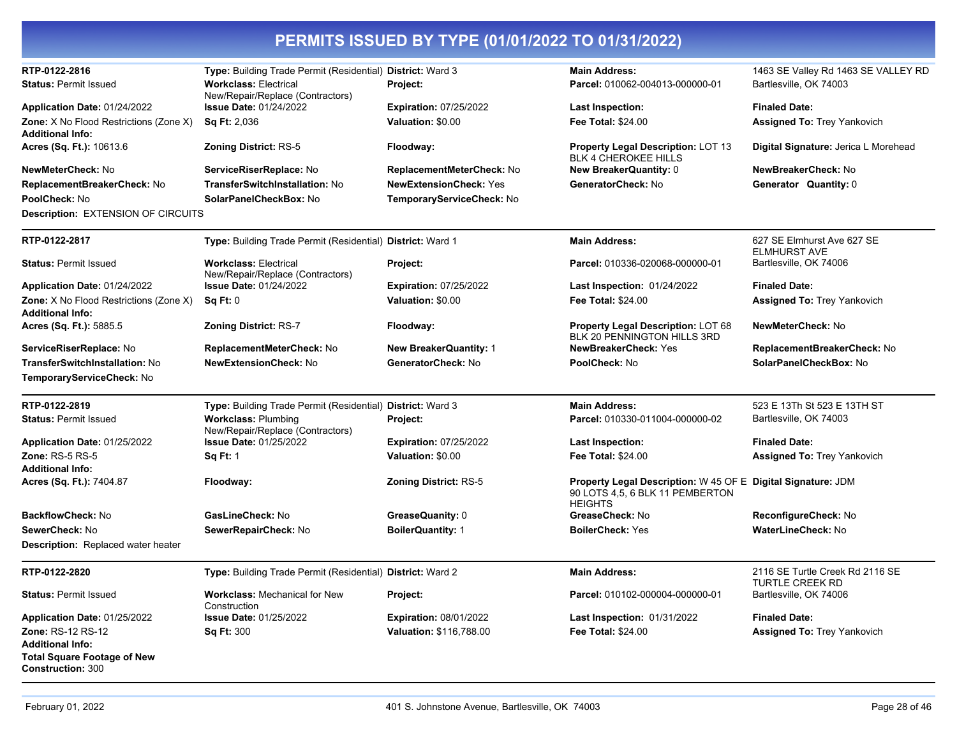| RTP-0122-2816                                                  | Type: Building Trade Permit (Residential) District: Ward 3        |                               | <b>Main Address:</b>                                                                                              | 1463 SE Valley Rd 1463 SE VALLEY RD              |
|----------------------------------------------------------------|-------------------------------------------------------------------|-------------------------------|-------------------------------------------------------------------------------------------------------------------|--------------------------------------------------|
| <b>Status: Permit Issued</b>                                   | <b>Workclass: Electrical</b>                                      | Project:                      | Parcel: 010062-004013-000000-01                                                                                   | Bartlesville, OK 74003                           |
|                                                                | New/Repair/Replace (Contractors)                                  |                               |                                                                                                                   |                                                  |
| Application Date: 01/24/2022                                   | <b>Issue Date: 01/24/2022</b>                                     | <b>Expiration: 07/25/2022</b> | Last Inspection:                                                                                                  | <b>Finaled Date:</b>                             |
| <b>Zone:</b> X No Flood Restrictions (Zone X)                  | <b>Sq Ft: 2,036</b>                                               | Valuation: \$0.00             | Fee Total: \$24.00                                                                                                | <b>Assigned To: Trey Yankovich</b>               |
| <b>Additional Info:</b>                                        |                                                                   |                               |                                                                                                                   |                                                  |
| Acres (Sq. Ft.): 10613.6                                       | <b>Zoning District: RS-5</b>                                      | Floodway:                     | <b>Property Legal Description: LOT 13</b><br><b>BLK 4 CHEROKEE HILLS</b>                                          | Digital Signature: Jerica L Morehead             |
| NewMeterCheck: No                                              | ServiceRiserReplace: No                                           | ReplacementMeterCheck: No     | <b>New BreakerQuantity: 0</b>                                                                                     | NewBreakerCheck: No                              |
| ReplacementBreakerCheck: No                                    | TransferSwitchInstallation: No                                    | <b>NewExtensionCheck: Yes</b> | GeneratorCheck: No                                                                                                | Generator Quantity: 0                            |
| PoolCheck: No                                                  | SolarPanelCheckBox: No                                            | TemporaryServiceCheck: No     |                                                                                                                   |                                                  |
| <b>Description: EXTENSION OF CIRCUITS</b>                      |                                                                   |                               |                                                                                                                   |                                                  |
| RTP-0122-2817                                                  | Type: Building Trade Permit (Residential) District: Ward 1        |                               | <b>Main Address:</b>                                                                                              | 627 SE Elmhurst Ave 627 SE                       |
|                                                                |                                                                   |                               |                                                                                                                   | <b>ELMHURST AVE</b>                              |
| <b>Status: Permit Issued</b>                                   | <b>Workclass: Electrical</b>                                      | Project:                      | Parcel: 010336-020068-000000-01                                                                                   | Bartlesville, OK 74006                           |
| Application Date: 01/24/2022                                   | New/Repair/Replace (Contractors)<br><b>Issue Date: 01/24/2022</b> | <b>Expiration: 07/25/2022</b> | <b>Last Inspection: 01/24/2022</b>                                                                                | <b>Finaled Date:</b>                             |
| <b>Zone:</b> X No Flood Restrictions (Zone X)                  | Sq Ft: 0                                                          | Valuation: \$0.00             | <b>Fee Total: \$24.00</b>                                                                                         | <b>Assigned To: Trey Yankovich</b>               |
| <b>Additional Info:</b>                                        |                                                                   |                               |                                                                                                                   |                                                  |
| Acres (Sq. Ft.): 5885.5                                        | <b>Zoning District: RS-7</b>                                      | Floodway:                     | Property Legal Description: LOT 68                                                                                | NewMeterCheck: No                                |
|                                                                |                                                                   |                               | BLK 20 PENNINGTON HILLS 3RD                                                                                       |                                                  |
| ServiceRiserReplace: No                                        | ReplacementMeterCheck: No                                         | <b>New BreakerQuantity: 1</b> | <b>NewBreakerCheck: Yes</b>                                                                                       | ReplacementBreakerCheck: No                      |
| TransferSwitchInstallation: No                                 | <b>NewExtensionCheck: No</b>                                      | GeneratorCheck: No            | PoolCheck: No                                                                                                     | SolarPanelCheckBox: No                           |
| TemporaryServiceCheck: No                                      |                                                                   |                               |                                                                                                                   |                                                  |
| RTP-0122-2819                                                  | Type: Building Trade Permit (Residential) District: Ward 3        |                               | <b>Main Address:</b>                                                                                              | 523 E 13Th St 523 E 13TH ST                      |
| <b>Status: Permit Issued</b>                                   | <b>Workclass: Plumbing</b>                                        | Project:                      | Parcel: 010330-011004-000000-02                                                                                   | Bartlesville, OK 74003                           |
|                                                                | New/Repair/Replace (Contractors)                                  |                               |                                                                                                                   |                                                  |
| Application Date: 01/25/2022                                   | <b>Issue Date: 01/25/2022</b>                                     | <b>Expiration: 07/25/2022</b> | <b>Last Inspection:</b>                                                                                           | <b>Finaled Date:</b>                             |
| <b>Zone: RS-5 RS-5</b>                                         | <b>Sq Ft: 1</b>                                                   | Valuation: \$0.00             | <b>Fee Total: \$24.00</b>                                                                                         | <b>Assigned To: Trey Yankovich</b>               |
| <b>Additional Info:</b><br>Acres (Sq. Ft.): 7404.87            | Floodway:                                                         | <b>Zoning District: RS-5</b>  | Property Legal Description: W 45 OF E Digital Signature: JDM<br>90 LOTS 4,5, 6 BLK 11 PEMBERTON<br><b>HEIGHTS</b> |                                                  |
| <b>BackflowCheck: No</b>                                       | GasLineCheck: No                                                  | GreaseQuanity: 0              | GreaseCheck: No                                                                                                   | ReconfigureCheck: No                             |
| SewerCheck: No                                                 | SewerRepairCheck: No                                              | <b>BoilerQuantity: 1</b>      | <b>BoilerCheck: Yes</b>                                                                                           | WaterLineCheck: No                               |
| <b>Description:</b> Replaced water heater                      |                                                                   |                               |                                                                                                                   |                                                  |
| RTP-0122-2820                                                  | Type: Building Trade Permit (Residential) District: Ward 2        |                               | <b>Main Address:</b>                                                                                              | 2116 SE Turtle Creek Rd 2116 SE                  |
| <b>Status: Permit Issued</b>                                   | <b>Workclass: Mechanical for New</b>                              | Project:                      | Parcel: 010102-000004-000000-01                                                                                   | <b>TURTLE CREEK RD</b><br>Bartlesville, OK 74006 |
| Application Date: 01/25/2022                                   | Construction<br><b>Issue Date: 01/25/2022</b>                     | <b>Expiration: 08/01/2022</b> | <b>Last Inspection: 01/31/2022</b>                                                                                | <b>Finaled Date:</b>                             |
| <b>Zone: RS-12 RS-12</b>                                       | <b>Sq Ft: 300</b>                                                 | Valuation: \$116,788.00       | <b>Fee Total: \$24.00</b>                                                                                         | Assigned To: Trey Yankovich                      |
| <b>Additional Info:</b>                                        |                                                                   |                               |                                                                                                                   |                                                  |
| <b>Total Square Footage of New</b><br><b>Construction:</b> 300 |                                                                   |                               |                                                                                                                   |                                                  |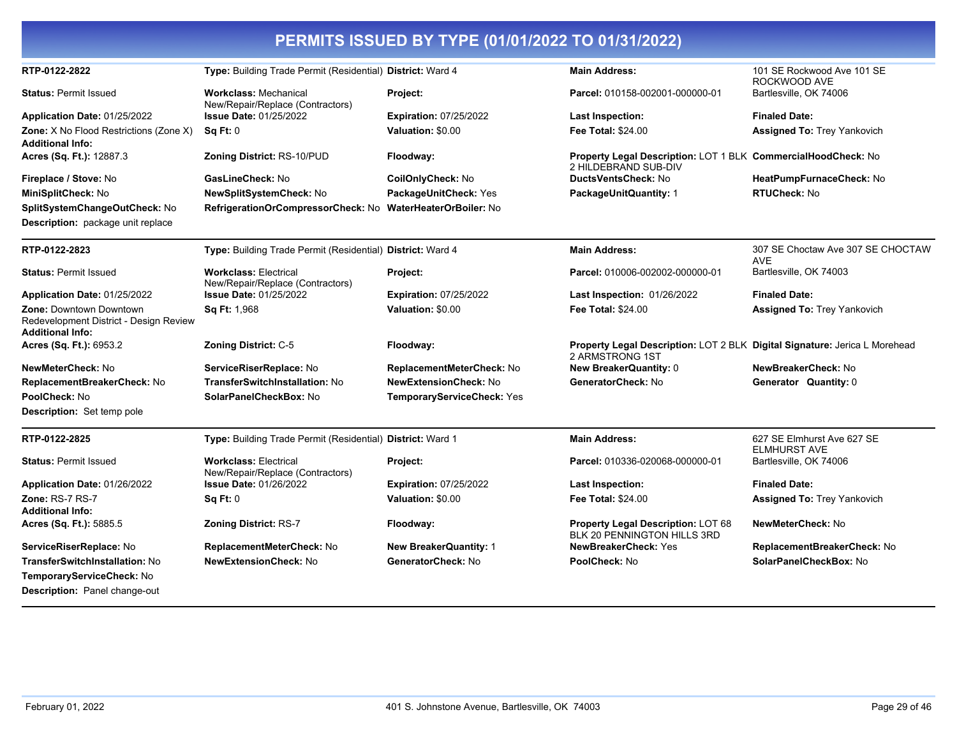| PERMITS ISSUED BY TYPE (01/01/2022 TO 01/31/2022)                                                   |                                                                  |                                |                                                                                                      |                                                   |  |
|-----------------------------------------------------------------------------------------------------|------------------------------------------------------------------|--------------------------------|------------------------------------------------------------------------------------------------------|---------------------------------------------------|--|
| RTP-0122-2822                                                                                       | Type: Building Trade Permit (Residential) District: Ward 4       |                                | <b>Main Address:</b>                                                                                 | 101 SE Rockwood Ave 101 SE<br>ROCKWOOD AVE        |  |
| <b>Status: Permit Issued</b>                                                                        | <b>Workclass: Mechanical</b><br>New/Repair/Replace (Contractors) | Project:                       | Parcel: 010158-002001-000000-01                                                                      | Bartlesville, OK 74006                            |  |
| Application Date: 01/25/2022                                                                        | <b>Issue Date: 01/25/2022</b>                                    | <b>Expiration: 07/25/2022</b>  | Last Inspection:                                                                                     | <b>Finaled Date:</b>                              |  |
| <b>Zone:</b> X No Flood Restrictions (Zone X)<br><b>Additional Info:</b>                            | Sq Ft: 0                                                         | Valuation: \$0.00              | <b>Fee Total: \$24.00</b>                                                                            | <b>Assigned To: Trey Yankovich</b>                |  |
| Acres (Sq. Ft.): 12887.3                                                                            | <b>Zoning District: RS-10/PUD</b>                                | Floodway:                      | Property Legal Description: LOT 1 BLK CommercialHoodCheck: No<br>2 HILDEBRAND SUB-DIV                |                                                   |  |
| Fireplace / Stove: No                                                                               | GasLineCheck: No                                                 | CoilOnlyCheck: No              | DuctsVentsCheck: No                                                                                  | HeatPumpFurnaceCheck: No                          |  |
| MiniSplitCheck: No                                                                                  | <b>NewSplitSystemCheck: No</b>                                   | PackageUnitCheck: Yes          | <b>PackageUnitQuantity: 1</b>                                                                        | <b>RTUCheck: No</b>                               |  |
| SplitSystemChangeOutCheck: No                                                                       | RefrigerationOrCompressorCheck: No                               | <b>WaterHeaterOrBoiler: No</b> |                                                                                                      |                                                   |  |
| Description: package unit replace                                                                   |                                                                  |                                |                                                                                                      |                                                   |  |
| RTP-0122-2823                                                                                       | Type: Building Trade Permit (Residential) District: Ward 4       |                                | <b>Main Address:</b>                                                                                 | 307 SE Choctaw Ave 307 SE CHOCTAW<br><b>AVE</b>   |  |
| <b>Status: Permit Issued</b>                                                                        | <b>Workclass: Electrical</b><br>New/Repair/Replace (Contractors) | Project:                       | Parcel: 010006-002002-000000-01                                                                      | Bartlesville, OK 74003                            |  |
| Application Date: 01/25/2022                                                                        | <b>Issue Date: 01/25/2022</b>                                    | <b>Expiration: 07/25/2022</b>  | Last Inspection: 01/26/2022                                                                          | <b>Finaled Date:</b>                              |  |
| <b>Zone: Downtown Downtown</b><br>Redevelopment District - Design Review<br><b>Additional Info:</b> | Sq Ft: 1,968                                                     | Valuation: \$0.00              | <b>Fee Total: \$24.00</b>                                                                            | <b>Assigned To: Trey Yankovich</b>                |  |
| Acres (Sq. Ft.): 6953.2                                                                             | Zoning District: C-5                                             | Floodway:                      | <b>Property Legal Description: LOT 2 BLK Digital Signature: Jerica L Morehead</b><br>2 ARMSTRONG 1ST |                                                   |  |
| NewMeterCheck: No                                                                                   | ServiceRiserReplace: No                                          | ReplacementMeterCheck: No      | <b>New BreakerQuantity: 0</b>                                                                        | NewBreakerCheck: No                               |  |
| ReplacementBreakerCheck: No                                                                         | <b>TransferSwitchInstallation: No</b>                            | <b>NewExtensionCheck: No</b>   | GeneratorCheck: No                                                                                   | Generator Quantity: 0                             |  |
| PoolCheck: No                                                                                       | SolarPanelCheckBox: No                                           | TemporaryServiceCheck: Yes     |                                                                                                      |                                                   |  |
| Description: Set temp pole                                                                          |                                                                  |                                |                                                                                                      |                                                   |  |
| RTP-0122-2825                                                                                       | Type: Building Trade Permit (Residential) District: Ward 1       |                                | <b>Main Address:</b>                                                                                 | 627 SE Elmhurst Ave 627 SE<br><b>ELMHURST AVE</b> |  |
| <b>Status: Permit Issued</b>                                                                        | <b>Workclass: Electrical</b><br>New/Repair/Replace (Contractors) | Project:                       | Parcel: 010336-020068-000000-01                                                                      | Bartlesville, OK 74006                            |  |
| Application Date: 01/26/2022                                                                        | <b>Issue Date: 01/26/2022</b>                                    | <b>Expiration: 07/25/2022</b>  | <b>Last Inspection:</b>                                                                              | <b>Finaled Date:</b>                              |  |
| Zone: RS-7 RS-7                                                                                     | Sq Ft: 0                                                         | Valuation: \$0.00              | <b>Fee Total: \$24.00</b>                                                                            | <b>Assigned To: Trey Yankovich</b>                |  |
| <b>Additional Info:</b>                                                                             |                                                                  |                                |                                                                                                      |                                                   |  |
| Acres (Sq. Ft.): 5885.5                                                                             | Zoning District: RS-7                                            | Floodway:                      | Property Legal Description: LOT 68<br>BLK 20 PENNINGTON HILLS 3RD                                    | NewMeterCheck: No                                 |  |
| ServiceRiserReplace: No                                                                             | ReplacementMeterCheck: No                                        | <b>New BreakerQuantity: 1</b>  | <b>NewBreakerCheck: Yes</b>                                                                          | ReplacementBreakerCheck: No                       |  |
| TransferSwitchInstallation: No                                                                      | <b>NewExtensionCheck: No</b>                                     | GeneratorCheck: No             | PoolCheck: No                                                                                        | SolarPanelCheckBox: No                            |  |
| TemporaryServiceCheck: No                                                                           |                                                                  |                                |                                                                                                      |                                                   |  |
| <b>Description: Panel change-out</b>                                                                |                                                                  |                                |                                                                                                      |                                                   |  |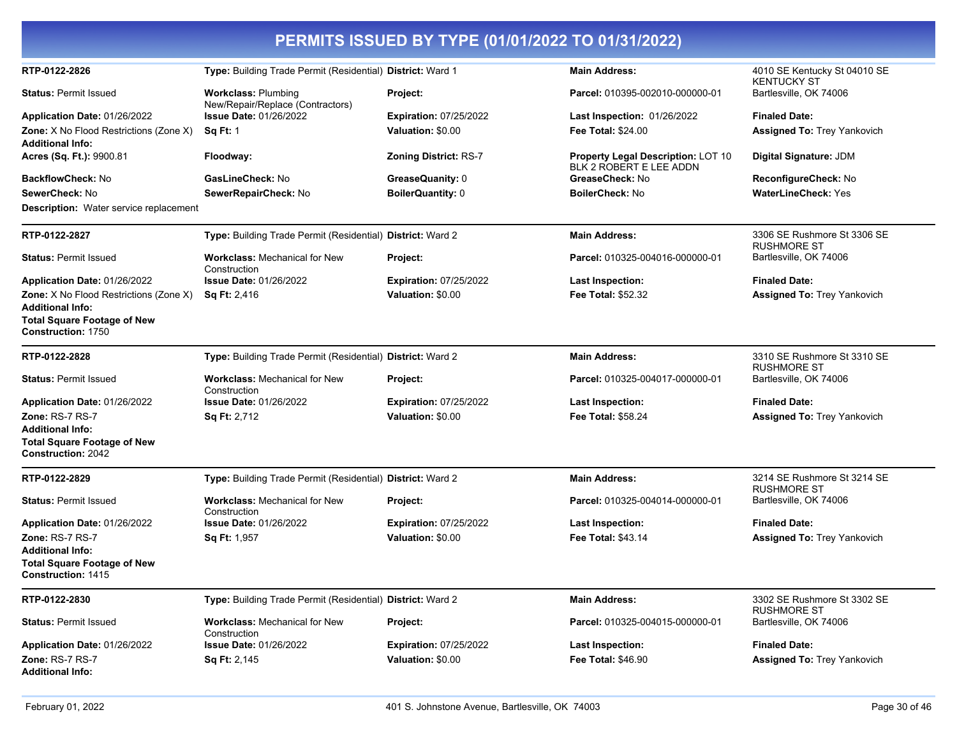| RTP-0122-2826                                                            | Type: Building Trade Permit (Residential) District: Ward 1     |                               | <b>Main Address:</b>                                          | 4010 SE Kentucky St 04010 SE<br><b>KENTUCKY ST</b> |
|--------------------------------------------------------------------------|----------------------------------------------------------------|-------------------------------|---------------------------------------------------------------|----------------------------------------------------|
| <b>Status: Permit Issued</b>                                             | <b>Workclass: Plumbing</b><br>New/Repair/Replace (Contractors) | Project:                      | Parcel: 010395-002010-000000-01                               | Bartlesville, OK 74006                             |
| Application Date: 01/26/2022                                             | <b>Issue Date: 01/26/2022</b>                                  | <b>Expiration: 07/25/2022</b> | Last Inspection: 01/26/2022                                   | <b>Finaled Date:</b>                               |
| <b>Zone:</b> X No Flood Restrictions (Zone X)                            | <b>Sq Ft: 1</b>                                                | Valuation: \$0.00             | <b>Fee Total: \$24.00</b>                                     | <b>Assigned To: Trey Yankovich</b>                 |
| <b>Additional Info:</b>                                                  |                                                                |                               |                                                               |                                                    |
| Acres (Sq. Ft.): 9900.81                                                 | Floodway:                                                      | <b>Zoning District: RS-7</b>  | Property Legal Description: LOT 10<br>BLK 2 ROBERT E LEE ADDN | Digital Signature: JDM                             |
| <b>BackflowCheck: No</b>                                                 | GasLineCheck: No                                               | GreaseQuanity: 0              | GreaseCheck: No                                               | ReconfigureCheck: No                               |
| SewerCheck: No                                                           | SewerRepairCheck: No                                           | BoilerQuantity: 0             | <b>BoilerCheck: No</b>                                        | <b>WaterLineCheck: Yes</b>                         |
| <b>Description:</b> Water service replacement                            |                                                                |                               |                                                               |                                                    |
| RTP-0122-2827                                                            | Type: Building Trade Permit (Residential) District: Ward 2     |                               | <b>Main Address:</b>                                          | 3306 SE Rushmore St 3306 SE<br><b>RUSHMORE ST</b>  |
| <b>Status: Permit Issued</b>                                             | <b>Workclass: Mechanical for New</b><br>Construction           | Project:                      | Parcel: 010325-004016-000000-01                               | Bartlesville, OK 74006                             |
| Application Date: 01/26/2022                                             | <b>Issue Date: 01/26/2022</b>                                  | <b>Expiration: 07/25/2022</b> | <b>Last Inspection:</b>                                       | <b>Finaled Date:</b>                               |
| <b>Zone:</b> X No Flood Restrictions (Zone X)<br><b>Additional Info:</b> | <b>Sq Ft: 2,416</b>                                            | Valuation: \$0.00             | Fee Total: \$52.32                                            | <b>Assigned To: Trey Yankovich</b>                 |
| <b>Total Square Footage of New</b><br>Construction: 1750                 |                                                                |                               |                                                               |                                                    |
| RTP-0122-2828                                                            | Type: Building Trade Permit (Residential) District: Ward 2     |                               | <b>Main Address:</b>                                          | 3310 SE Rushmore St 3310 SE<br><b>RUSHMORE ST</b>  |
| <b>Status: Permit Issued</b>                                             | <b>Workclass: Mechanical for New</b><br>Construction           | Project:                      | Parcel: 010325-004017-000000-01                               | Bartlesville, OK 74006                             |
| Application Date: 01/26/2022                                             | <b>Issue Date: 01/26/2022</b>                                  | Expiration: 07/25/2022        | <b>Last Inspection:</b>                                       | <b>Finaled Date:</b>                               |
| Zone: RS-7 RS-7                                                          | <b>Sq Ft: 2,712</b>                                            | Valuation: \$0.00             | Fee Total: \$58.24                                            | Assigned To: Trey Yankovich                        |
| <b>Additional Info:</b>                                                  |                                                                |                               |                                                               |                                                    |
| <b>Total Square Footage of New</b><br><b>Construction: 2042</b>          |                                                                |                               |                                                               |                                                    |
| RTP-0122-2829                                                            | Type: Building Trade Permit (Residential) District: Ward 2     |                               | <b>Main Address:</b>                                          | 3214 SE Rushmore St 3214 SE<br><b>RUSHMORE ST</b>  |
| <b>Status: Permit Issued</b>                                             | <b>Workclass: Mechanical for New</b><br>Construction           | Project:                      | Parcel: 010325-004014-000000-01                               | Bartlesville, OK 74006                             |
| Application Date: 01/26/2022                                             | <b>Issue Date: 01/26/2022</b>                                  | <b>Expiration: 07/25/2022</b> | <b>Last Inspection:</b>                                       | <b>Finaled Date:</b>                               |
| Zone: RS-7 RS-7                                                          | <b>Sq Ft: 1,957</b>                                            | Valuation: \$0.00             | <b>Fee Total: \$43.14</b>                                     | <b>Assigned To: Trey Yankovich</b>                 |
| <b>Additional Info:</b>                                                  |                                                                |                               |                                                               |                                                    |
| <b>Total Square Footage of New</b><br>Construction: 1415                 |                                                                |                               |                                                               |                                                    |
| RTP-0122-2830                                                            | Type: Building Trade Permit (Residential) District: Ward 2     |                               | <b>Main Address:</b>                                          | 3302 SE Rushmore St 3302 SE<br><b>RUSHMORE ST</b>  |
| <b>Status: Permit Issued</b>                                             | <b>Workclass: Mechanical for New</b><br>Construction           | Project:                      | Parcel: 010325-004015-000000-01                               | Bartlesville, OK 74006                             |
| Application Date: 01/26/2022                                             | <b>Issue Date: 01/26/2022</b>                                  | Expiration: 07/25/2022        | Last Inspection:                                              | <b>Finaled Date:</b>                               |
| Zone: RS-7 RS-7                                                          | Sq Ft: 2,145                                                   | Valuation: \$0.00             | <b>Fee Total: \$46.90</b>                                     | <b>Assigned To: Trey Yankovich</b>                 |
| <b>Additional Info:</b>                                                  |                                                                |                               |                                                               |                                                    |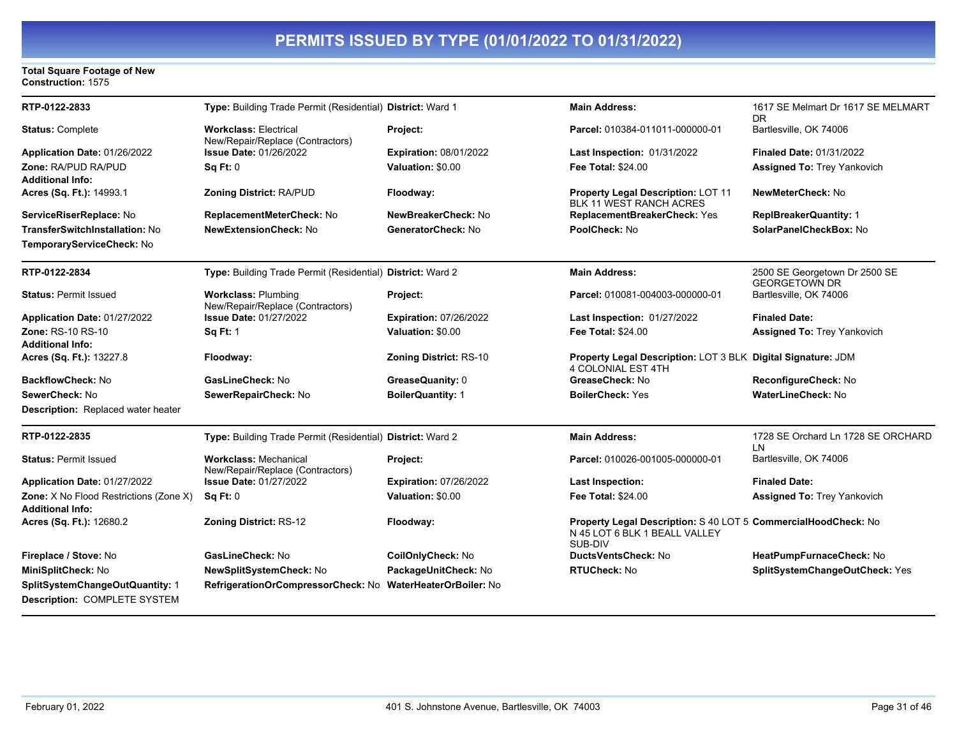#### **Total Square Footage of New Construction:** 1575

| RTP-0122-2833                                                     | Type: Building Trade Permit (Residential) District: Ward 1       |                                | <b>Main Address:</b>                                                                                       | 1617 SE Melmart Dr 1617 SE MELMART                    |
|-------------------------------------------------------------------|------------------------------------------------------------------|--------------------------------|------------------------------------------------------------------------------------------------------------|-------------------------------------------------------|
| <b>Status: Complete</b>                                           | <b>Workclass: Electrical</b><br>New/Repair/Replace (Contractors) | Project:                       | Parcel: 010384-011011-000000-01                                                                            | DR<br>Bartlesville, OK 74006                          |
| Application Date: 01/26/2022                                      | <b>Issue Date: 01/26/2022</b>                                    | <b>Expiration: 08/01/2022</b>  | <b>Last Inspection: 01/31/2022</b>                                                                         | <b>Finaled Date: 01/31/2022</b>                       |
| Zone: RA/PUD RA/PUD                                               | Sa Ft: 0                                                         | Valuation: \$0.00              | <b>Fee Total: \$24.00</b>                                                                                  | <b>Assigned To: Trey Yankovich</b>                    |
| <b>Additional Info:</b>                                           |                                                                  |                                |                                                                                                            |                                                       |
| Acres (Sq. Ft.): 14993.1                                          | Zoning District: RA/PUD                                          | Floodway:                      | Property Legal Description: LOT 11<br><b>BLK 11 WEST RANCH ACRES</b>                                       | NewMeterCheck: No                                     |
| ServiceRiserReplace: No                                           | ReplacementMeterCheck: No                                        | NewBreakerCheck: No            | ReplacementBreakerCheck: Yes                                                                               | <b>ReplBreakerQuantity: 1</b>                         |
| TransferSwitchInstallation: No                                    | <b>NewExtensionCheck: No</b>                                     | GeneratorCheck: No             | PoolCheck: No                                                                                              | SolarPanelCheckBox: No                                |
| TemporaryServiceCheck: No                                         |                                                                  |                                |                                                                                                            |                                                       |
| RTP-0122-2834                                                     | Type: Building Trade Permit (Residential) District: Ward 2       |                                | <b>Main Address:</b>                                                                                       | 2500 SE Georgetown Dr 2500 SE<br><b>GEORGETOWN DR</b> |
| <b>Status: Permit Issued</b>                                      | <b>Workclass: Plumbing</b><br>New/Repair/Replace (Contractors)   | Project:                       | Parcel: 010081-004003-000000-01                                                                            | Bartlesville, OK 74006                                |
| Application Date: 01/27/2022                                      | <b>Issue Date: 01/27/2022</b>                                    | <b>Expiration: 07/26/2022</b>  | Last Inspection: 01/27/2022                                                                                | <b>Finaled Date:</b>                                  |
| Zone: RS-10 RS-10                                                 | <b>Sq Ft: 1</b>                                                  | Valuation: \$0.00              | <b>Fee Total: \$24.00</b>                                                                                  | <b>Assigned To: Trey Yankovich</b>                    |
| <b>Additional Info:</b>                                           |                                                                  |                                |                                                                                                            |                                                       |
| Acres (Sq. Ft.): 13227.8                                          | Floodway:                                                        | <b>Zoning District: RS-10</b>  | Property Legal Description: LOT 3 BLK Digital Signature: JDM<br>4 COLONIAL EST 4TH                         |                                                       |
| <b>BackflowCheck: No</b>                                          | GasLineCheck: No                                                 | GreaseQuanity: 0               | GreaseCheck: No                                                                                            | ReconfigureCheck: No                                  |
| SewerCheck: No                                                    | SewerRepairCheck: No                                             | <b>BoilerQuantity: 1</b>       | <b>BoilerCheck: Yes</b>                                                                                    | WaterLineCheck: No                                    |
| Description: Replaced water heater                                |                                                                  |                                |                                                                                                            |                                                       |
| RTP-0122-2835                                                     | Type: Building Trade Permit (Residential) District: Ward 2       |                                | <b>Main Address:</b>                                                                                       | 1728 SE Orchard Ln 1728 SE ORCHARD<br>LN              |
| <b>Status: Permit Issued</b>                                      | <b>Workclass: Mechanical</b><br>New/Repair/Replace (Contractors) | Project:                       | Parcel: 010026-001005-000000-01                                                                            | Bartlesville, OK 74006                                |
| Application Date: 01/27/2022                                      | <b>Issue Date: 01/27/2022</b>                                    | <b>Expiration: 07/26/2022</b>  | <b>Last Inspection:</b>                                                                                    | <b>Finaled Date:</b>                                  |
| Zone: X No Flood Restrictions (Zone X)<br><b>Additional Info:</b> | Sq Ft: 0                                                         | Valuation: \$0.00              | <b>Fee Total: \$24.00</b>                                                                                  | <b>Assigned To: Trey Yankovich</b>                    |
| Acres (Sq. Ft.): 12680.2                                          | <b>Zoning District: RS-12</b>                                    | Floodway:                      | Property Legal Description: S 40 LOT 5 CommercialHoodCheck: No<br>N 45 LOT 6 BLK 1 BEALL VALLEY<br>SUB-DIV |                                                       |
| Fireplace / Stove: No                                             | GasLineCheck: No                                                 | CoilOnlyCheck: No              | DuctsVentsCheck: No                                                                                        | HeatPumpFurnaceCheck: No                              |
| MiniSplitCheck: No                                                | NewSplitSystemCheck: No                                          | PackageUnitCheck: No           | <b>RTUCheck: No</b>                                                                                        | SplitSystemChangeOutCheck: Yes                        |
| SplitSystemChangeOutQuantity: 1                                   | RefrigerationOrCompressorCheck: No                               | <b>WaterHeaterOrBoiler: No</b> |                                                                                                            |                                                       |
| Description: COMPLETE SYSTEM                                      |                                                                  |                                |                                                                                                            |                                                       |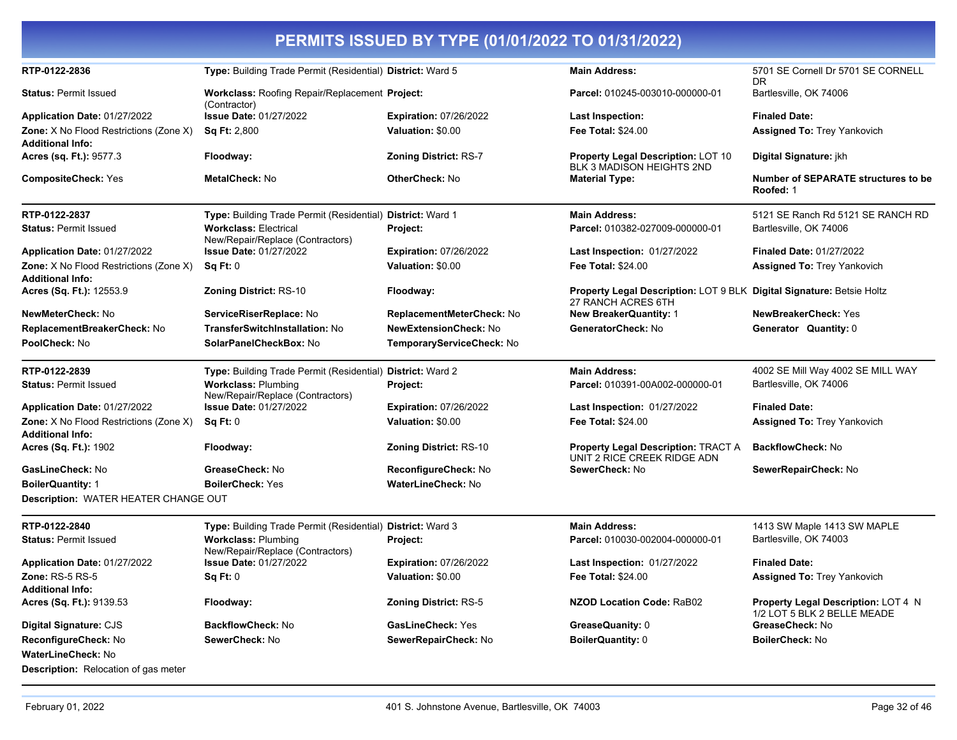| RTP-0122-2836                                                            | Type: Building Trade Permit (Residential) District: Ward 5       |                               | <b>Main Address:</b>                                                                               | 5701 SE Cornell Dr 5701 SE CORNELL<br><b>DR</b>                    |
|--------------------------------------------------------------------------|------------------------------------------------------------------|-------------------------------|----------------------------------------------------------------------------------------------------|--------------------------------------------------------------------|
| <b>Status: Permit Issued</b>                                             | Workclass: Roofing Repair/Replacement Project:<br>(Contractor)   |                               | Parcel: 010245-003010-000000-01                                                                    | Bartlesville, OK 74006                                             |
| Application Date: 01/27/2022                                             | <b>Issue Date: 01/27/2022</b>                                    | <b>Expiration: 07/26/2022</b> | <b>Last Inspection:</b>                                                                            | <b>Finaled Date:</b>                                               |
| <b>Zone:</b> X No Flood Restrictions (Zone X)                            | <b>Sq Ft: 2,800</b>                                              | Valuation: \$0.00             | Fee Total: \$24.00                                                                                 | <b>Assigned To: Trey Yankovich</b>                                 |
| <b>Additional Info:</b>                                                  |                                                                  |                               |                                                                                                    |                                                                    |
| Acres (sq. Ft.): 9577.3                                                  | Floodway:                                                        | <b>Zoning District: RS-7</b>  | <b>Property Legal Description: LOT 10</b><br>BLK 3 MADISON HEIGHTS 2ND                             | Digital Signature: jkh                                             |
| <b>CompositeCheck: Yes</b>                                               | <b>MetalCheck: No</b>                                            | <b>OtherCheck: No</b>         | <b>Material Type:</b>                                                                              | Number of SEPARATE structures to be<br>Roofed: 1                   |
| RTP-0122-2837                                                            | Type: Building Trade Permit (Residential) District: Ward 1       |                               | <b>Main Address:</b>                                                                               | 5121 SE Ranch Rd 5121 SE RANCH RD                                  |
| <b>Status: Permit Issued</b>                                             | <b>Workclass: Electrical</b><br>New/Repair/Replace (Contractors) | Project:                      | Parcel: 010382-027009-000000-01                                                                    | Bartlesville, OK 74006                                             |
| Application Date: 01/27/2022                                             | <b>Issue Date: 01/27/2022</b>                                    | <b>Expiration: 07/26/2022</b> | <b>Last Inspection: 01/27/2022</b>                                                                 | <b>Finaled Date: 01/27/2022</b>                                    |
| <b>Zone:</b> X No Flood Restrictions (Zone X)                            | Sq Ft: 0                                                         | Valuation: \$0.00             | <b>Fee Total: \$24.00</b>                                                                          | <b>Assigned To: Trey Yankovich</b>                                 |
| <b>Additional Info:</b>                                                  |                                                                  |                               |                                                                                                    |                                                                    |
| <b>Acres (Sq. Ft.):</b> 12553.9                                          | <b>Zoning District: RS-10</b>                                    | Floodway:                     | <b>Property Legal Description: LOT 9 BLK Digital Signature: Betsie Holtz</b><br>27 RANCH ACRES 6TH |                                                                    |
| NewMeterCheck: No                                                        | ServiceRiserReplace: No                                          | ReplacementMeterCheck: No     | <b>New BreakerQuantity: 1</b>                                                                      | NewBreakerCheck: Yes                                               |
| ReplacementBreakerCheck: No                                              | TransferSwitchInstallation: No                                   | <b>NewExtensionCheck: No</b>  | GeneratorCheck: No                                                                                 | Generator Quantity: 0                                              |
| PoolCheck: No                                                            | SolarPanelCheckBox: No                                           | TemporaryServiceCheck: No     |                                                                                                    |                                                                    |
| RTP-0122-2839                                                            | Type: Building Trade Permit (Residential) District: Ward 2       |                               | <b>Main Address:</b>                                                                               | 4002 SE Mill Way 4002 SE MILL WAY                                  |
| <b>Status: Permit Issued</b>                                             | <b>Workclass: Plumbing</b><br>New/Repair/Replace (Contractors)   | Project:                      | Parcel: 010391-00A002-000000-01                                                                    | Bartlesville, OK 74006                                             |
| Application Date: 01/27/2022                                             | <b>Issue Date: 01/27/2022</b>                                    | <b>Expiration: 07/26/2022</b> | <b>Last Inspection: 01/27/2022</b>                                                                 | <b>Finaled Date:</b>                                               |
| <b>Zone:</b> X No Flood Restrictions (Zone X)<br><b>Additional Info:</b> | Sq Ft: 0                                                         | Valuation: \$0.00             | <b>Fee Total: \$24.00</b>                                                                          | <b>Assigned To: Trey Yankovich</b>                                 |
| <b>Acres (Sq. Ft.): 1902</b>                                             | Floodway:                                                        | <b>Zoning District: RS-10</b> | <b>Property Legal Description: TRACT A</b><br>UNIT 2 RICE CREEK RIDGE ADN                          | <b>BackflowCheck: No</b>                                           |
| GasLineCheck: No                                                         | GreaseCheck: No                                                  | ReconfigureCheck: No          | SewerCheck: No                                                                                     | SewerRepairCheck: No                                               |
| <b>BoilerQuantity: 1</b>                                                 | <b>BoilerCheck: Yes</b>                                          | <b>WaterLineCheck: No</b>     |                                                                                                    |                                                                    |
| Description: WATER HEATER CHANGE OUT                                     |                                                                  |                               |                                                                                                    |                                                                    |
| RTP-0122-2840                                                            | Type: Building Trade Permit (Residential) District: Ward 3       |                               | <b>Main Address:</b>                                                                               | 1413 SW Maple 1413 SW MAPLE                                        |
| <b>Status: Permit Issued</b>                                             | <b>Workclass: Plumbing</b><br>New/Repair/Replace (Contractors)   | Project:                      | Parcel: 010030-002004-000000-01                                                                    | Bartlesville, OK 74003                                             |
| Application Date: 01/27/2022                                             | <b>Issue Date: 01/27/2022</b>                                    | <b>Expiration: 07/26/2022</b> | Last Inspection: 01/27/2022                                                                        | <b>Finaled Date:</b>                                               |
| <b>Zone: RS-5 RS-5</b>                                                   | Sq Ft: 0                                                         | Valuation: \$0.00             | <b>Fee Total: \$24.00</b>                                                                          | <b>Assigned To: Trey Yankovich</b>                                 |
| <b>Additional Info:</b>                                                  |                                                                  |                               |                                                                                                    |                                                                    |
| Acres (Sq. Ft.): 9139.53                                                 | Floodway:                                                        | <b>Zoning District: RS-5</b>  | <b>NZOD Location Code: RaB02</b>                                                                   | Property Legal Description: LOT 4 N<br>1/2 LOT 5 BLK 2 BELLE MEADE |
| Digital Signature: CJS                                                   | <b>BackflowCheck: No</b>                                         | <b>GasLineCheck: Yes</b>      | GreaseQuanity: 0                                                                                   | GreaseCheck: No                                                    |
| ReconfigureCheck: No                                                     | SewerCheck: No                                                   | SewerRepairCheck: No          | <b>BoilerQuantity: 0</b>                                                                           | <b>BoilerCheck: No</b>                                             |
| <b>WaterLineCheck: No</b>                                                |                                                                  |                               |                                                                                                    |                                                                    |
| <b>Description:</b> Relocation of gas meter                              |                                                                  |                               |                                                                                                    |                                                                    |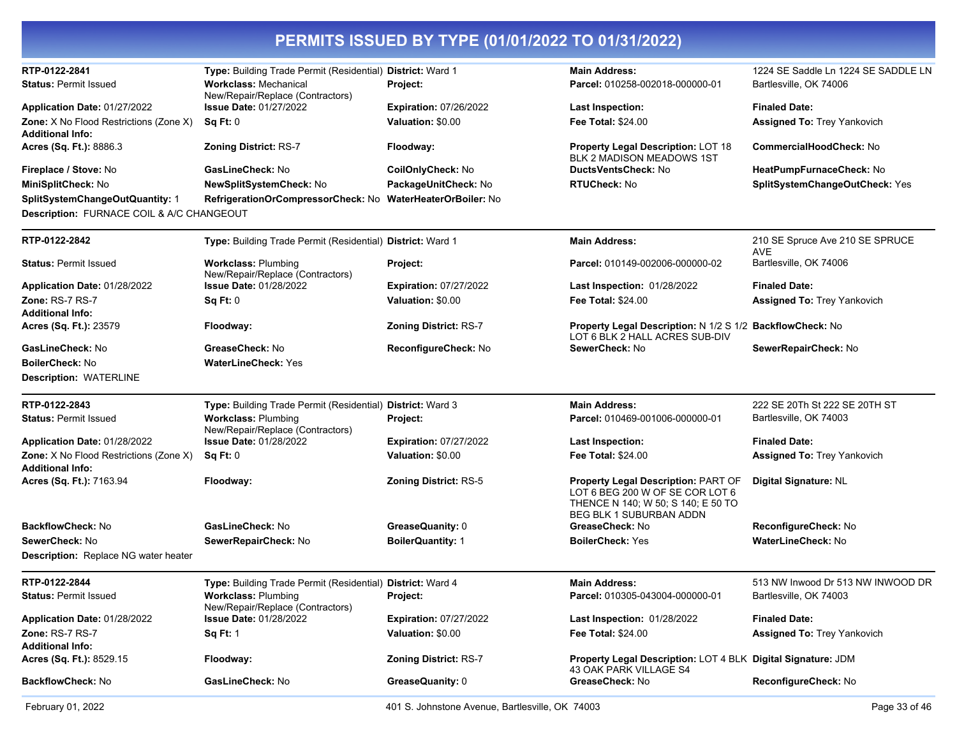| RTP-0122-2841                                                            | Type: Building Trade Permit (Residential) District: Ward 1       |                               | <b>Main Address:</b>                                                                                                                    | 1224 SE Saddle Ln 1224 SE SADDLE LN           |
|--------------------------------------------------------------------------|------------------------------------------------------------------|-------------------------------|-----------------------------------------------------------------------------------------------------------------------------------------|-----------------------------------------------|
| <b>Status: Permit Issued</b>                                             | <b>Workclass: Mechanical</b><br>New/Repair/Replace (Contractors) | Project:                      | Parcel: 010258-002018-000000-01                                                                                                         | Bartlesville, OK 74006                        |
| Application Date: 01/27/2022                                             | <b>Issue Date: 01/27/2022</b>                                    | <b>Expiration: 07/26/2022</b> | <b>Last Inspection:</b>                                                                                                                 | <b>Finaled Date:</b>                          |
| <b>Zone:</b> X No Flood Restrictions (Zone X)<br><b>Additional Info:</b> | Sq Ft: 0                                                         | Valuation: \$0.00             | Fee Total: \$24.00                                                                                                                      | <b>Assigned To: Trey Yankovich</b>            |
| Acres (Sq. Ft.): 8886.3                                                  | <b>Zoning District: RS-7</b>                                     | Floodway:                     | <b>Property Legal Description: LOT 18</b><br>BLK 2 MADISON MEADOWS 1ST                                                                  | <b>CommercialHoodCheck: No</b>                |
| Fireplace / Stove: No                                                    | GasLineCheck: No                                                 | CoilOnlyCheck: No             | DuctsVentsCheck: No                                                                                                                     | HeatPumpFurnaceCheck: No                      |
| MiniSplitCheck: No                                                       | NewSplitSystemCheck: No                                          | PackageUnitCheck: No          | <b>RTUCheck: No</b>                                                                                                                     | SplitSystemChangeOutCheck: Yes                |
| SplitSystemChangeOutQuantity: 1                                          | RefrigerationOrCompressorCheck: No WaterHeaterOrBoiler: No       |                               |                                                                                                                                         |                                               |
| Description: FURNACE COIL & A/C CHANGEOUT                                |                                                                  |                               |                                                                                                                                         |                                               |
| RTP-0122-2842                                                            | Type: Building Trade Permit (Residential) District: Ward 1       |                               | <b>Main Address:</b>                                                                                                                    | 210 SE Spruce Ave 210 SE SPRUCE<br><b>AVE</b> |
| <b>Status: Permit Issued</b>                                             | <b>Workclass: Plumbing</b><br>New/Repair/Replace (Contractors)   | Project:                      | Parcel: 010149-002006-000000-02                                                                                                         | Bartlesville, OK 74006                        |
| Application Date: 01/28/2022                                             | <b>Issue Date: 01/28/2022</b>                                    | <b>Expiration: 07/27/2022</b> | Last Inspection: 01/28/2022                                                                                                             | <b>Finaled Date:</b>                          |
| <b>Zone: RS-7 RS-7</b>                                                   | Sq Ft: 0                                                         | Valuation: \$0.00             | <b>Fee Total: \$24.00</b>                                                                                                               | <b>Assigned To: Trey Yankovich</b>            |
| <b>Additional Info:</b>                                                  |                                                                  |                               |                                                                                                                                         |                                               |
| Acres (Sq. Ft.): 23579                                                   | Floodway:                                                        | <b>Zoning District: RS-7</b>  | Property Legal Description: N 1/2 S 1/2 BackflowCheck: No<br>LOT 6 BLK 2 HALL ACRES SUB-DIV                                             |                                               |
| GasLineCheck: No                                                         | GreaseCheck: No                                                  | ReconfigureCheck: No          | SewerCheck: No                                                                                                                          | SewerRepairCheck: No                          |
| <b>BoilerCheck: No</b>                                                   | <b>WaterLineCheck: Yes</b>                                       |                               |                                                                                                                                         |                                               |
| <b>Description: WATERLINE</b>                                            |                                                                  |                               |                                                                                                                                         |                                               |
| RTP-0122-2843                                                            | Type: Building Trade Permit (Residential) District: Ward 3       |                               | <b>Main Address:</b>                                                                                                                    | 222 SE 20Th St 222 SE 20TH ST                 |
| <b>Status: Permit Issued</b>                                             | <b>Workclass: Plumbing</b><br>New/Repair/Replace (Contractors)   | Project:                      | Parcel: 010469-001006-000000-01                                                                                                         | Bartlesville, OK 74003                        |
| Application Date: 01/28/2022                                             | <b>Issue Date: 01/28/2022</b>                                    | <b>Expiration: 07/27/2022</b> | <b>Last Inspection:</b>                                                                                                                 | <b>Finaled Date:</b>                          |
| <b>Zone:</b> X No Flood Restrictions (Zone X)<br><b>Additional Info:</b> | Sq Ft: 0                                                         | Valuation: \$0.00             | <b>Fee Total: \$24.00</b>                                                                                                               | <b>Assigned To: Trey Yankovich</b>            |
| Acres (Sq. Ft.): 7163.94                                                 | Floodway:                                                        | <b>Zoning District: RS-5</b>  | Property Legal Description: PART OF<br>LOT 6 BEG 200 W OF SE COR LOT 6<br>THENCE N 140; W 50; S 140; E 50 TO<br>BEG BLK 1 SUBURBAN ADDN | Digital Signature: NL                         |
| BackflowCheck: No                                                        | GasLineCheck: No                                                 | GreaseQuanity: 0              | GreaseCheck: No                                                                                                                         | ReconfigureCheck: No                          |
| SewerCheck: No                                                           | SewerRepairCheck: No                                             | <b>BoilerQuantity: 1</b>      | <b>BoilerCheck: Yes</b>                                                                                                                 | WaterLineCheck: No                            |
| Description: Replace NG water heater                                     |                                                                  |                               |                                                                                                                                         |                                               |
| RTP-0122-2844                                                            | Type: Building Trade Permit (Residential) District: Ward 4       |                               | <b>Main Address:</b>                                                                                                                    | 513 NW Inwood Dr 513 NW INWOOD DR             |
| <b>Status: Permit Issued</b>                                             | <b>Workclass: Plumbing</b><br>New/Repair/Replace (Contractors)   | <b>Project:</b>               | Parcel: 010305-043004-000000-01                                                                                                         | Bartlesville, OK 74003                        |
| Application Date: 01/28/2022                                             | <b>Issue Date: 01/28/2022</b>                                    | <b>Expiration: 07/27/2022</b> | Last Inspection: 01/28/2022                                                                                                             | <b>Finaled Date:</b>                          |
| <b>Zone: RS-7 RS-7</b><br><b>Additional Info:</b>                        | <b>Sq Ft: 1</b>                                                  | Valuation: \$0.00             | <b>Fee Total: \$24.00</b>                                                                                                               | Assigned To: Trey Yankovich                   |
| Acres (Sq. Ft.): 8529.15                                                 | Floodway:                                                        | <b>Zoning District: RS-7</b>  | Property Legal Description: LOT 4 BLK Digital Signature: JDM<br>43 OAK PARK VILLAGE S4                                                  |                                               |
| BackflowCheck: No                                                        | GasLineCheck: No                                                 | GreaseQuanity: 0              | GreaseCheck: No                                                                                                                         | ReconfigureCheck: No                          |
|                                                                          |                                                                  |                               |                                                                                                                                         |                                               |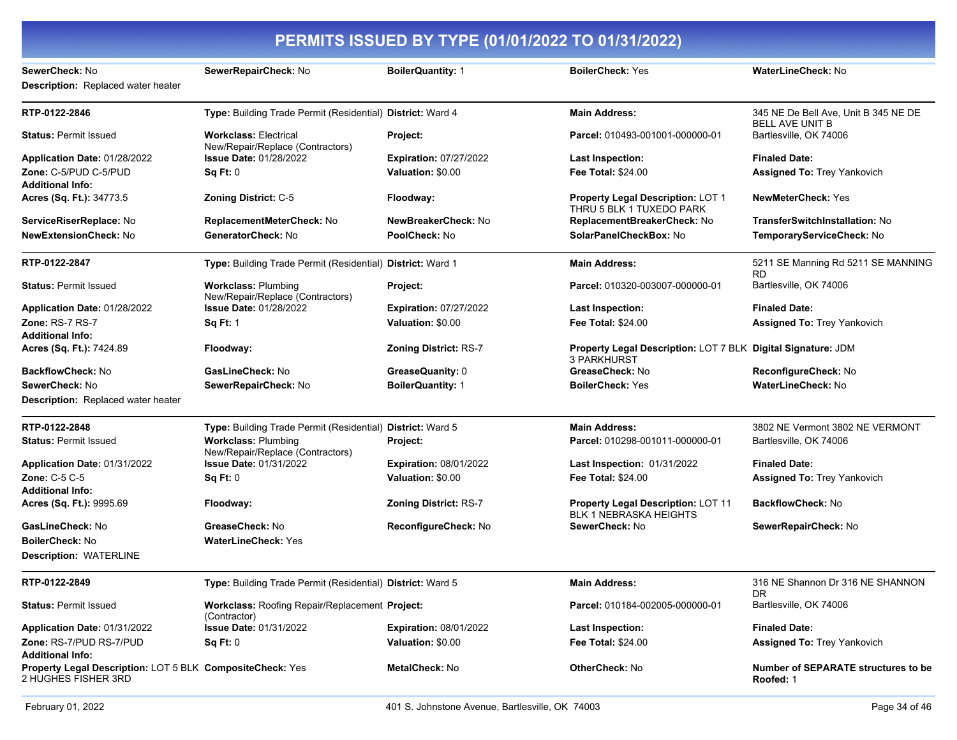| SewerCheck: No<br><b>Description:</b> Replaced water heater                      | SewerRepairCheck: No                                              | <b>BoilerQuantity: 1</b>      | <b>BoilerCheck: Yes</b>                                                            | <b>WaterLineCheck: No</b>                        |
|----------------------------------------------------------------------------------|-------------------------------------------------------------------|-------------------------------|------------------------------------------------------------------------------------|--------------------------------------------------|
| RTP-0122-2846                                                                    | Type: Building Trade Permit (Residential) District: Ward 4        |                               | <b>Main Address:</b>                                                               | 345 NE De Bell Ave, Unit B 345 NE DE             |
| <b>Status: Permit Issued</b>                                                     | <b>Workclass: Electrical</b>                                      | <b>Project:</b>               | Parcel: 010493-001001-000000-01                                                    | <b>BELL AVE UNIT B</b><br>Bartlesville, OK 74006 |
| Application Date: 01/28/2022                                                     | New/Repair/Replace (Contractors)<br><b>Issue Date: 01/28/2022</b> | <b>Expiration: 07/27/2022</b> | <b>Last Inspection:</b>                                                            | <b>Finaled Date:</b>                             |
| Zone: C-5/PUD C-5/PUD<br><b>Additional Info:</b>                                 | Sq Ft: 0                                                          | Valuation: \$0.00             | <b>Fee Total: \$24.00</b>                                                          | Assigned To: Trey Yankovich                      |
| Acres (Sq. Ft.): 34773.5                                                         | Zoning District: C-5                                              | Floodway:                     | Property Legal Description: LOT 1<br>THRU 5 BLK 1 TUXEDO PARK                      | <b>NewMeterCheck: Yes</b>                        |
| ServiceRiserReplace: No                                                          | ReplacementMeterCheck: No                                         | NewBreakerCheck: No           | ReplacementBreakerCheck: No                                                        | <b>TransferSwitchInstallation: No</b>            |
| <b>NewExtensionCheck: No</b>                                                     | GeneratorCheck: No                                                | PoolCheck: No                 | SolarPanelCheckBox: No                                                             | TemporaryServiceCheck: No                        |
| RTP-0122-2847                                                                    | Type: Building Trade Permit (Residential) District: Ward 1        |                               | <b>Main Address:</b>                                                               | 5211 SE Manning Rd 5211 SE MANNING<br>RD.        |
| <b>Status: Permit Issued</b>                                                     | <b>Workclass: Plumbing</b><br>New/Repair/Replace (Contractors)    | Project:                      | Parcel: 010320-003007-000000-01                                                    | Bartlesville, OK 74006                           |
| Application Date: 01/28/2022                                                     | <b>Issue Date: 01/28/2022</b>                                     | <b>Expiration: 07/27/2022</b> | <b>Last Inspection:</b>                                                            | <b>Finaled Date:</b>                             |
| Zone: RS-7 RS-7<br><b>Additional Info:</b>                                       | <b>Sq Ft: 1</b>                                                   | Valuation: \$0.00             | <b>Fee Total: \$24.00</b>                                                          | <b>Assigned To: Trey Yankovich</b>               |
| Acres (Sq. Ft.): 7424.89                                                         | Floodway:                                                         | Zoning District: RS-7         | Property Legal Description: LOT 7 BLK Digital Signature: JDM<br><b>3 PARKHURST</b> |                                                  |
| <b>BackflowCheck: No</b>                                                         | <b>GasLineCheck: No</b>                                           | GreaseQuanity: 0              | GreaseCheck: No                                                                    | ReconfigureCheck: No                             |
| SewerCheck: No                                                                   | SewerRepairCheck: No                                              | <b>BoilerQuantity: 1</b>      | <b>BoilerCheck: Yes</b>                                                            | <b>WaterLineCheck: No</b>                        |
| Description: Replaced water heater                                               |                                                                   |                               |                                                                                    |                                                  |
| RTP-0122-2848                                                                    | Type: Building Trade Permit (Residential) District: Ward 5        |                               | <b>Main Address:</b>                                                               | 3802 NE Vermont 3802 NE VERMONT                  |
| <b>Status: Permit Issued</b>                                                     | <b>Workclass: Plumbing</b><br>New/Repair/Replace (Contractors)    | Project:                      | Parcel: 010298-001011-000000-01                                                    | Bartlesville, OK 74006                           |
| Application Date: 01/31/2022                                                     | <b>Issue Date: 01/31/2022</b>                                     | <b>Expiration: 08/01/2022</b> | <b>Last Inspection: 01/31/2022</b>                                                 | <b>Finaled Date:</b>                             |
| Zone: C-5 C-5                                                                    | Sq Ft: 0                                                          | Valuation: \$0.00             | <b>Fee Total: \$24.00</b>                                                          | Assigned To: Trey Yankovich                      |
| <b>Additional Info:</b>                                                          |                                                                   |                               |                                                                                    |                                                  |
| Acres (Sq. Ft.): 9995.69                                                         | Floodway:                                                         | <b>Zoning District: RS-7</b>  | Property Legal Description: LOT 11<br>BLK 1 NEBRASKA HEIGHTS                       | <b>BackflowCheck: No</b>                         |
| GasLineCheck: No                                                                 | GreaseCheck: No                                                   | ReconfigureCheck: No          | SewerCheck: No                                                                     | SewerRepairCheck: No                             |
| <b>BoilerCheck: No</b>                                                           | <b>WaterLineCheck: Yes</b>                                        |                               |                                                                                    |                                                  |
| <b>Description: WATERLINE</b>                                                    |                                                                   |                               |                                                                                    |                                                  |
| RTP-0122-2849                                                                    | Type: Building Trade Permit (Residential) District: Ward 5        |                               | <b>Main Address:</b>                                                               | 316 NE Shannon Dr 316 NE SHANNON<br><b>DR</b>    |
| <b>Status: Permit Issued</b>                                                     | Workclass: Roofing Repair/Replacement Project:<br>(Contractor)    |                               | Parcel: 010184-002005-000000-01                                                    | Bartlesville, OK 74006                           |
| Application Date: 01/31/2022                                                     | <b>Issue Date: 01/31/2022</b>                                     | <b>Expiration: 08/01/2022</b> | <b>Last Inspection:</b>                                                            | <b>Finaled Date:</b>                             |
| Zone: RS-7/PUD RS-7/PUD                                                          | Sq Ft: 0                                                          | Valuation: \$0.00             | <b>Fee Total: \$24.00</b>                                                          | <b>Assigned To: Trey Yankovich</b>               |
| <b>Additional Info:</b>                                                          |                                                                   |                               |                                                                                    |                                                  |
| Property Legal Description: LOT 5 BLK CompositeCheck: Yes<br>2 HUGHES FISHER 3RD |                                                                   | MetalCheck: No                | <b>OtherCheck: No</b>                                                              | Number of SEPARATE structures to be<br>Roofed: 1 |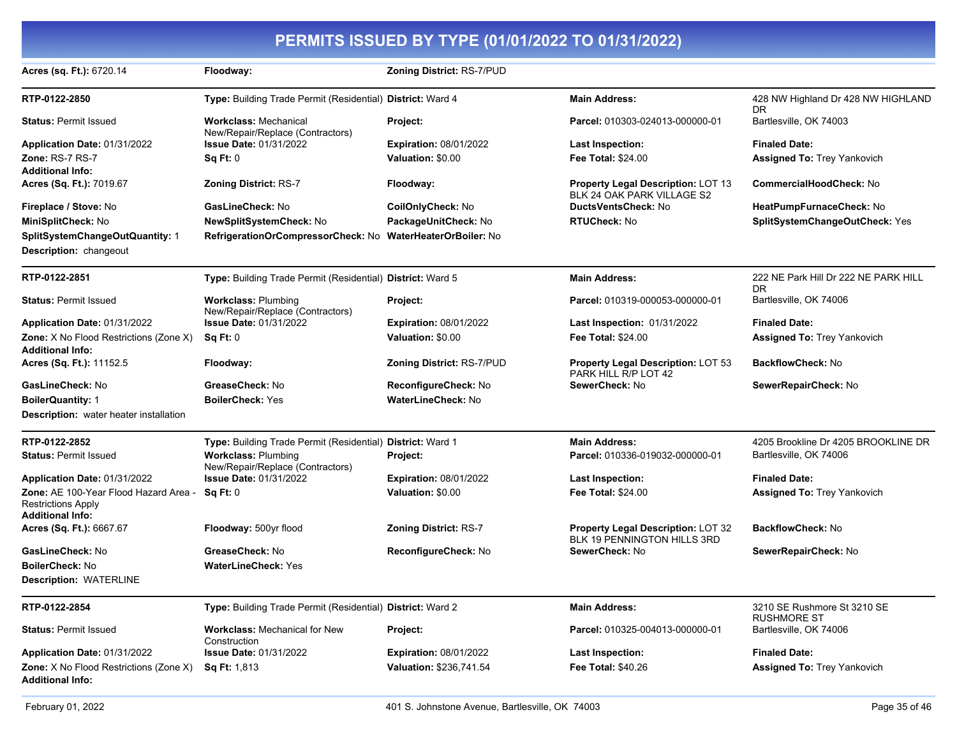| Acres (sq. Ft.): 6720.14                                                                      | Floodway:                                                        | <b>Zoning District: RS-7/PUD</b> |                                                                          |                                                   |
|-----------------------------------------------------------------------------------------------|------------------------------------------------------------------|----------------------------------|--------------------------------------------------------------------------|---------------------------------------------------|
| RTP-0122-2850                                                                                 | Type: Building Trade Permit (Residential) District: Ward 4       |                                  | <b>Main Address:</b>                                                     | 428 NW Highland Dr 428 NW HIGHLAND                |
| <b>Status: Permit Issued</b>                                                                  | <b>Workclass: Mechanical</b><br>New/Repair/Replace (Contractors) | Project:                         | Parcel: 010303-024013-000000-01                                          | DR.<br>Bartlesville, OK 74003                     |
| Application Date: 01/31/2022                                                                  | <b>Issue Date: 01/31/2022</b>                                    | <b>Expiration: 08/01/2022</b>    | Last Inspection:                                                         | <b>Finaled Date:</b>                              |
| Zone: RS-7 RS-7                                                                               | Sq Ft: 0                                                         | Valuation: \$0.00                | <b>Fee Total: \$24.00</b>                                                | <b>Assigned To: Trey Yankovich</b>                |
| <b>Additional Info:</b>                                                                       |                                                                  |                                  |                                                                          |                                                   |
| Acres (Sq. Ft.): 7019.67                                                                      | <b>Zoning District: RS-7</b>                                     | Floodway:                        | <b>Property Legal Description: LOT 13</b>                                | <b>CommercialHoodCheck: No</b>                    |
| Fireplace / Stove: No                                                                         | GasLineCheck: No                                                 | CoilOnlyCheck: No                | BLK 24 OAK PARK VILLAGE S2<br>DuctsVentsCheck: No                        | HeatPumpFurnaceCheck: No                          |
| MiniSplitCheck: No                                                                            | <b>NewSplitSystemCheck: No</b>                                   | PackageUnitCheck: No             | <b>RTUCheck: No</b>                                                      | SplitSystemChangeOutCheck: Yes                    |
| SplitSystemChangeOutQuantity: 1                                                               | RefrigerationOrCompressorCheck: No WaterHeaterOrBoiler: No       |                                  |                                                                          |                                                   |
| <b>Description: changeout</b>                                                                 |                                                                  |                                  |                                                                          |                                                   |
| RTP-0122-2851                                                                                 | Type: Building Trade Permit (Residential) District: Ward 5       |                                  | <b>Main Address:</b>                                                     | 222 NE Park Hill Dr 222 NE PARK HILL<br><b>DR</b> |
| <b>Status: Permit Issued</b>                                                                  | <b>Workclass: Plumbing</b><br>New/Repair/Replace (Contractors)   | <b>Project:</b>                  | Parcel: 010319-000053-000000-01                                          | Bartlesville, OK 74006                            |
| Application Date: 01/31/2022                                                                  | <b>Issue Date: 01/31/2022</b>                                    | <b>Expiration: 08/01/2022</b>    | <b>Last Inspection: 01/31/2022</b>                                       | <b>Finaled Date:</b>                              |
| <b>Zone:</b> X No Flood Restrictions (Zone X)<br><b>Additional Info:</b>                      | Sq Ft: 0                                                         | Valuation: \$0.00                | Fee Total: \$24.00                                                       | <b>Assigned To: Trey Yankovich</b>                |
| Acres (Sq. Ft.): 11152.5                                                                      | Floodway:                                                        | <b>Zoning District: RS-7/PUD</b> | <b>Property Legal Description: LOT 53</b><br>PARK HILL R/P LOT 42        | <b>BackflowCheck: No</b>                          |
| GasLineCheck: No                                                                              | GreaseCheck: No                                                  | ReconfigureCheck: No             | SewerCheck: No                                                           | SewerRepairCheck: No                              |
| <b>BoilerQuantity: 1</b>                                                                      | <b>BoilerCheck: Yes</b>                                          | <b>WaterLineCheck: No</b>        |                                                                          |                                                   |
| Description: water heater installation                                                        |                                                                  |                                  |                                                                          |                                                   |
| RTP-0122-2852                                                                                 | Type: Building Trade Permit (Residential) District: Ward 1       |                                  | <b>Main Address:</b>                                                     | 4205 Brookline Dr 4205 BROOKLINE DR               |
| <b>Status: Permit Issued</b>                                                                  | <b>Workclass: Plumbing</b><br>New/Repair/Replace (Contractors)   | Project:                         | Parcel: 010336-019032-000000-01                                          | Bartlesville, OK 74006                            |
| Application Date: 01/31/2022                                                                  | <b>Issue Date: 01/31/2022</b>                                    | <b>Expiration: 08/01/2022</b>    | <b>Last Inspection:</b>                                                  | <b>Finaled Date:</b>                              |
| Zone: AE 100-Year Flood Hazard Area -<br><b>Restrictions Apply</b><br><b>Additional Info:</b> | Sq Ft: 0                                                         | Valuation: \$0.00                | <b>Fee Total: \$24.00</b>                                                | <b>Assigned To: Trey Yankovich</b>                |
| Acres (Sq. Ft.): 6667.67                                                                      | Floodway: 500yr flood                                            | <b>Zoning District: RS-7</b>     | <b>Property Legal Description: LOT 32</b><br>BLK 19 PENNINGTON HILLS 3RD | <b>BackflowCheck: No</b>                          |
| GasLineCheck: No                                                                              | GreaseCheck: No                                                  | ReconfigureCheck: No             | SewerCheck: No                                                           | SewerRepairCheck: No                              |
| <b>BoilerCheck: No</b>                                                                        | <b>WaterLineCheck: Yes</b>                                       |                                  |                                                                          |                                                   |
| <b>Description: WATERLINE</b>                                                                 |                                                                  |                                  |                                                                          |                                                   |
| RTP-0122-2854                                                                                 | Type: Building Trade Permit (Residential) District: Ward 2       |                                  | <b>Main Address:</b>                                                     | 3210 SE Rushmore St 3210 SE<br><b>RUSHMORE ST</b> |
| <b>Status: Permit Issued</b>                                                                  | <b>Workclass: Mechanical for New</b><br>Construction             | Project:                         | Parcel: 010325-004013-000000-01                                          | Bartlesville, OK 74006                            |
| Application Date: 01/31/2022                                                                  | <b>Issue Date: 01/31/2022</b>                                    | <b>Expiration: 08/01/2022</b>    | <b>Last Inspection:</b>                                                  | <b>Finaled Date:</b>                              |
| Zone: X No Flood Restrictions (Zone X)<br><b>Additional Info:</b>                             | <b>Sq Ft: 1,813</b>                                              | Valuation: \$236,741.54          | Fee Total: \$40.26                                                       | <b>Assigned To: Trey Yankovich</b>                |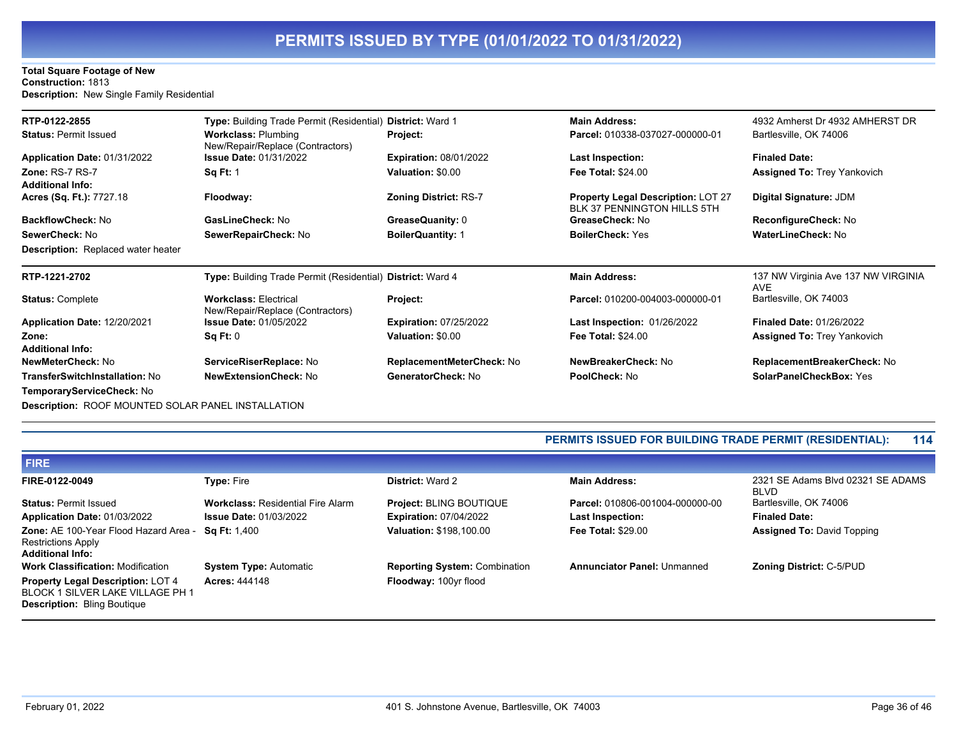#### **Total Square Footage of New Construction:** 1813 **Description:** New Single Family Residential

| RTP-0122-2855<br><b>Status: Permit Issued</b>             | <b>Type:</b> Building Trade Permit (Residential)<br><b>Workclass: Plumbing</b> | <b>District: Ward 1</b><br>Project: | <b>Main Address:</b><br>Parcel: 010338-037027-000000-01                  | 4932 Amherst Dr 4932 AMHERST DR<br>Bartlesville, OK 74006 |
|-----------------------------------------------------------|--------------------------------------------------------------------------------|-------------------------------------|--------------------------------------------------------------------------|-----------------------------------------------------------|
| Application Date: 01/31/2022                              | New/Repair/Replace (Contractors)<br><b>Issue Date: 01/31/2022</b>              | <b>Expiration: 08/01/2022</b>       | <b>Last Inspection:</b>                                                  | <b>Finaled Date:</b>                                      |
| <b>Zone: RS-7 RS-7</b>                                    | <b>Sq Ft: 1</b>                                                                | Valuation: \$0.00                   | <b>Fee Total: \$24.00</b>                                                | <b>Assigned To: Trey Yankovich</b>                        |
| <b>Additional Info:</b>                                   |                                                                                |                                     |                                                                          |                                                           |
| Acres (Sq. Ft.): 7727.18                                  | Floodway:                                                                      | <b>Zoning District: RS-7</b>        | <b>Property Legal Description: LOT 27</b><br>BLK 37 PENNINGTON HILLS 5TH | <b>Digital Signature: JDM</b>                             |
| <b>BackflowCheck: No</b>                                  | GasLineCheck: No                                                               | GreaseQuanity: 0                    | GreaseCheck: No                                                          | ReconfigureCheck: No                                      |
| SewerCheck: No                                            | SewerRepairCheck: No                                                           | <b>BoilerQuantity: 1</b>            | <b>BoilerCheck: Yes</b>                                                  | <b>WaterLineCheck: No</b>                                 |
| <b>Description:</b> Replaced water heater                 |                                                                                |                                     |                                                                          |                                                           |
| RTP-1221-2702                                             | <b>Type:</b> Building Trade Permit (Residential) District: Ward 4              |                                     | <b>Main Address:</b>                                                     | 137 NW Virginia Ave 137 NW VIRGINIA<br><b>AVE</b>         |
| <b>Status: Complete</b>                                   | <b>Workclass: Electrical</b><br>New/Repair/Replace (Contractors)               | Project:                            | Parcel: 010200-004003-000000-01                                          | Bartlesville, OK 74003                                    |
| Application Date: 12/20/2021                              | <b>Issue Date: 01/05/2022</b>                                                  | <b>Expiration: 07/25/2022</b>       | <b>Last Inspection: 01/26/2022</b>                                       | <b>Finaled Date: 01/26/2022</b>                           |
| Zone:                                                     | Sq Ft: 0                                                                       | Valuation: \$0.00                   | <b>Fee Total: \$24.00</b>                                                | <b>Assigned To: Trey Yankovich</b>                        |
| <b>Additional Info:</b>                                   |                                                                                |                                     |                                                                          |                                                           |
| NewMeterCheck: No                                         | ServiceRiserReplace: No                                                        | ReplacementMeterCheck: No           | NewBreakerCheck: No                                                      | ReplacementBreakerCheck: No                               |
| <b>TransferSwitchInstallation: No</b>                     | <b>NewExtensionCheck: No</b>                                                   | GeneratorCheck: No                  | PoolCheck: No                                                            | <b>SolarPanelCheckBox: Yes</b>                            |
| TemporaryServiceCheck: No                                 |                                                                                |                                     |                                                                          |                                                           |
| <b>Description:</b> ROOF MOUNTED SOLAR RANEL INSTALLATION |                                                                                |                                     |                                                                          |                                                           |

**DON: ROOF MOUNTED SOLAR PANEL INSTALL** 

#### **PERMITS ISSUED FOR BUILDING TRADE PERMIT (RESIDENTIAL): 114**

| <b>FIRE</b>                                                                                                        |                                          |                                      |                                    |                                                  |
|--------------------------------------------------------------------------------------------------------------------|------------------------------------------|--------------------------------------|------------------------------------|--------------------------------------------------|
| FIRE-0122-0049                                                                                                     | <b>Type: Fire</b>                        | <b>District: Ward 2</b>              | <b>Main Address:</b>               | 2321 SE Adams Blvd 02321 SE ADAMS<br><b>BLVD</b> |
| <b>Status: Permit Issued</b>                                                                                       | <b>Workclass: Residential Fire Alarm</b> | <b>Project: BLING BOUTIQUE</b>       | Parcel: 010806-001004-000000-00    | Bartlesville, OK 74006                           |
| Application Date: 01/03/2022                                                                                       | <b>Issue Date: 01/03/2022</b>            | <b>Expiration: 07/04/2022</b>        | <b>Last Inspection:</b>            | <b>Finaled Date:</b>                             |
| Zone: AE 100-Year Flood Hazard Area -<br><b>Restrictions Apply</b><br><b>Additional Info:</b>                      | <b>Sq Ft:</b> 1,400                      | Valuation: \$198,100.00              | <b>Fee Total: \$29.00</b>          | <b>Assigned To: David Topping</b>                |
| <b>Work Classification: Modification</b>                                                                           | <b>System Type: Automatic</b>            | <b>Reporting System: Combination</b> | <b>Annunciator Panel: Unmanned</b> | <b>Zoning District: C-5/PUD</b>                  |
| <b>Property Legal Description: LOT 4</b><br>BLOCK 1 SILVER LAKE VILLAGE PH 1<br><b>Description: Bling Boutique</b> | <b>Acres: 444148</b>                     | Floodway: 100yr flood                |                                    |                                                  |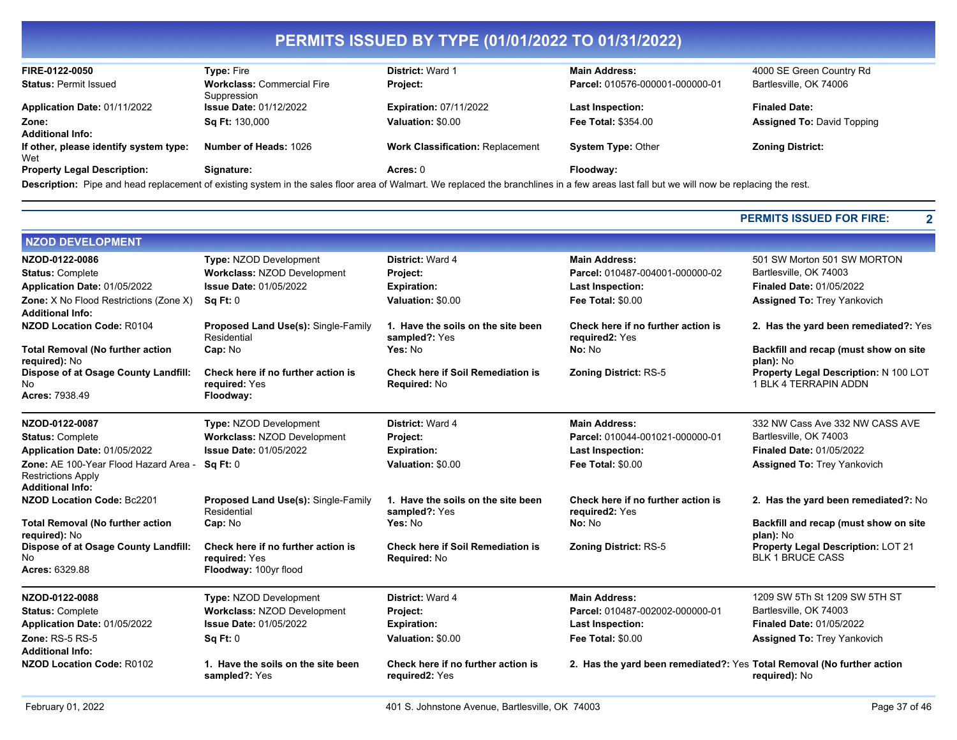| FIRE-0122-0050                                | <b>Type: Fire</b>                                | District: Ward 1                        | <b>Main Address:</b>                                                                                                                                                                      | 4000 SE Green Country Rd          |
|-----------------------------------------------|--------------------------------------------------|-----------------------------------------|-------------------------------------------------------------------------------------------------------------------------------------------------------------------------------------------|-----------------------------------|
| <b>Status: Permit Issued</b>                  | <b>Workclass: Commercial Fire</b><br>Suppression | <b>Project:</b>                         | Parcel: 010576-000001-000000-01                                                                                                                                                           | Bartlesville, OK 74006            |
| Application Date: 01/11/2022                  | <b>Issue Date: 01/12/2022</b>                    | <b>Expiration: 07/11/2022</b>           | Last Inspection:                                                                                                                                                                          | <b>Finaled Date:</b>              |
| Zone:                                         | <b>Sq Ft: 130,000</b>                            | Valuation: \$0.00                       | <b>Fee Total: \$354.00</b>                                                                                                                                                                | <b>Assigned To: David Topping</b> |
| <b>Additional Info:</b>                       |                                                  |                                         |                                                                                                                                                                                           |                                   |
| If other, please identify system type:<br>Wet | <b>Number of Heads: 1026</b>                     | <b>Work Classification: Replacement</b> | <b>System Type: Other</b>                                                                                                                                                                 | <b>Zoning District:</b>           |
| <b>Property Legal Description:</b>            | Signature:                                       | Acres: $0$                              | Floodway:                                                                                                                                                                                 |                                   |
|                                               |                                                  |                                         | Description: Pipe and head replacement of existing system in the sales floor area of Walmart. We replaced the branchlines in a few areas last fall but we will now be replacing the rest. |                                   |

#### **PERMITS ISSUED FOR FIRE: 2**

÷

| <b>NZOD DEVELOPMENT</b>                                                                       |                                                                              |                                                          |                                                                        |                                                                |
|-----------------------------------------------------------------------------------------------|------------------------------------------------------------------------------|----------------------------------------------------------|------------------------------------------------------------------------|----------------------------------------------------------------|
| NZOD-0122-0086<br><b>Status: Complete</b>                                                     | Type: NZOD Development<br><b>Workclass: NZOD Development</b>                 | District: Ward 4                                         | <b>Main Address:</b><br>Parcel: 010487-004001-000000-02                | 501 SW Morton 501 SW MORTON<br>Bartlesville, OK 74003          |
| Application Date: 01/05/2022                                                                  | <b>Issue Date: 01/05/2022</b>                                                | Project:<br><b>Expiration:</b>                           | <b>Last Inspection:</b>                                                | <b>Finaled Date: 01/05/2022</b>                                |
| Zone: X No Flood Restrictions (Zone X)                                                        | SqFt:0                                                                       | Valuation: \$0.00                                        | <b>Fee Total: \$0.00</b>                                               | <b>Assigned To: Trey Yankovich</b>                             |
| <b>Additional Info:</b>                                                                       |                                                                              |                                                          |                                                                        |                                                                |
| <b>NZOD Location Code: R0104</b>                                                              | <b>Proposed Land Use(s): Single-Family</b><br>Residential                    | 1. Have the soils on the site been<br>sampled?: Yes      | Check here if no further action is<br>required2: Yes                   | 2. Has the yard been remediated?: Yes                          |
| <b>Total Removal (No further action</b><br>required): No                                      | Cap: No                                                                      | Yes: No                                                  | No: No                                                                 | Backfill and recap (must show on site<br>plan): No             |
| <b>Dispose of at Osage County Landfill:</b><br>No                                             | Check here if no further action is<br>required: Yes                          | <b>Check here if Soil Remediation is</b><br>Required: No | <b>Zoning District: RS-5</b>                                           | Property Legal Description: N 100 LOT<br>1 BLK 4 TERRAPIN ADDN |
| Acres: 7938.49                                                                                | Floodway:                                                                    |                                                          |                                                                        |                                                                |
| NZOD-0122-0087                                                                                | <b>Type: NZOD Development</b>                                                | District: Ward 4                                         | <b>Main Address:</b>                                                   | 332 NW Cass Ave 332 NW CASS AVE                                |
| <b>Status: Complete</b>                                                                       | Workclass: NZOD Development                                                  | Project:                                                 | Parcel: 010044-001021-000000-01                                        | Bartlesville, OK 74003                                         |
| Application Date: 01/05/2022                                                                  | <b>Issue Date: 01/05/2022</b>                                                | <b>Expiration:</b>                                       | <b>Last Inspection:</b>                                                | <b>Finaled Date: 01/05/2022</b>                                |
| Zone: AE 100-Year Flood Hazard Area -<br><b>Restrictions Apply</b><br><b>Additional Info:</b> | Sq Ft: 0                                                                     | Valuation: \$0.00                                        | <b>Fee Total: \$0.00</b>                                               | <b>Assigned To: Trey Yankovich</b>                             |
| <b>NZOD Location Code: Bc2201</b>                                                             | Proposed Land Use(s): Single-Family<br>Residential                           | 1. Have the soils on the site been<br>sampled?: Yes      | Check here if no further action is<br>required2: Yes                   | 2. Has the yard been remediated?: No                           |
| <b>Total Removal (No further action</b><br>required): No                                      | Cap: No                                                                      | Yes: No                                                  | No: No                                                                 | Backfill and recap (must show on site<br>plan): No             |
| Dispose of at Osage County Landfill:<br><b>No</b><br>Acres: 6329.88                           | Check here if no further action is<br>required: Yes<br>Floodway: 100yr flood | <b>Check here if Soil Remediation is</b><br>Required: No | <b>Zoning District: RS-5</b>                                           | Property Legal Description: LOT 21<br><b>BLK 1 BRUCE CASS</b>  |
| NZOD-0122-0088                                                                                | Type: NZOD Development                                                       | District: Ward 4                                         | <b>Main Address:</b>                                                   | 1209 SW 5Th St 1209 SW 5TH ST                                  |
| <b>Status: Complete</b>                                                                       | Workclass: NZOD Development                                                  | Project:                                                 | Parcel: 010487-002002-000000-01                                        | Bartlesville, OK 74003                                         |
| Application Date: 01/05/2022                                                                  | <b>Issue Date: 01/05/2022</b>                                                | <b>Expiration:</b>                                       | <b>Last Inspection:</b>                                                | <b>Finaled Date: 01/05/2022</b>                                |
| <b>Zone: RS-5 RS-5</b><br><b>Additional Info:</b>                                             | Sq Ft: 0                                                                     | Valuation: \$0.00                                        | Fee Total: \$0.00                                                      | <b>Assigned To: Trey Yankovich</b>                             |
| <b>NZOD Location Code: R0102</b>                                                              | 1. Have the soils on the site been<br>sampled?: Yes                          | Check here if no further action is<br>required2: Yes     | 2. Has the yard been remediated?: Yes Total Removal (No further action | required): No                                                  |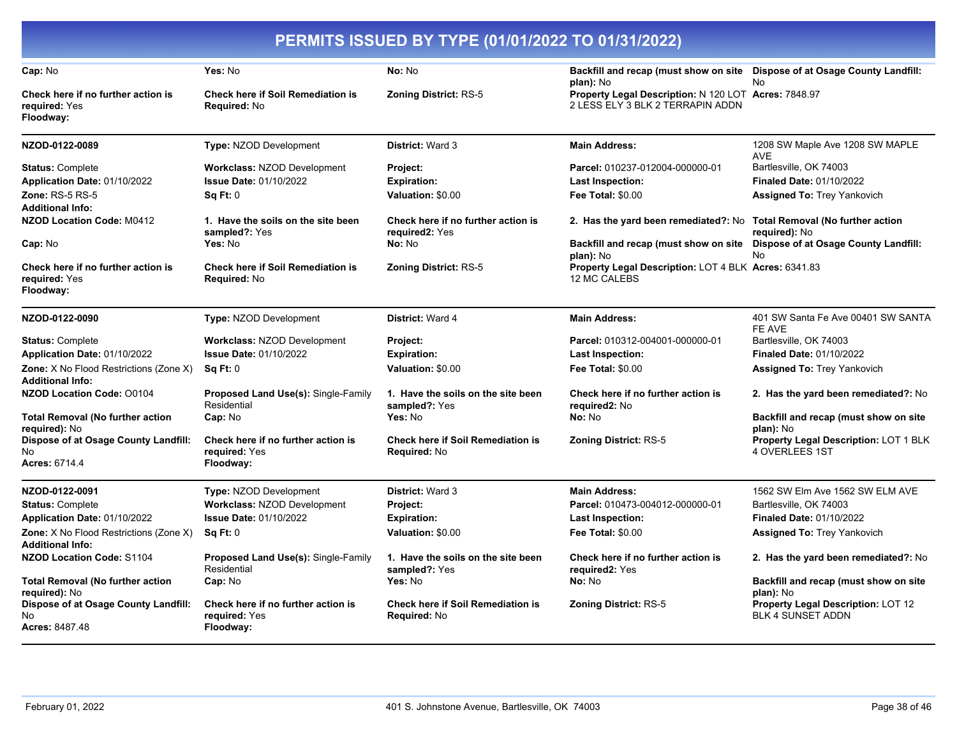|                                                                            |                                                                  | PERMITS ISSUED BY TYPE (01/01/2022 TO 01/31/2022)                 |                                                                                          |                                                                |
|----------------------------------------------------------------------------|------------------------------------------------------------------|-------------------------------------------------------------------|------------------------------------------------------------------------------------------|----------------------------------------------------------------|
| Cap: No                                                                    | Yes: No                                                          | No: No                                                            | Backfill and recap (must show on site  Dispose of at Osage County Landfill:<br>plan): No | <b>No</b>                                                      |
| Check here if no further action is<br>required: Yes<br>Floodway:           | <b>Check here if Soil Remediation is</b><br>Required: No         | <b>Zoning District: RS-5</b>                                      | Property Legal Description: N 120 LOT Acres: 7848.97<br>2 LESS ELY 3 BLK 2 TERRAPIN ADDN |                                                                |
| NZOD-0122-0089                                                             | Type: NZOD Development                                           | District: Ward 3                                                  | <b>Main Address:</b>                                                                     | 1208 SW Maple Ave 1208 SW MAPLE<br>AVE                         |
| <b>Status: Complete</b>                                                    | <b>Workclass: NZOD Development</b>                               | <b>Project:</b>                                                   | Parcel: 010237-012004-000000-01                                                          | Bartlesville, OK 74003                                         |
| Application Date: 01/10/2022                                               | <b>Issue Date: 01/10/2022</b>                                    | <b>Expiration:</b>                                                | Last Inspection:                                                                         | <b>Finaled Date: 01/10/2022</b>                                |
| Zone: RS-5 RS-5<br><b>Additional Info:</b>                                 | Sq Ft: 0                                                         | Valuation: \$0.00                                                 | <b>Fee Total: \$0.00</b>                                                                 | <b>Assigned To: Trey Yankovich</b>                             |
| NZOD Location Code: M0412                                                  | 1. Have the soils on the site been<br>sampled?: Yes              | Check here if no further action is<br>required <sub>2</sub> : Yes | 2. Has the yard been remediated?: No                                                     | <b>Total Removal (No further action</b><br>required): No       |
| Cap: No                                                                    | Yes: No                                                          | No: No                                                            | Backfill and recap (must show on site  Dispose of at Osage County Landfill:<br>plan): No | <b>No</b>                                                      |
| Check here if no further action is<br>required: Yes<br>Floodway:           | <b>Check here if Soil Remediation is</b><br>Required: No         | <b>Zoning District: RS-5</b>                                      | Property Legal Description: LOT 4 BLK Acres: 6341.83<br>12 MC CALEBS                     |                                                                |
| NZOD-0122-0090                                                             | Type: NZOD Development                                           | District: Ward 4                                                  | <b>Main Address:</b>                                                                     | 401 SW Santa Fe Ave 00401 SW SANTA<br>FE AVE                   |
| <b>Status: Complete</b>                                                    | <b>Workclass: NZOD Development</b>                               | Project:                                                          | Parcel: 010312-004001-000000-01                                                          | Bartlesville, OK 74003                                         |
| Application Date: 01/10/2022                                               | <b>Issue Date: 01/10/2022</b>                                    | <b>Expiration:</b>                                                | Last Inspection:                                                                         | <b>Finaled Date: 01/10/2022</b>                                |
| <b>Zone:</b> X No Flood Restrictions (Zone X)<br><b>Additional Info:</b>   | Sq Ft: 0                                                         | Valuation: \$0.00                                                 | <b>Fee Total: \$0.00</b>                                                                 | <b>Assigned To: Trey Yankovich</b>                             |
| NZOD Location Code: 00104                                                  | <b>Proposed Land Use(s): Single-Family</b><br>Residential        | 1. Have the soils on the site been<br>sampled?: Yes               | Check here if no further action is<br>required2: No                                      | 2. Has the yard been remediated?: No                           |
| <b>Total Removal (No further action</b><br>required): No                   | Cap: No                                                          | Yes: No                                                           | No: No                                                                                   | Backfill and recap (must show on site<br>plan): No             |
| <b>Dispose of at Osage County Landfill:</b><br>No<br><b>Acres: 6714.4</b>  | Check here if no further action is<br>required: Yes<br>Floodway: | <b>Check here if Soil Remediation is</b><br>Required: No          | <b>Zoning District: RS-5</b>                                                             | Property Legal Description: LOT 1 BLK<br>4 OVERLEES 1ST        |
|                                                                            |                                                                  |                                                                   |                                                                                          |                                                                |
| NZOD-0122-0091                                                             | Type: NZOD Development                                           | District: Ward 3                                                  | <b>Main Address:</b>                                                                     | 1562 SW Elm Ave 1562 SW ELM AVE                                |
| <b>Status: Complete</b>                                                    | <b>Workclass: NZOD Development</b>                               | Project:                                                          | Parcel: 010473-004012-000000-01                                                          | Bartlesville, OK 74003                                         |
| Application Date: 01/10/2022                                               | <b>Issue Date: 01/10/2022</b>                                    | <b>Expiration:</b>                                                | Last Inspection:                                                                         | <b>Finaled Date: 01/10/2022</b>                                |
| <b>Zone:</b> X No Flood Restrictions (Zone X)<br><b>Additional Info:</b>   | Sq Ft: 0                                                         | Valuation: \$0.00                                                 | <b>Fee Total: \$0.00</b>                                                                 | <b>Assigned To: Trey Yankovich</b>                             |
| <b>NZOD Location Code: S1104</b>                                           | Proposed Land Use(s): Single-Family<br>Residential               | 1. Have the soils on the site been<br>sampled?: Yes               | Check here if no further action is<br>required2: Yes                                     | 2. Has the yard been remediated?: No                           |
| <b>Total Removal (No further action</b><br>required): No                   | Cap: No                                                          | Yes: No                                                           | No: No                                                                                   | Backfill and recap (must show on site<br>plan): No             |
| <b>Dispose of at Osage County Landfill:</b><br>No<br><b>Acres: 8487.48</b> | Check here if no further action is<br>required: Yes<br>Floodway: | <b>Check here if Soil Remediation is</b><br><b>Required: No</b>   | <b>Zoning District: RS-5</b>                                                             | Property Legal Description: LOT 12<br><b>BLK 4 SUNSET ADDN</b> |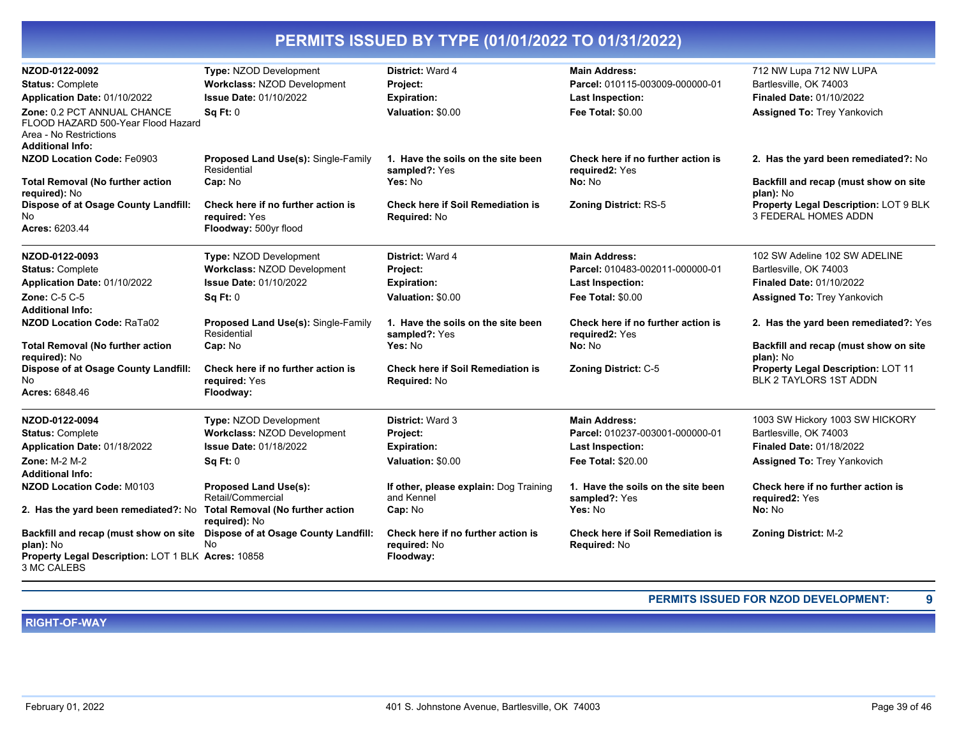| NZOD-0122-0092                                                                                                  | Type: NZOD Development                                           | District: Ward 4                                         | <b>Main Address:</b>                                     | 712 NW Lupa 712 NW LUPA                                                    |
|-----------------------------------------------------------------------------------------------------------------|------------------------------------------------------------------|----------------------------------------------------------|----------------------------------------------------------|----------------------------------------------------------------------------|
| <b>Status: Complete</b>                                                                                         | <b>Workclass: NZOD Development</b>                               | Project:                                                 | Parcel: 010115-003009-000000-01                          | Bartlesville, OK 74003                                                     |
| Application Date: 01/10/2022                                                                                    | <b>Issue Date: 01/10/2022</b>                                    | <b>Expiration:</b>                                       | <b>Last Inspection:</b>                                  | <b>Finaled Date: 01/10/2022</b>                                            |
| Zone: 0.2 PCT ANNUAL CHANCE<br>FLOOD HAZARD 500-Year Flood Hazard<br>Area - No Restrictions<br>Additional Info: | <b>Sq Ft: 0</b>                                                  | Valuation: \$0.00                                        | Fee Total: \$0.00                                        | <b>Assigned To: Trey Yankovich</b>                                         |
| <b>NZOD Location Code: Fe0903</b>                                                                               | Proposed Land Use(s): Single-Family<br>Residential               | 1. Have the soils on the site been<br>sampled?: Yes      | Check here if no further action is<br>required2: Yes     | 2. Has the yard been remediated?: No                                       |
| <b>Total Removal (No further action</b><br>required): No                                                        | Cap: No                                                          | Yes: No                                                  | No: No                                                   | Backfill and recap (must show on site<br>plan): No                         |
| <b>Dispose of at Osage County Landfill:</b>                                                                     | Check here if no further action is                               | <b>Check here if Soil Remediation is</b>                 | <b>Zoning District: RS-5</b>                             | Property Legal Description: LOT 9 BLK                                      |
| No                                                                                                              | required: Yes                                                    | Required: No                                             |                                                          | 3 FEDERAL HOMES ADDN                                                       |
| Acres: 6203.44                                                                                                  | Floodway: 500yr flood                                            |                                                          |                                                          |                                                                            |
| NZOD-0122-0093                                                                                                  | Type: NZOD Development                                           | District: Ward 4                                         | <b>Main Address:</b>                                     | 102 SW Adeline 102 SW ADELINE                                              |
| <b>Status: Complete</b>                                                                                         | <b>Workclass: NZOD Development</b>                               | Project:                                                 | Parcel: 010483-002011-000000-01                          | Bartlesville, OK 74003                                                     |
| Application Date: 01/10/2022                                                                                    | <b>Issue Date: 01/10/2022</b>                                    | <b>Expiration:</b>                                       | Last Inspection:                                         | <b>Finaled Date: 01/10/2022</b>                                            |
| Zone: C-5 C-5                                                                                                   | <b>Sq Ft: 0</b>                                                  | Valuation: \$0.00                                        | <b>Fee Total: \$0.00</b>                                 | <b>Assigned To: Trey Yankovich</b>                                         |
| Additional Info:                                                                                                |                                                                  |                                                          |                                                          |                                                                            |
| <b>NZOD Location Code: RaTa02</b>                                                                               | Proposed Land Use(s): Single-Family<br>Residential               | 1. Have the soils on the site been<br>sampled?: Yes      | Check here if no further action is<br>required2: Yes     | 2. Has the yard been remediated?: Yes                                      |
| <b>Total Removal (No further action</b><br>required): No                                                        | Cap: No                                                          | Yes: No                                                  | No: No                                                   | Backfill and recap (must show on site<br>plan): No                         |
| <b>Dispose of at Osage County Landfill:</b><br>No<br>Acres: 6848.46                                             | Check here if no further action is<br>required: Yes<br>Floodway: | <b>Check here if Soil Remediation is</b><br>Required: No | <b>Zoning District: C-5</b>                              | <b>Property Legal Description: LOT 11</b><br><b>BLK 2 TAYLORS 1ST ADDN</b> |
| NZOD-0122-0094                                                                                                  | <b>Type: NZOD Development</b>                                    | District: Ward 3                                         | <b>Main Address:</b>                                     | 1003 SW Hickory 1003 SW HICKORY                                            |
| <b>Status: Complete</b>                                                                                         | Workclass: NZOD Development                                      | Project:                                                 | Parcel: 010237-003001-000000-01                          | Bartlesville, OK 74003                                                     |
| Application Date: 01/18/2022                                                                                    | <b>Issue Date: 01/18/2022</b>                                    | <b>Expiration:</b>                                       | <b>Last Inspection:</b>                                  | <b>Finaled Date: 01/18/2022</b>                                            |
| <b>Zone: M-2 M-2</b>                                                                                            | <b>Sq Ft: 0</b>                                                  | Valuation: \$0.00                                        | <b>Fee Total: \$20.00</b>                                | <b>Assigned To: Trey Yankovich</b>                                         |
| <b>Additional Info:</b>                                                                                         |                                                                  |                                                          |                                                          |                                                                            |
| <b>NZOD Location Code: M0103</b>                                                                                | <b>Proposed Land Use(s):</b><br>Retail/Commercial                | If other, please explain: Dog Training<br>and Kennel     | 1. Have the soils on the site been<br>sampled?: Yes      | Check here if no further action is<br>required2: Yes                       |
| 2. Has the yard been remediated?: No Total Removal (No further action                                           | required): No                                                    | Cap: No                                                  | Yes: No                                                  | No: No                                                                     |
| Backfill and recap (must show on site<br>plan): No                                                              | Dispose of at Osage County Landfill:<br>No.                      | Check here if no further action is<br>required: No       | <b>Check here if Soil Remediation is</b><br>Required: No | Zoning District: M-2                                                       |
| Property Legal Description: LOT 1 BLK Acres: 10858<br>3 MC CALEBS                                               |                                                                  | Floodway:                                                |                                                          |                                                                            |

**PERMITS ISSUED FOR NZOD DEVELOPMENT: 9**

**RIGHT-OF-WAY**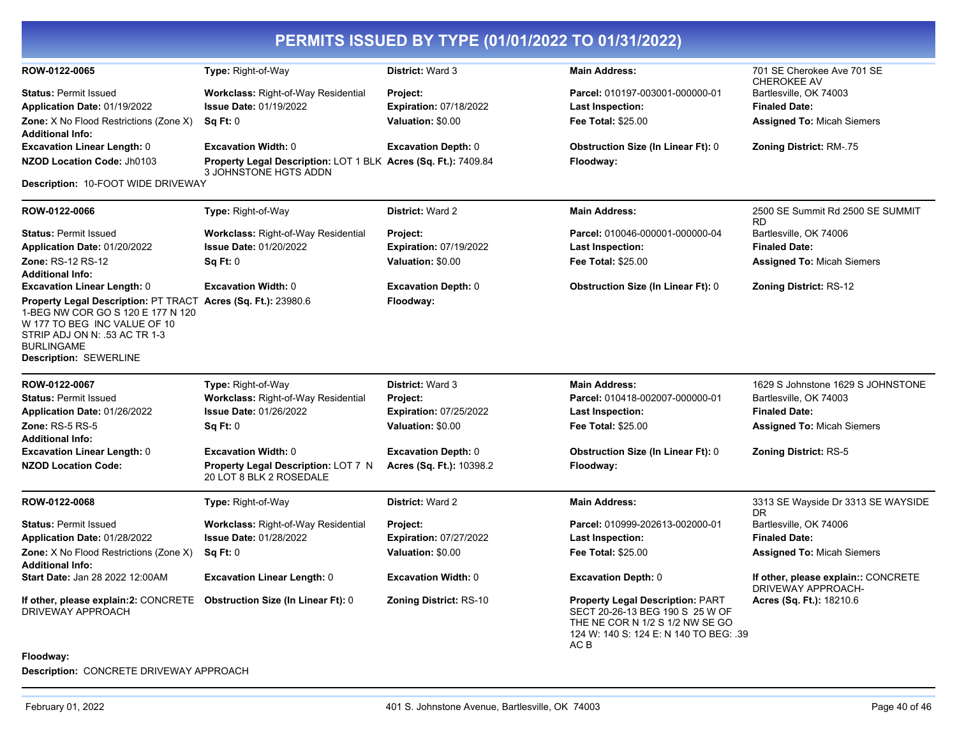|                                                                                                                                                                                                                    |                                                                                         |                               | PERMITS ISSUED BY TYPE (01/01/2022 TO 01/31/2022)                                                                                                               |                                                           |
|--------------------------------------------------------------------------------------------------------------------------------------------------------------------------------------------------------------------|-----------------------------------------------------------------------------------------|-------------------------------|-----------------------------------------------------------------------------------------------------------------------------------------------------------------|-----------------------------------------------------------|
| ROW-0122-0065                                                                                                                                                                                                      | Type: Right-of-Way                                                                      | District: Ward 3              | <b>Main Address:</b>                                                                                                                                            | 701 SE Cherokee Ave 701 SE<br><b>CHEROKEE AV</b>          |
| <b>Status: Permit Issued</b>                                                                                                                                                                                       | Workclass: Right-of-Way Residential                                                     | Project:                      | Parcel: 010197-003001-000000-01                                                                                                                                 | Bartlesville, OK 74003                                    |
| Application Date: 01/19/2022                                                                                                                                                                                       | <b>Issue Date: 01/19/2022</b>                                                           | <b>Expiration: 07/18/2022</b> | <b>Last Inspection:</b>                                                                                                                                         | <b>Finaled Date:</b>                                      |
| <b>Zone:</b> X No Flood Restrictions (Zone X)<br><b>Additional Info:</b>                                                                                                                                           | Sq Ft: 0                                                                                | Valuation: \$0.00             | Fee Total: \$25.00                                                                                                                                              | <b>Assigned To: Micah Siemers</b>                         |
| <b>Excavation Linear Length: 0</b>                                                                                                                                                                                 | <b>Excavation Width: 0</b>                                                              | <b>Excavation Depth: 0</b>    | <b>Obstruction Size (In Linear Ft): 0</b>                                                                                                                       | <b>Zoning District: RM-.75</b>                            |
| NZOD Location Code: Jh0103                                                                                                                                                                                         | Property Legal Description: LOT 1 BLK Acres (Sq. Ft.): 7409.84<br>3 JOHNSTONE HGTS ADDN |                               | Floodway:                                                                                                                                                       |                                                           |
| Description: 10-FOOT WIDE DRIVEWAY                                                                                                                                                                                 |                                                                                         |                               |                                                                                                                                                                 |                                                           |
| ROW-0122-0066                                                                                                                                                                                                      | Type: Right-of-Way                                                                      | District: Ward 2              | <b>Main Address:</b>                                                                                                                                            | 2500 SE Summit Rd 2500 SE SUMMIT<br>RD                    |
| <b>Status: Permit Issued</b>                                                                                                                                                                                       | <b>Workclass: Right-of-Way Residential</b>                                              | Project:                      | Parcel: 010046-000001-000000-04                                                                                                                                 | Bartlesville, OK 74006                                    |
| Application Date: 01/20/2022                                                                                                                                                                                       | <b>Issue Date: 01/20/2022</b>                                                           | <b>Expiration: 07/19/2022</b> | <b>Last Inspection:</b>                                                                                                                                         | <b>Finaled Date:</b>                                      |
| <b>Zone: RS-12 RS-12</b><br><b>Additional Info:</b>                                                                                                                                                                | Sq Ft: 0                                                                                | Valuation: \$0.00             | <b>Fee Total: \$25.00</b>                                                                                                                                       | <b>Assigned To: Micah Siemers</b>                         |
| <b>Excavation Linear Length: 0</b>                                                                                                                                                                                 | <b>Excavation Width: 0</b>                                                              | <b>Excavation Depth: 0</b>    | <b>Obstruction Size (In Linear Ft): 0</b>                                                                                                                       | <b>Zoning District: RS-12</b>                             |
| Property Legal Description: PT TRACT Acres (Sq. Ft.): 23980.6<br>1-BEG NW COR GO S 120 E 177 N 120<br>W 177 TO BEG INC VALUE OF 10<br>STRIP ADJ ON N: .53 AC TR 1-3<br><b>BURLINGAME</b><br>Description: SEWERLINE |                                                                                         | Floodway:                     |                                                                                                                                                                 |                                                           |
| ROW-0122-0067                                                                                                                                                                                                      | Type: Right-of-Way                                                                      | District: Ward 3              | <b>Main Address:</b>                                                                                                                                            | 1629 S Johnstone 1629 S JOHNSTONE                         |
| <b>Status: Permit Issued</b>                                                                                                                                                                                       | <b>Workclass: Right-of-Way Residential</b>                                              | Project:                      | Parcel: 010418-002007-000000-01                                                                                                                                 | Bartlesville, OK 74003                                    |
| Application Date: 01/26/2022                                                                                                                                                                                       | <b>Issue Date: 01/26/2022</b>                                                           | <b>Expiration: 07/25/2022</b> | <b>Last Inspection:</b>                                                                                                                                         | <b>Finaled Date:</b>                                      |
| <b>Zone: RS-5 RS-5</b><br><b>Additional Info:</b>                                                                                                                                                                  | Sq Ft: 0                                                                                | Valuation: \$0.00             | <b>Fee Total: \$25.00</b>                                                                                                                                       | <b>Assigned To: Micah Siemers</b>                         |
| <b>Excavation Linear Length: 0</b>                                                                                                                                                                                 | <b>Excavation Width: 0</b>                                                              | <b>Excavation Depth: 0</b>    | <b>Obstruction Size (In Linear Ft): 0</b>                                                                                                                       | <b>Zoning District: RS-5</b>                              |
| <b>NZOD Location Code:</b>                                                                                                                                                                                         | Property Legal Description: LOT 7 N<br>20 LOT 8 BLK 2 ROSEDALE                          | Acres (Sq. Ft.): 10398.2      | Floodway:                                                                                                                                                       |                                                           |
| ROW-0122-0068                                                                                                                                                                                                      | Type: Right-of-Way                                                                      | District: Ward 2              | <b>Main Address:</b>                                                                                                                                            | 3313 SE Wayside Dr 3313 SE WAYSIDE                        |
| <b>Status: Permit Issued</b>                                                                                                                                                                                       | <b>Workclass: Right-of-Way Residential</b>                                              | Project:                      | Parcel: 010999-202613-002000-01                                                                                                                                 | DR<br>Bartlesville, OK 74006                              |
| Application Date: 01/28/2022                                                                                                                                                                                       | <b>Issue Date: 01/28/2022</b>                                                           | <b>Expiration: 07/27/2022</b> | <b>Last Inspection:</b>                                                                                                                                         | <b>Finaled Date:</b>                                      |
| Zone: X No Flood Restrictions (Zone X)<br><b>Additional Info:</b>                                                                                                                                                  | Sq Ft: 0                                                                                | Valuation: \$0.00             | <b>Fee Total: \$25.00</b>                                                                                                                                       | <b>Assigned To: Micah Siemers</b>                         |
| Start Date: Jan 28 2022 12:00AM                                                                                                                                                                                    | <b>Excavation Linear Length: 0</b>                                                      | <b>Excavation Width: 0</b>    | <b>Excavation Depth: 0</b>                                                                                                                                      | If other, please explain:: CONCRETE<br>DRIVEWAY APPROACH- |
| If other, please explain:2: CONCRETE<br>DRIVEWAY APPROACH                                                                                                                                                          | <b>Obstruction Size (In Linear Ft): 0</b>                                               | <b>Zoning District: RS-10</b> | <b>Property Legal Description: PART</b><br>SECT 20-26-13 BEG 190 S 25 W OF<br>THE NE COR N 1/2 S 1/2 NW SE GO<br>124 W: 140 S: 124 E: N 140 TO BEG: .39<br>AC B | Acres (Sq. Ft.): 18210.6                                  |

#### **Floodway:**

**Description:** CONCRETE DRIVEWAY APPROACH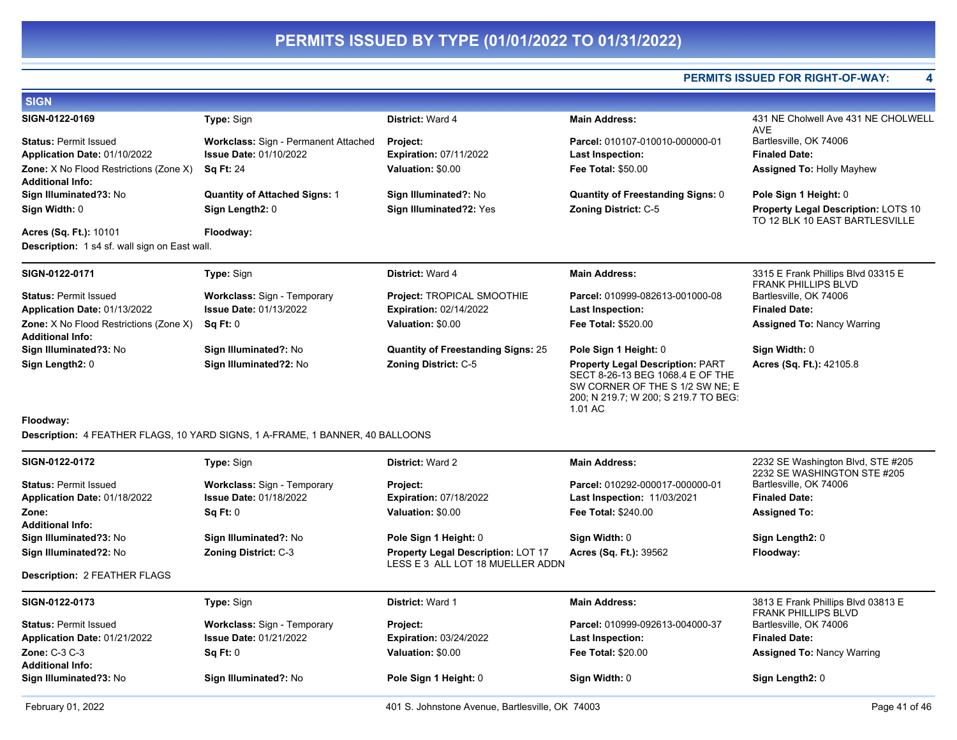#### **PERMITS ISSUED FOR RIGHT-OF-WAY: 4**

| <b>SIGN</b>                                                              |                                             |                                           |                                                                                                                                                                   |                                                                              |
|--------------------------------------------------------------------------|---------------------------------------------|-------------------------------------------|-------------------------------------------------------------------------------------------------------------------------------------------------------------------|------------------------------------------------------------------------------|
| SIGN-0122-0169                                                           | Type: Sign                                  | District: Ward 4                          | <b>Main Address:</b>                                                                                                                                              | 431 NE Cholwell Ave 431 NE CHOLWELL<br><b>AVE</b>                            |
| <b>Status: Permit Issued</b>                                             | <b>Workclass: Sign - Permanent Attached</b> | Project:                                  | Parcel: 010107-010010-000000-01                                                                                                                                   | Bartlesville, OK 74006                                                       |
| Application Date: 01/10/2022                                             | <b>Issue Date: 01/10/2022</b>               | <b>Expiration: 07/11/2022</b>             | <b>Last Inspection:</b>                                                                                                                                           | <b>Finaled Date:</b>                                                         |
| <b>Zone:</b> X No Flood Restrictions (Zone X)<br><b>Additional Info:</b> | <b>Sq Ft: 24</b>                            | Valuation: \$0.00                         | <b>Fee Total: \$50.00</b>                                                                                                                                         | <b>Assigned To: Holly Mayhew</b>                                             |
| Sign Illuminated?3: No                                                   | <b>Quantity of Attached Signs: 1</b>        | Sign Illuminated?: No                     | <b>Quantity of Freestanding Signs: 0</b>                                                                                                                          | Pole Sign 1 Height: 0                                                        |
| Sign Width: 0                                                            | Sign Length2: 0                             | Sign Illuminated?2: Yes                   | <b>Zoning District: C-5</b>                                                                                                                                       | <b>Property Legal Description: LOTS 10</b><br>TO 12 BLK 10 EAST BARTLESVILLE |
| Acres (Sq. Ft.): 10101                                                   | Floodway:                                   |                                           |                                                                                                                                                                   |                                                                              |
| <b>Description:</b> 1 s4 sf. wall sign on East wall.                     |                                             |                                           |                                                                                                                                                                   |                                                                              |
| SIGN-0122-0171                                                           | <b>Type: Sign</b>                           | District: Ward 4                          | <b>Main Address:</b>                                                                                                                                              | 3315 E Frank Phillips Blvd 03315 E<br><b>FRANK PHILLIPS BLVD</b>             |
| <b>Status: Permit Issued</b>                                             | <b>Workclass: Sign - Temporary</b>          | <b>Project: TROPICAL SMOOTHIE</b>         | Parcel: 010999-082613-001000-08                                                                                                                                   | Bartlesville, OK 74006                                                       |
| Application Date: 01/13/2022                                             | <b>Issue Date: 01/13/2022</b>               | <b>Expiration: 02/14/2022</b>             | Last Inspection:                                                                                                                                                  | <b>Finaled Date:</b>                                                         |
| <b>Zone:</b> X No Flood Restrictions (Zone X)<br><b>Additional Info:</b> | Sq Ft: 0                                    | Valuation: \$0.00                         | <b>Fee Total: \$520.00</b>                                                                                                                                        | <b>Assigned To: Nancy Warring</b>                                            |
| Sign Illuminated?3: No                                                   | Sign Illuminated?: No                       | <b>Quantity of Freestanding Signs: 25</b> | Pole Sign 1 Height: 0                                                                                                                                             | Sign Width: 0                                                                |
| Sign Length2: 0                                                          | Sign Illuminated?2: No                      | <b>Zoning District: C-5</b>               | <b>Property Legal Description: PART</b><br>SECT 8-26-13 BEG 1068.4 E OF THE<br>SW CORNER OF THE S 1/2 SW NE; E<br>200; N 219.7; W 200; S 219.7 TO BEG:<br>1.01 AC | Acres (Sq. Ft.): 42105.8                                                     |

#### **Floodway:**

**Description:** 4 FEATHER FLAGS, 10 YARD SIGNS, 1 A-FRAME, 1 BANNER, 40 BALLOONS

| SIGN-0122-0172                                  | <b>Type: Sign</b>                  | <b>District: Ward 2</b>                                                       | <b>Main Address:</b>               | 2232 SE Washington Blvd, STE #205                                |
|-------------------------------------------------|------------------------------------|-------------------------------------------------------------------------------|------------------------------------|------------------------------------------------------------------|
| <b>Status: Permit Issued</b>                    | <b>Workclass: Sign - Temporary</b> | <b>Project:</b>                                                               | Parcel: 010292-000017-000000-01    | 2232 SE WASHINGTON STE #205<br>Bartlesville, OK 74006            |
| Application Date: 01/18/2022                    | <b>Issue Date: 01/18/2022</b>      | <b>Expiration: 07/18/2022</b>                                                 | <b>Last Inspection: 11/03/2021</b> | <b>Finaled Date:</b>                                             |
| Zone:<br><b>Additional Info:</b>                | Sq Ft: 0                           | Valuation: \$0.00                                                             | <b>Fee Total: \$240.00</b>         | <b>Assigned To:</b>                                              |
| Sign Illuminated?3: No                          | Sign Illuminated?: No              | Pole Sign 1 Height: 0                                                         | Sign Width: 0                      | Sign Length2: 0                                                  |
| Sign Illuminated?2: No                          | <b>Zoning District: C-3</b>        | <b>Property Legal Description: LOT 17</b><br>LESS E 3 ALL LOT 18 MUELLER ADDN | <b>Acres (Sq. Ft.): 39562</b>      | Floodway:                                                        |
| <b>Description: 2 FEATHER FLAGS</b>             |                                    |                                                                               |                                    |                                                                  |
| SIGN-0122-0173                                  | <b>Type: Sign</b>                  | <b>District: Ward 1</b>                                                       | <b>Main Address:</b>               | 3813 E Frank Phillips Blvd 03813 E<br><b>FRANK PHILLIPS BLVD</b> |
| <b>Status: Permit Issued</b>                    | <b>Workclass: Sign - Temporary</b> | Project:                                                                      | Parcel: 010999-092613-004000-37    | Bartlesville, OK 74006                                           |
| Application Date: 01/21/2022                    | <b>Issue Date: 01/21/2022</b>      | <b>Expiration: 03/24/2022</b>                                                 | <b>Last Inspection:</b>            | <b>Finaled Date:</b>                                             |
| <b>Zone: C-3 C-3</b><br><b>Additional Info:</b> | Sq Ft: 0                           | Valuation: \$0.00                                                             | <b>Fee Total: \$20.00</b>          | <b>Assigned To: Nancy Warring</b>                                |
| Sign Illuminated?3: No                          | Sign Illuminated?: No              | Pole Sign 1 Height: 0                                                         | Sign Width: 0                      | Sign Length2: 0                                                  |
|                                                 |                                    |                                                                               |                                    |                                                                  |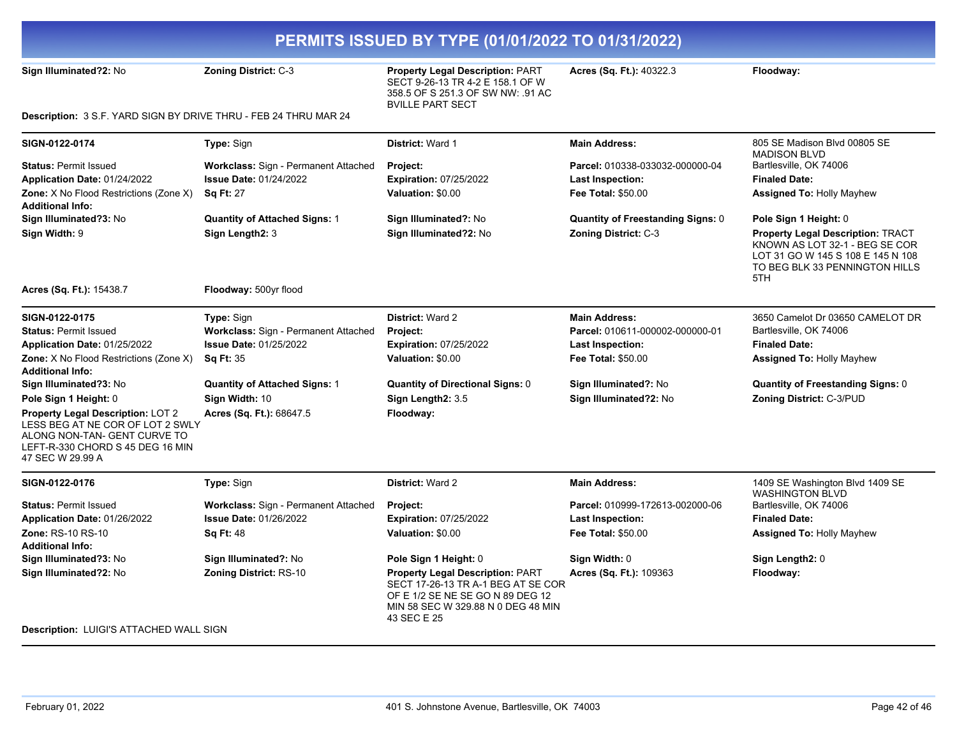**Sign Illuminated?2:** No **Zoning District:** C-3 **Property Legal Description:** PART SECT 9-26-13 TR 4-2 E 158.1 OF W 358.5 OF S 251.3 OF SW NW: .91 AC BVILLE PART SECT

**Acres (Sq. Ft.):** 40322.3 **Floodway:** 

**Description:** 3 S.F. YARD SIGN BY DRIVE THRU - FEB 24 THRU MAR 24

| SIGN-0122-0174                                                                                                                                                | Type: Sign                           | <b>District: Ward 1</b>                                                                                                                                                | <b>Main Address:</b>                     | 805 SE Madison Blvd 00805 SE<br><b>MADISON BLVD</b>                                                                                                      |
|---------------------------------------------------------------------------------------------------------------------------------------------------------------|--------------------------------------|------------------------------------------------------------------------------------------------------------------------------------------------------------------------|------------------------------------------|----------------------------------------------------------------------------------------------------------------------------------------------------------|
| <b>Status: Permit Issued</b>                                                                                                                                  | Workclass: Sign - Permanent Attached | Project:                                                                                                                                                               | Parcel: 010338-033032-000000-04          | Bartlesville, OK 74006                                                                                                                                   |
| Application Date: 01/24/2022                                                                                                                                  | <b>Issue Date: 01/24/2022</b>        | <b>Expiration: 07/25/2022</b>                                                                                                                                          | Last Inspection:                         | <b>Finaled Date:</b>                                                                                                                                     |
| Zone: X No Flood Restrictions (Zone X)<br><b>Additional Info:</b>                                                                                             | <b>Sq Ft: 27</b>                     | Valuation: \$0.00                                                                                                                                                      | <b>Fee Total: \$50.00</b>                | <b>Assigned To: Holly Mayhew</b>                                                                                                                         |
| Sign Illuminated?3: No                                                                                                                                        | <b>Quantity of Attached Signs: 1</b> | Sign Illuminated?: No                                                                                                                                                  | <b>Quantity of Freestanding Signs: 0</b> | Pole Sign 1 Height: 0                                                                                                                                    |
| Sign Width: 9                                                                                                                                                 | Sign Length2: 3                      | Sign Illuminated?2: No                                                                                                                                                 | Zoning District: C-3                     | <b>Property Legal Description: TRACT</b><br>KNOWN AS LOT 32-1 - BEG SE COR<br>LOT 31 GO W 145 S 108 E 145 N 108<br>TO BEG BLK 33 PENNINGTON HILLS<br>5TH |
| Acres (Sq. Ft.): 15438.7                                                                                                                                      | Floodway: 500yr flood                |                                                                                                                                                                        |                                          |                                                                                                                                                          |
| SIGN-0122-0175                                                                                                                                                | Type: Sign                           | District: Ward 2                                                                                                                                                       | <b>Main Address:</b>                     | 3650 Camelot Dr 03650 CAMELOT DR                                                                                                                         |
| <b>Status: Permit Issued</b>                                                                                                                                  | Workclass: Sign - Permanent Attached | Project:                                                                                                                                                               | Parcel: 010611-000002-000000-01          | Bartlesville, OK 74006                                                                                                                                   |
| Application Date: 01/25/2022                                                                                                                                  | <b>Issue Date: 01/25/2022</b>        | <b>Expiration: 07/25/2022</b>                                                                                                                                          | <b>Last Inspection:</b>                  | <b>Finaled Date:</b>                                                                                                                                     |
| Zone: X No Flood Restrictions (Zone X)                                                                                                                        | <b>Sq Ft: 35</b>                     | Valuation: \$0.00                                                                                                                                                      | <b>Fee Total: \$50.00</b>                | Assigned To: Holly Mayhew                                                                                                                                |
| <b>Additional Info:</b>                                                                                                                                       |                                      |                                                                                                                                                                        |                                          |                                                                                                                                                          |
| Sign Illuminated?3: No                                                                                                                                        | <b>Quantity of Attached Signs: 1</b> | <b>Quantity of Directional Signs: 0</b>                                                                                                                                | Sign Illuminated?: No                    | <b>Quantity of Freestanding Signs: 0</b>                                                                                                                 |
| Pole Sign 1 Height: 0                                                                                                                                         | Sign Width: 10                       | Sign Length2: 3.5                                                                                                                                                      | Sign Illuminated?2: No                   | Zoning District: C-3/PUD                                                                                                                                 |
| Property Legal Description: LOT 2<br>LESS BEG AT NE COR OF LOT 2 SWLY<br>ALONG NON-TAN- GENT CURVE TO<br>LEFT-R-330 CHORD S 45 DEG 16 MIN<br>47 SEC W 29.99 A | Acres (Sq. Ft.): 68647.5             | Floodway:                                                                                                                                                              |                                          |                                                                                                                                                          |
| SIGN-0122-0176                                                                                                                                                | Type: Sign                           | District: Ward 2                                                                                                                                                       | <b>Main Address:</b>                     | 1409 SE Washington Blvd 1409 SE<br><b>WASHINGTON BLVD</b>                                                                                                |
| <b>Status: Permit Issued</b>                                                                                                                                  | Workclass: Sign - Permanent Attached | Project:                                                                                                                                                               | Parcel: 010999-172613-002000-06          | Bartlesville, OK 74006                                                                                                                                   |
| Application Date: 01/26/2022                                                                                                                                  | <b>Issue Date: 01/26/2022</b>        | <b>Expiration: 07/25/2022</b>                                                                                                                                          | Last Inspection:                         | <b>Finaled Date:</b>                                                                                                                                     |
| <b>Zone: RS-10 RS-10</b><br><b>Additional Info:</b>                                                                                                           | <b>Sq Ft: 48</b>                     | Valuation: \$0.00                                                                                                                                                      | <b>Fee Total: \$50.00</b>                | <b>Assigned To: Holly Mayhew</b>                                                                                                                         |
| Sign Illuminated?3: No                                                                                                                                        | Sign Illuminated?: No                | Pole Sign 1 Height: 0                                                                                                                                                  | Sign Width: 0                            | Sign Length2: 0                                                                                                                                          |
| Sign Illuminated?2: No                                                                                                                                        | <b>Zoning District: RS-10</b>        | <b>Property Legal Description: PART</b><br>SECT 17-26-13 TR A-1 BEG AT SE COR<br>OF E 1/2 SE NE SE GO N 89 DEG 12<br>MIN 58 SEC W 329.88 N 0 DEG 48 MIN<br>43 SEC E 25 | Acres (Sq. Ft.): 109363                  | Floodway:                                                                                                                                                |
| <b>Description: LUIGI'S ATTACHED WALL SIGN</b>                                                                                                                |                                      |                                                                                                                                                                        |                                          |                                                                                                                                                          |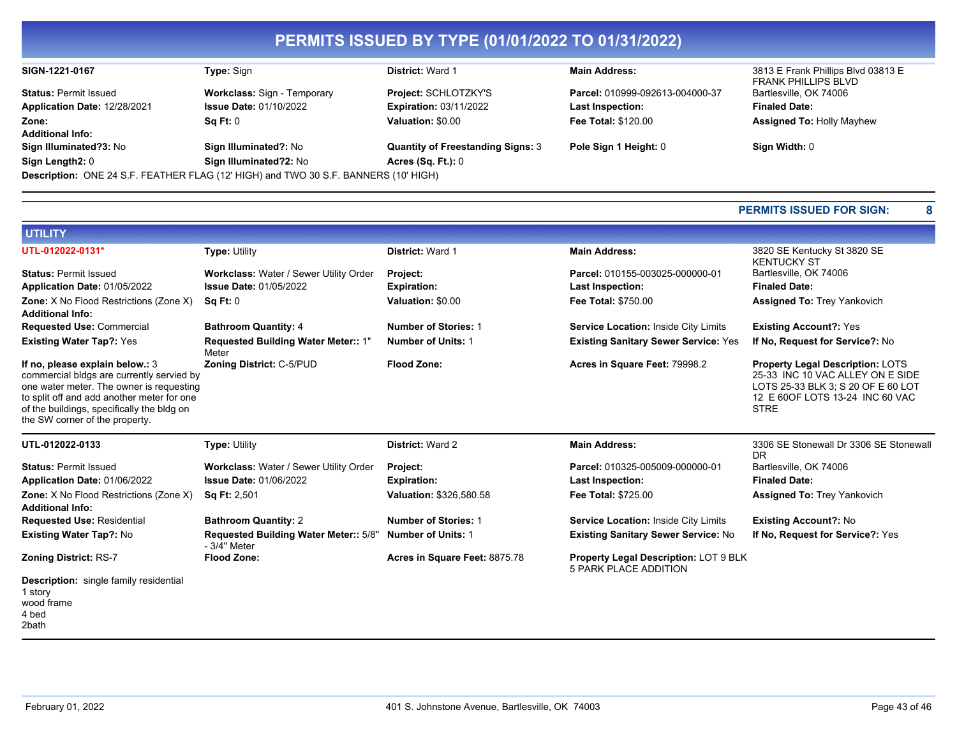| SIGN-1221-0167               | <b>Type:</b> Sign                                                                   | <b>District: Ward 1</b>                  | <b>Main Address:</b>            | 3813 E Frank Phillips Blvd 03813 E<br><b>FRANK PHILLIPS BLVD</b> |
|------------------------------|-------------------------------------------------------------------------------------|------------------------------------------|---------------------------------|------------------------------------------------------------------|
| <b>Status: Permit Issued</b> | <b>Workclass: Sign - Temporary</b>                                                  | Project: SCHLOTZKY'S                     | Parcel: 010999-092613-004000-37 | Bartlesville, OK 74006                                           |
| Application Date: 12/28/2021 | <b>Issue Date: 01/10/2022</b>                                                       | <b>Expiration: 03/11/2022</b>            | <b>Last Inspection:</b>         | <b>Finaled Date:</b>                                             |
| Zone:                        | Sq Ft: 0                                                                            | Valuation: \$0.00                        | <b>Fee Total: \$120.00</b>      | <b>Assigned To: Holly Mayhew</b>                                 |
| <b>Additional Info:</b>      |                                                                                     |                                          |                                 |                                                                  |
| Sign Illuminated?3: No       | Sign Illuminated?: No                                                               | <b>Quantity of Freestanding Signs: 3</b> | Pole Sign 1 Height: 0           | Sign Width: 0                                                    |
| Sign Length2: 0              | Sign Illuminated?2: No                                                              | Acres $(Sq. Ft.): 0$                     |                                 |                                                                  |
|                              | Description: ONE 24 S.F. FEATHER FLAG (12' HIGH) and TWO 30 S.F. BANNERS (10' HIGH) |                                          |                                 |                                                                  |

#### **PERMITS ISSUED FOR SIGN: 8**

| UTILITY                                                                                                                                                                                                                                                |                                                        |                               |                                                                              |                                                                                                                                                                      |
|--------------------------------------------------------------------------------------------------------------------------------------------------------------------------------------------------------------------------------------------------------|--------------------------------------------------------|-------------------------------|------------------------------------------------------------------------------|----------------------------------------------------------------------------------------------------------------------------------------------------------------------|
| UTL-012022-0131*                                                                                                                                                                                                                                       | <b>Type: Utility</b>                                   | <b>District: Ward 1</b>       | <b>Main Address:</b>                                                         | 3820 SE Kentucky St 3820 SE<br><b>KENTUCKY ST</b>                                                                                                                    |
| <b>Status: Permit Issued</b>                                                                                                                                                                                                                           | Workclass: Water / Sewer Utility Order                 | Project:                      | Parcel: 010155-003025-000000-01                                              | Bartlesville, OK 74006                                                                                                                                               |
| Application Date: 01/05/2022                                                                                                                                                                                                                           | <b>Issue Date: 01/05/2022</b>                          | <b>Expiration:</b>            | <b>Last Inspection:</b>                                                      | <b>Finaled Date:</b>                                                                                                                                                 |
| Zone: X No Flood Restrictions (Zone X)<br><b>Additional Info:</b>                                                                                                                                                                                      | Sq Ft: 0                                               | Valuation: \$0.00             | <b>Fee Total: \$750.00</b>                                                   | <b>Assigned To: Trey Yankovich</b>                                                                                                                                   |
| <b>Requested Use: Commercial</b>                                                                                                                                                                                                                       | <b>Bathroom Quantity: 4</b>                            | <b>Number of Stories: 1</b>   | Service Location: Inside City Limits                                         | <b>Existing Account?: Yes</b>                                                                                                                                        |
| <b>Existing Water Tap?: Yes</b>                                                                                                                                                                                                                        | Requested Building Water Meter:: 1"<br>Meter           | <b>Number of Units: 1</b>     | <b>Existing Sanitary Sewer Service: Yes</b>                                  | If No, Request for Service?: No                                                                                                                                      |
| If no, please explain below.: 3<br>commercial bldgs are currently servied by<br>one water meter. The owner is requesting<br>to split off and add another meter for one<br>of the buildings, specifically the bldg on<br>the SW corner of the property. | Zoning District: C-5/PUD                               | <b>Flood Zone:</b>            | Acres in Square Feet: 79998.2                                                | <b>Property Legal Description: LOTS</b><br>25-33 INC 10 VAC ALLEY ON E SIDE<br>LOTS 25-33 BLK 3; S 20 OF E 60 LOT<br>12 E 60 OF LOTS 13-24 INC 60 VAC<br><b>STRE</b> |
|                                                                                                                                                                                                                                                        |                                                        |                               |                                                                              |                                                                                                                                                                      |
| UTL-012022-0133                                                                                                                                                                                                                                        | <b>Type: Utility</b>                                   | <b>District: Ward 2</b>       | <b>Main Address:</b>                                                         | 3306 SE Stonewall Dr 3306 SE Stonewall<br>DR.                                                                                                                        |
| <b>Status: Permit Issued</b>                                                                                                                                                                                                                           | Workclass: Water / Sewer Utility Order                 | Project:                      | Parcel: 010325-005009-000000-01                                              | Bartlesville, OK 74006                                                                                                                                               |
| Application Date: 01/06/2022                                                                                                                                                                                                                           | <b>Issue Date: 01/06/2022</b>                          | <b>Expiration:</b>            | <b>Last Inspection:</b>                                                      | <b>Finaled Date:</b>                                                                                                                                                 |
| <b>Zone:</b> X No Flood Restrictions (Zone X)<br><b>Additional Info:</b>                                                                                                                                                                               | <b>Sq Ft: 2,501</b>                                    | Valuation: \$326,580.58       | Fee Total: \$725.00                                                          | <b>Assigned To: Trey Yankovich</b>                                                                                                                                   |
| <b>Requested Use: Residential</b>                                                                                                                                                                                                                      | <b>Bathroom Quantity: 2</b>                            | <b>Number of Stories: 1</b>   | Service Location: Inside City Limits                                         | <b>Existing Account?: No</b>                                                                                                                                         |
| <b>Existing Water Tap?: No</b>                                                                                                                                                                                                                         | Requested Building Water Meter:: 5/8"<br>$-3/4"$ Meter | <b>Number of Units: 1</b>     | <b>Existing Sanitary Sewer Service: No</b>                                   | If No, Request for Service?: Yes                                                                                                                                     |
| <b>Zoning District: RS-7</b>                                                                                                                                                                                                                           | <b>Flood Zone:</b>                                     | Acres in Square Feet: 8875.78 | <b>Property Legal Description: LOT 9 BLK</b><br><b>5 PARK PLACE ADDITION</b> |                                                                                                                                                                      |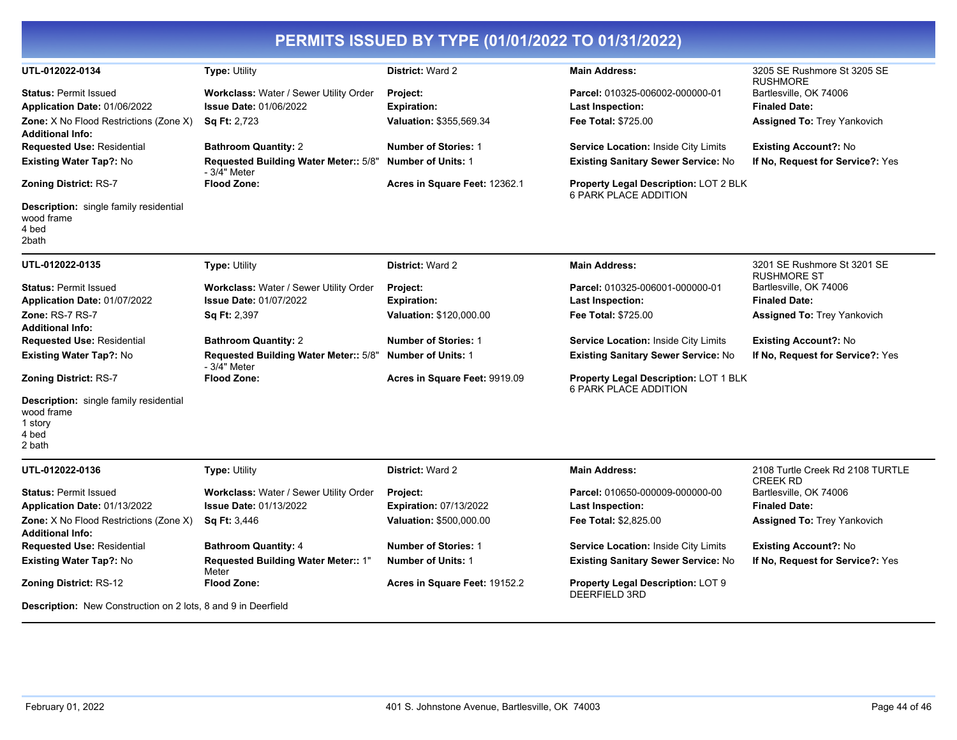|                                                                                           |                                                       | PERMITS ISSUED BY TYPE (01/01/2022 TO 01/31/2022) |                                                                       |                                                     |
|-------------------------------------------------------------------------------------------|-------------------------------------------------------|---------------------------------------------------|-----------------------------------------------------------------------|-----------------------------------------------------|
| UTL-012022-0134                                                                           | <b>Type: Utility</b>                                  | District: Ward 2                                  | <b>Main Address:</b>                                                  | 3205 SE Rushmore St 3205 SE<br><b>RUSHMORE</b>      |
| <b>Status: Permit Issued</b>                                                              | Workclass: Water / Sewer Utility Order                | Project:                                          | Parcel: 010325-006002-000000-01                                       | Bartlesville, OK 74006                              |
| Application Date: 01/06/2022                                                              | <b>Issue Date: 01/06/2022</b>                         | <b>Expiration:</b>                                | <b>Last Inspection:</b>                                               | <b>Finaled Date:</b>                                |
| Zone: X No Flood Restrictions (Zone X)<br><b>Additional Info:</b>                         | <b>Sq Ft: 2,723</b>                                   | Valuation: \$355,569.34                           | <b>Fee Total: \$725.00</b>                                            | <b>Assigned To: Trey Yankovich</b>                  |
| <b>Requested Use: Residential</b>                                                         | <b>Bathroom Quantity: 2</b>                           | <b>Number of Stories: 1</b>                       | <b>Service Location: Inside City Limits</b>                           | <b>Existing Account?: No</b>                        |
| Existing Water Tap?: No                                                                   | Requested Building Water Meter:: 5/8"<br>- 3/4" Meter | <b>Number of Units: 1</b>                         | Existing Sanitary Sewer Service: No                                   | If No, Request for Service?: Yes                    |
| <b>Zoning District: RS-7</b>                                                              | <b>Flood Zone:</b>                                    | Acres in Square Feet: 12362.1                     | Property Legal Description: LOT 2 BLK<br>6 PARK PLACE ADDITION        |                                                     |
| Description: single family residential<br>wood frame<br>4 bed<br>2bath                    |                                                       |                                                   |                                                                       |                                                     |
| UTL-012022-0135                                                                           | Type: Utility                                         | District: Ward 2                                  | <b>Main Address:</b>                                                  | 3201 SE Rushmore St 3201 SE<br><b>RUSHMORE ST</b>   |
| <b>Status: Permit Issued</b>                                                              | Workclass: Water / Sewer Utility Order                | Project:                                          | Parcel: 010325-006001-000000-01                                       | Bartlesville, OK 74006                              |
| Application Date: 01/07/2022                                                              | <b>Issue Date: 01/07/2022</b>                         | <b>Expiration:</b>                                | <b>Last Inspection:</b>                                               | <b>Finaled Date:</b>                                |
| Zone: RS-7 RS-7<br><b>Additional Info:</b>                                                | Sq Ft: 2,397                                          | <b>Valuation: \$120,000.00</b>                    | Fee Total: \$725.00                                                   | <b>Assigned To: Trey Yankovich</b>                  |
| <b>Requested Use: Residential</b>                                                         | <b>Bathroom Quantity: 2</b>                           | <b>Number of Stories: 1</b>                       | Service Location: Inside City Limits                                  | <b>Existing Account?: No</b>                        |
| Existing Water Tap?: No                                                                   | Requested Building Water Meter:: 5/8"<br>- 3/4" Meter | <b>Number of Units: 1</b>                         | <b>Existing Sanitary Sewer Service: No</b>                            | If No. Request for Service?: Yes                    |
| <b>Zoning District: RS-7</b>                                                              | <b>Flood Zone:</b>                                    | Acres in Square Feet: 9919.09                     | <b>Property Legal Description: LOT 1 BLK</b><br>6 PARK PLACE ADDITION |                                                     |
| <b>Description:</b> single family residential<br>wood frame<br>1 story<br>4 bed<br>2 bath |                                                       |                                                   |                                                                       |                                                     |
| UTL-012022-0136                                                                           | <b>Type: Utility</b>                                  | <b>District: Ward 2</b>                           | <b>Main Address:</b>                                                  | 2108 Turtle Creek Rd 2108 TURTLE<br><b>CREEK RD</b> |
| <b>Status: Permit Issued</b>                                                              | Workclass: Water / Sewer Utility Order                | Project:                                          | Parcel: 010650-000009-000000-00                                       | Bartlesville, OK 74006                              |
| Application Date: 01/13/2022                                                              | <b>Issue Date: 01/13/2022</b>                         | Expiration: 07/13/2022                            | Last Inspection:                                                      | <b>Finaled Date:</b>                                |
| Zone: X No Flood Restrictions (Zone X)<br><b>Additional Info:</b>                         | <b>Sq Ft: 3,446</b>                                   | Valuation: \$500,000.00                           | Fee Total: \$2,825.00                                                 | <b>Assigned To: Trey Yankovich</b>                  |
| <b>Requested Use: Residential</b>                                                         | <b>Bathroom Quantity: 4</b>                           | <b>Number of Stories: 1</b>                       | Service Location: Inside City Limits                                  | <b>Existing Account?: No</b>                        |
| <b>Existing Water Tap?: No</b>                                                            | Requested Building Water Meter:: 1"<br>Meter          | <b>Number of Units: 1</b>                         | <b>Existing Sanitary Sewer Service: No</b>                            | If No, Request for Service?: Yes                    |
| <b>Zoning District: RS-12</b>                                                             | <b>Flood Zone:</b>                                    | Acres in Square Feet: 19152.2                     | Property Legal Description: LOT 9<br><b>DEERFIELD 3RD</b>             |                                                     |

**Description:** New Construction on 2 lots, 8 and 9 in Deerfield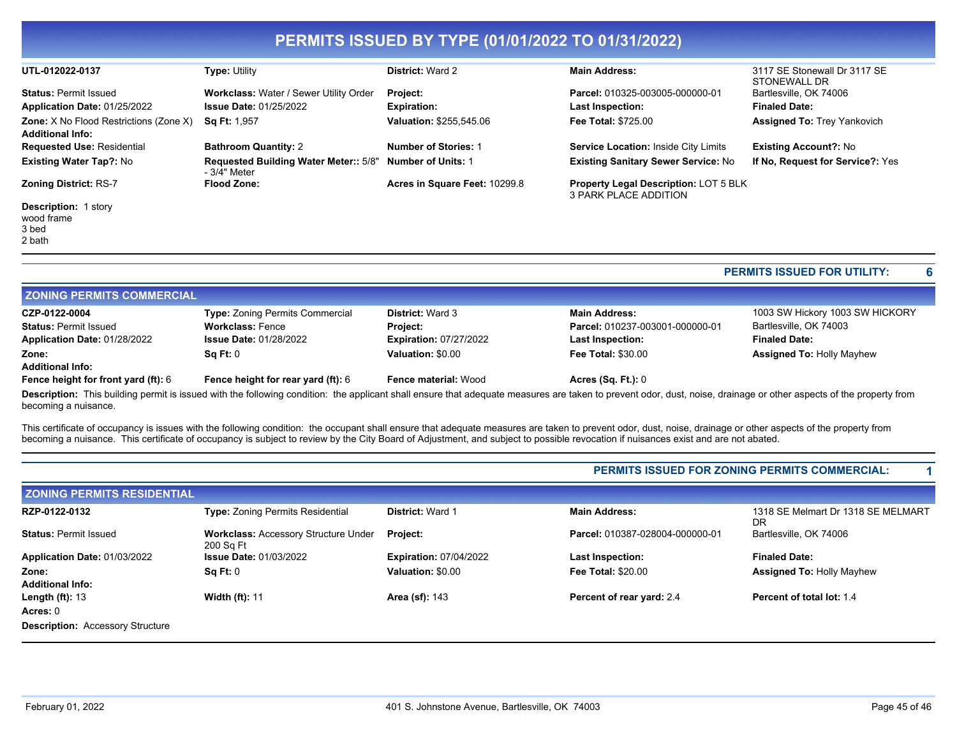|                                                                          |                                                       | PERMITS ISSUED BY TYPE (01/01/2022 TO 01/31/2022) |                                                                       |                                              |
|--------------------------------------------------------------------------|-------------------------------------------------------|---------------------------------------------------|-----------------------------------------------------------------------|----------------------------------------------|
| UTL-012022-0137                                                          | <b>Type: Utility</b>                                  | <b>District: Ward 2</b>                           | <b>Main Address:</b>                                                  | 3117 SE Stonewall Dr 3117 SE<br>STONEWALL DR |
| <b>Status: Permit Issued</b>                                             | Workclass: Water / Sewer Utility Order                | <b>Project:</b>                                   | Parcel: 010325-003005-000000-01                                       | Bartlesville, OK 74006                       |
| Application Date: 01/25/2022                                             | <b>Issue Date: 01/25/2022</b>                         | <b>Expiration:</b>                                | Last Inspection:                                                      | <b>Finaled Date:</b>                         |
| <b>Zone:</b> X No Flood Restrictions (Zone X)<br><b>Additional Info:</b> | <b>Sq Ft: 1,957</b>                                   | <b>Valuation: \$255,545.06</b>                    | <b>Fee Total: \$725.00</b>                                            | <b>Assigned To: Trey Yankovich</b>           |
| <b>Requested Use: Residential</b>                                        | <b>Bathroom Quantity: 2</b>                           | <b>Number of Stories: 1</b>                       | <b>Service Location: Inside City Limits</b>                           | <b>Existing Account?: No</b>                 |
| <b>Existing Water Tap?: No</b>                                           | Requested Building Water Meter:: 5/8"<br>- 3/4" Meter | Number of Units: 1                                | <b>Existing Sanitary Sewer Service: No</b>                            | If No. Request for Service?: Yes             |
| <b>Zoning District: RS-7</b>                                             | <b>Flood Zone:</b>                                    | Acres in Square Feet: 10299.8                     | <b>Property Legal Description: LOT 5 BLK</b><br>3 PARK PLACE ADDITION |                                              |
| <b>Description: 1 story</b><br>wood frame<br>3 bed<br>2 bath             |                                                       |                                                   |                                                                       |                                              |

**PERMITS ISSUED FOR UTILITY: 6**

| <b>ZONING PERMITS COMMERCIAL</b>    |                                                                                                             |                               |                                 |                                  |
|-------------------------------------|-------------------------------------------------------------------------------------------------------------|-------------------------------|---------------------------------|----------------------------------|
| CZP-0122-0004                       | <b>Type: Zoning Permits Commercial</b>                                                                      | <b>District: Ward 3</b>       | <b>Main Address:</b>            | 1003 SW Hickory 1003 SW HICKORY  |
| <b>Status: Permit Issued</b>        | <b>Workclass: Fence</b>                                                                                     | <b>Project:</b>               | Parcel: 010237-003001-000000-01 | Bartlesville, OK 74003           |
| Application Date: 01/28/2022        | <b>Issue Date: 01/28/2022</b>                                                                               | <b>Expiration: 07/27/2022</b> | <b>Last Inspection:</b>         | <b>Finaled Date:</b>             |
| Zone:                               | $\textsf{Sa Et: } 0$                                                                                        | Valuation: \$0.00             | <b>Fee Total: \$30.00</b>       | <b>Assigned To: Holly Mayhew</b> |
| <b>Additional Info:</b>             |                                                                                                             |                               |                                 |                                  |
| Fence height for front yard (ft): 6 | Fence height for rear yard (ft): 6                                                                          | <b>Fence material: Wood</b>   | Acres $(Sq. Ft.): 0$            |                                  |
|                                     | $\mathbf{r}$ , and $\mathbf{r}$ , and $\mathbf{r}$ , and $\mathbf{r}$ , and $\mathbf{r}$ , and $\mathbf{r}$ | .                             | .                               | $\overline{\phantom{a}}$         |

Description: This building permit is issued with the following condition: the applicant shall ensure that adequate measures are taken to prevent odor, dust, noise, drainage or other aspects of the property from becoming a nuisance.

This certificate of occupancy is issues with the following condition: the occupant shall ensure that adequate measures are taken to prevent odor, dust, noise, drainage or other aspects of the property from becoming a nuisance. This certificate of occupancy is subject to review by the City Board of Adjustment, and subject to possible revocation if nuisances exist and are not abated.

|                                         |                                                          |                               |                                 | <b>PERMITS ISSUED FOR ZONING PERMITS COMMERCIAL:</b> |
|-----------------------------------------|----------------------------------------------------------|-------------------------------|---------------------------------|------------------------------------------------------|
| <b>ZONING PERMITS RESIDENTIAL</b>       |                                                          |                               |                                 |                                                      |
| RZP-0122-0132                           | <b>Type:</b> Zoning Permits Residential                  | <b>District: Ward 1</b>       | <b>Main Address:</b>            | 1318 SE Melmart Dr 1318 SE MELMART<br>DR             |
| <b>Status: Permit Issued</b>            | <b>Workclass: Accessory Structure Under</b><br>200 Sq Ft | Project:                      | Parcel: 010387-028004-000000-01 | Bartlesville, OK 74006                               |
| Application Date: 01/03/2022            | <b>Issue Date: 01/03/2022</b>                            | <b>Expiration: 07/04/2022</b> | <b>Last Inspection:</b>         | <b>Finaled Date:</b>                                 |
| Zone:<br><b>Additional Info:</b>        | Sq Ft: 0                                                 | Valuation: \$0.00             | <b>Fee Total: \$20.00</b>       | <b>Assigned To: Holly Mayhew</b>                     |
| Length $(ft)$ : 13                      | <b>Width (ft): 11</b>                                    | <b>Area (sf): 143</b>         | Percent of rear yard: 2.4       | Percent of total lot: 1.4                            |
| Acres: 0                                |                                                          |                               |                                 |                                                      |
| <b>Description: Accessory Structure</b> |                                                          |                               |                                 |                                                      |